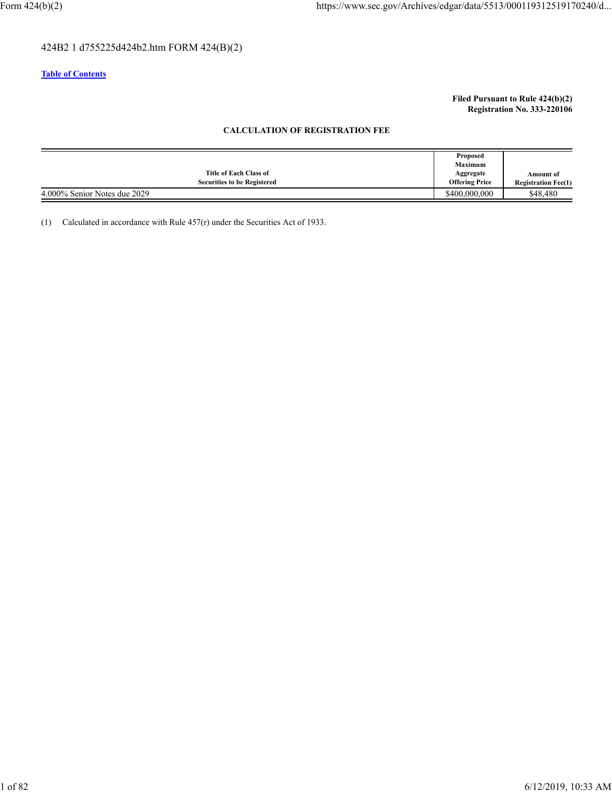# 424B2 1 d755225d424b2.htm FORM 424(B)(2)

## **Table of Contents**

## **Filed Pursuant to Rule 424(b)(2) Registration No. 333-220106**

## **CALCULATION OF REGISTRATION FEE**

|                                    | Proposed              |                            |
|------------------------------------|-----------------------|----------------------------|
|                                    | <b>Maximum</b>        |                            |
| Title of Each Class of             | Aggregate             | <b>Amount of</b>           |
| <b>Securities to be Registered</b> | <b>Offering Price</b> | <b>Registration Fee(1)</b> |
| 4.000% Senior Notes due 2029       | \$400,000,000         | \$48,480                   |

(1) Calculated in accordance with Rule 457(r) under the Securities Act of 1933.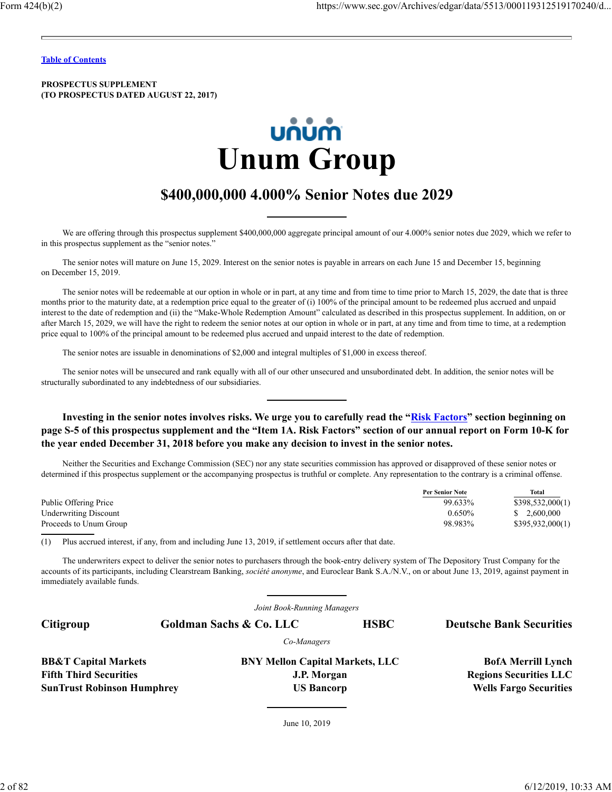**PROSPECTUS SUPPLEMENT (TO PROSPECTUS DATED AUGUST 22, 2017)**



# **\$400,000,000 4.000% Senior Notes due 2029**

We are offering through this prospectus supplement \$400,000,000 aggregate principal amount of our 4.000% senior notes due 2029, which we refer to in this prospectus supplement as the "senior notes."

The senior notes will mature on June 15, 2029. Interest on the senior notes is payable in arrears on each June 15 and December 15, beginning on December 15, 2019.

The senior notes will be redeemable at our option in whole or in part, at any time and from time to time prior to March 15, 2029, the date that is three months prior to the maturity date, at a redemption price equal to the greater of (i) 100% of the principal amount to be redeemed plus accrued and unpaid interest to the date of redemption and (ii) the "Make-Whole Redemption Amount" calculated as described in this prospectus supplement. In addition, on or after March 15, 2029, we will have the right to redeem the senior notes at our option in whole or in part, at any time and from time to time, at a redemption price equal to 100% of the principal amount to be redeemed plus accrued and unpaid interest to the date of redemption.

The senior notes are issuable in denominations of \$2,000 and integral multiples of \$1,000 in excess thereof.

The senior notes will be unsecured and rank equally with all of our other unsecured and unsubordinated debt. In addition, the senior notes will be structurally subordinated to any indebtedness of our subsidiaries.

Investing in the senior notes involves risks. We urge you to carefully read the "Risk Factors" section beginning on **page S-5 of this prospectus supplement and the "Item 1A. Risk Factors" section of our annual report on Form 10-K for the year ended December 31, 2018 before you make any decision to invest in the senior notes.**

Neither the Securities and Exchange Commission (SEC) nor any state securities commission has approved or disapproved of these senior notes or determined if this prospectus supplement or the accompanying prospectus is truthful or complete. Any representation to the contrary is a criminal offense.

|                              | <b>Per Senior Note</b> | Total            |
|------------------------------|------------------------|------------------|
| Public Offering Price        | 99.633%                | \$398,532,000(1) |
| <b>Underwriting Discount</b> | $0.650\%$              | \$2,600,000      |
| Proceeds to Unum Group       | 98.983%                | \$395,932,000(1) |
|                              |                        |                  |

(1) Plus accrued interest, if any, from and including June 13, 2019, if settlement occurs after that date.

The underwriters expect to deliver the senior notes to purchasers through the book-entry delivery system of The Depository Trust Company for the accounts of its participants, including Clearstream Banking, *société anonyme*, and Euroclear Bank S.A./N.V., on or about June 13, 2019, against payment in immediately available funds.

*Joint Book-Running Managers*

| Citigroup                         | Goldman Sachs & Co. LLC                | <b>HSBC</b> | <b>Deutsche Bank Securities</b> |
|-----------------------------------|----------------------------------------|-------------|---------------------------------|
|                                   | Co-Managers                            |             |                                 |
| <b>BB&amp;T</b> Capital Markets   | <b>BNY Mellon Capital Markets, LLC</b> |             | <b>BofA Merrill Lynch</b>       |
| <b>Fifth Third Securities</b>     | J.P. Morgan                            |             | <b>Regions Securities LLC</b>   |
| <b>SunTrust Robinson Humphrey</b> | <b>US Bancorp</b>                      |             | <b>Wells Fargo Securities</b>   |

June 10, 2019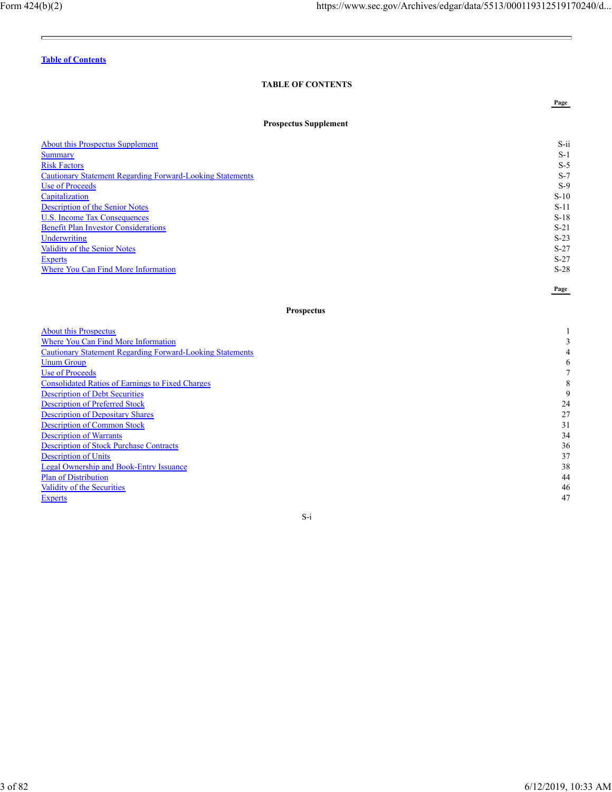Ē.

**Page**

 $\equiv$ 

**Page**

# **Table of Contents**

# **TABLE OF CONTENTS**

## **Prospectus Supplement**

| <b>About this Prospectus Supplement</b>                          | $S$ -ii |
|------------------------------------------------------------------|---------|
| <b>Summary</b>                                                   | $S-1$   |
| <b>Risk Factors</b>                                              | $S-5$   |
| <b>Cautionary Statement Regarding Forward-Looking Statements</b> | $S-7$   |
| Use of Proceeds                                                  | $S-9$   |
| Capitalization                                                   | $S-10$  |
| Description of the Senior Notes                                  | $S-11$  |
| U.S. Income Tax Consequences                                     | $S-18$  |
| <b>Benefit Plan Investor Considerations</b>                      | $S-21$  |
| Underwriting                                                     | $S-23$  |
| Validity of the Senior Notes                                     | $S-27$  |
| Experts                                                          | $S-27$  |
| Where You Can Find More Information                              | $S-28$  |

## **Prospectus**

| <b>About this Prospectus</b>                                     |    |
|------------------------------------------------------------------|----|
| Where You Can Find More Information                              |    |
| <b>Cautionary Statement Regarding Forward-Looking Statements</b> |    |
| <b>Unum Group</b>                                                |    |
| Use of Proceeds                                                  |    |
| <b>Consolidated Ratios of Earnings to Fixed Charges</b>          |    |
| <b>Description of Debt Securities</b>                            |    |
| <b>Description of Preferred Stock</b>                            | 24 |
| <b>Description of Depositary Shares</b>                          | 27 |
| <b>Description of Common Stock</b>                               | 31 |
| <b>Description of Warrants</b>                                   | 34 |
| <b>Description of Stock Purchase Contracts</b>                   | 36 |
| <b>Description of Units</b>                                      | 37 |
| <b>Legal Ownership and Book-Entry Issuance</b>                   | 38 |
| <b>Plan of Distribution</b>                                      | 44 |
| Validity of the Securities                                       | 46 |
| <b>Experts</b>                                                   | 47 |

S-i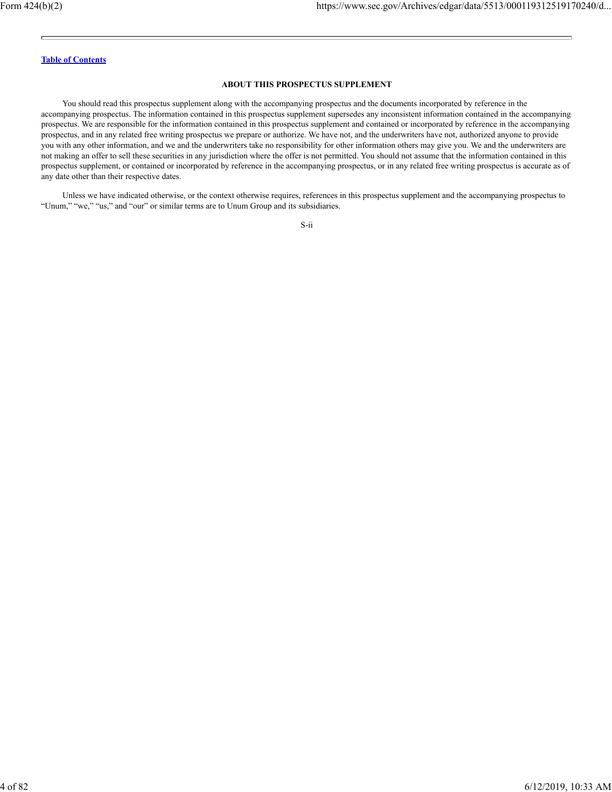## **ABOUT THIS PROSPECTUS SUPPLEMENT**

You should read this prospectus supplement along with the accompanying prospectus and the documents incorporated by reference in the accompanying prospectus. The information contained in this prospectus supplement supersedes any inconsistent information contained in the accompanying prospectus. We are responsible for the information contained in this prospectus supplement and contained or incorporated by reference in the accompanying prospectus, and in any related free writing prospectus we prepare or authorize. We have not, and the underwriters have not, authorized anyone to provide you with any other information, and we and the underwriters take no responsibility for other information others may give you. We and the underwriters are not making an offer to sell these securities in any jurisdiction where the offer is not permitted. You should not assume that the information contained in this prospectus supplement, or contained or incorporated by reference in the accompanying prospectus, or in any related free writing prospectus is accurate as of any date other than their respective dates.

Unless we have indicated otherwise, or the context otherwise requires, references in this prospectus supplement and the accompanying prospectus to "Unum," "we," "us," and "our" or similar terms are to Unum Group and its subsidiaries.

S-ii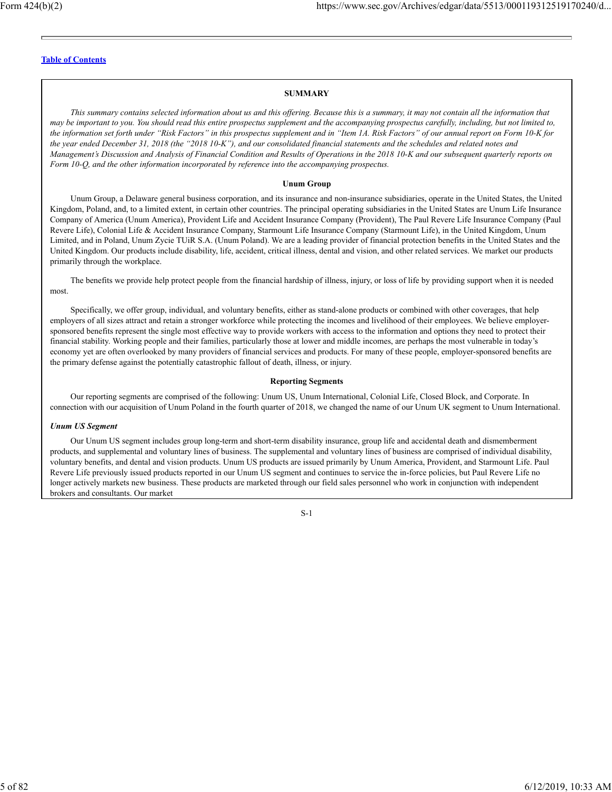## **SUMMARY**

*This summary contains selected information about us and this offering. Because this is a summary, it may not contain all the information that may be important to you. You should read this entire prospectus supplement and the accompanying prospectus carefully, including, but not limited to, the information set forth under "Risk Factors" in this prospectus supplement and in "Item 1A. Risk Factors" of our annual report on Form 10-K for the year ended December 31, 2018 (the "2018 10-K"), and our consolidated financial statements and the schedules and related notes and Management's Discussion and Analysis of Financial Condition and Results of Operations in the 2018 10-K and our subsequent quarterly reports on Form 10-Q, and the other information incorporated by reference into the accompanying prospectus.*

#### **Unum Group**

Unum Group, a Delaware general business corporation, and its insurance and non-insurance subsidiaries, operate in the United States, the United Kingdom, Poland, and, to a limited extent, in certain other countries. The principal operating subsidiaries in the United States are Unum Life Insurance Company of America (Unum America), Provident Life and Accident Insurance Company (Provident), The Paul Revere Life Insurance Company (Paul Revere Life), Colonial Life & Accident Insurance Company, Starmount Life Insurance Company (Starmount Life), in the United Kingdom, Unum Limited, and in Poland, Unum Zycie TUiR S.A. (Unum Poland). We are a leading provider of financial protection benefits in the United States and the United Kingdom. Our products include disability, life, accident, critical illness, dental and vision, and other related services. We market our products primarily through the workplace.

The benefits we provide help protect people from the financial hardship of illness, injury, or loss of life by providing support when it is needed most.

Specifically, we offer group, individual, and voluntary benefits, either as stand-alone products or combined with other coverages, that help employers of all sizes attract and retain a stronger workforce while protecting the incomes and livelihood of their employees. We believe employersponsored benefits represent the single most effective way to provide workers with access to the information and options they need to protect their financial stability. Working people and their families, particularly those at lower and middle incomes, are perhaps the most vulnerable in today's economy yet are often overlooked by many providers of financial services and products. For many of these people, employer-sponsored benefits are the primary defense against the potentially catastrophic fallout of death, illness, or injury.

#### **Reporting Segments**

Our reporting segments are comprised of the following: Unum US, Unum International, Colonial Life, Closed Block, and Corporate. In connection with our acquisition of Unum Poland in the fourth quarter of 2018, we changed the name of our Unum UK segment to Unum International.

## *Unum US Segment*

Our Unum US segment includes group long-term and short-term disability insurance, group life and accidental death and dismemberment products, and supplemental and voluntary lines of business. The supplemental and voluntary lines of business are comprised of individual disability, voluntary benefits, and dental and vision products. Unum US products are issued primarily by Unum America, Provident, and Starmount Life. Paul Revere Life previously issued products reported in our Unum US segment and continues to service the in-force policies, but Paul Revere Life no longer actively markets new business. These products are marketed through our field sales personnel who work in conjunction with independent brokers and consultants. Our market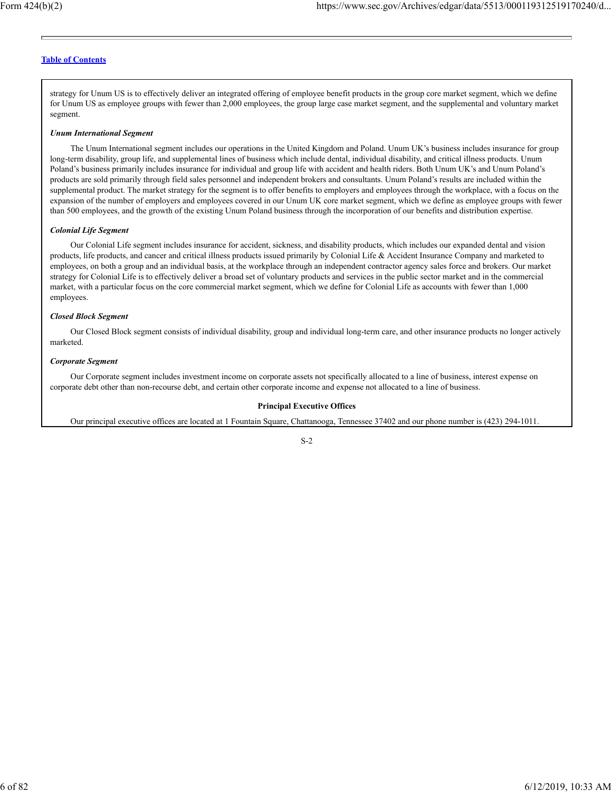strategy for Unum US is to effectively deliver an integrated offering of employee benefit products in the group core market segment, which we define for Unum US as employee groups with fewer than 2,000 employees, the group large case market segment, and the supplemental and voluntary market segment.

#### *Unum International Segment*

The Unum International segment includes our operations in the United Kingdom and Poland. Unum UK's business includes insurance for group long-term disability, group life, and supplemental lines of business which include dental, individual disability, and critical illness products. Unum Poland's business primarily includes insurance for individual and group life with accident and health riders. Both Unum UK's and Unum Poland's products are sold primarily through field sales personnel and independent brokers and consultants. Unum Poland's results are included within the supplemental product. The market strategy for the segment is to offer benefits to employers and employees through the workplace, with a focus on the expansion of the number of employers and employees covered in our Unum UK core market segment, which we define as employee groups with fewer than 500 employees, and the growth of the existing Unum Poland business through the incorporation of our benefits and distribution expertise.

#### *Colonial Life Segment*

Our Colonial Life segment includes insurance for accident, sickness, and disability products, which includes our expanded dental and vision products, life products, and cancer and critical illness products issued primarily by Colonial Life & Accident Insurance Company and marketed to employees, on both a group and an individual basis, at the workplace through an independent contractor agency sales force and brokers. Our market strategy for Colonial Life is to effectively deliver a broad set of voluntary products and services in the public sector market and in the commercial market, with a particular focus on the core commercial market segment, which we define for Colonial Life as accounts with fewer than 1,000 employees.

#### *Closed Block Segment*

Our Closed Block segment consists of individual disability, group and individual long-term care, and other insurance products no longer actively marketed.

#### *Corporate Segment*

Our Corporate segment includes investment income on corporate assets not specifically allocated to a line of business, interest expense on corporate debt other than non-recourse debt, and certain other corporate income and expense not allocated to a line of business.

#### **Principal Executive Offices**

Our principal executive offices are located at 1 Fountain Square, Chattanooga, Tennessee 37402 and our phone number is (423) 294-1011.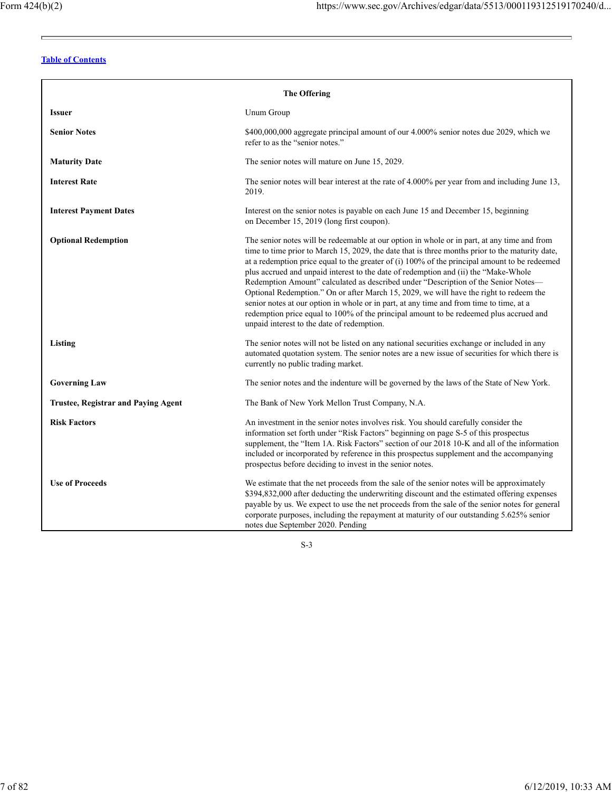$\equiv$ 

<u> The Common State Common</u>

# **Table of Contents**

| <b>The Offering</b>                        |                                                                                                                                                                                                                                                                                                                                                                                                                                                                                                                                                                                                                                                                                                                                                                                                             |  |  |
|--------------------------------------------|-------------------------------------------------------------------------------------------------------------------------------------------------------------------------------------------------------------------------------------------------------------------------------------------------------------------------------------------------------------------------------------------------------------------------------------------------------------------------------------------------------------------------------------------------------------------------------------------------------------------------------------------------------------------------------------------------------------------------------------------------------------------------------------------------------------|--|--|
| <b>Issuer</b>                              | Unum Group                                                                                                                                                                                                                                                                                                                                                                                                                                                                                                                                                                                                                                                                                                                                                                                                  |  |  |
| <b>Senior Notes</b>                        | \$400,000,000 aggregate principal amount of our 4.000% senior notes due 2029, which we<br>refer to as the "senior notes."                                                                                                                                                                                                                                                                                                                                                                                                                                                                                                                                                                                                                                                                                   |  |  |
| <b>Maturity Date</b>                       | The senior notes will mature on June 15, 2029.                                                                                                                                                                                                                                                                                                                                                                                                                                                                                                                                                                                                                                                                                                                                                              |  |  |
| <b>Interest Rate</b>                       | The senior notes will bear interest at the rate of 4.000% per year from and including June 13,<br>2019.                                                                                                                                                                                                                                                                                                                                                                                                                                                                                                                                                                                                                                                                                                     |  |  |
| <b>Interest Payment Dates</b>              | Interest on the senior notes is payable on each June 15 and December 15, beginning<br>on December 15, 2019 (long first coupon).                                                                                                                                                                                                                                                                                                                                                                                                                                                                                                                                                                                                                                                                             |  |  |
| <b>Optional Redemption</b>                 | The senior notes will be redeemable at our option in whole or in part, at any time and from<br>time to time prior to March 15, 2029, the date that is three months prior to the maturity date,<br>at a redemption price equal to the greater of $(i)$ 100% of the principal amount to be redeemed<br>plus accrued and unpaid interest to the date of redemption and (ii) the "Make-Whole<br>Redemption Amount" calculated as described under "Description of the Senior Notes-<br>Optional Redemption." On or after March 15, 2029, we will have the right to redeem the<br>senior notes at our option in whole or in part, at any time and from time to time, at a<br>redemption price equal to 100% of the principal amount to be redeemed plus accrued and<br>unpaid interest to the date of redemption. |  |  |
| Listing                                    | The senior notes will not be listed on any national securities exchange or included in any<br>automated quotation system. The senior notes are a new issue of securities for which there is<br>currently no public trading market.                                                                                                                                                                                                                                                                                                                                                                                                                                                                                                                                                                          |  |  |
| <b>Governing Law</b>                       | The senior notes and the indenture will be governed by the laws of the State of New York.                                                                                                                                                                                                                                                                                                                                                                                                                                                                                                                                                                                                                                                                                                                   |  |  |
| <b>Trustee, Registrar and Paying Agent</b> | The Bank of New York Mellon Trust Company, N.A.                                                                                                                                                                                                                                                                                                                                                                                                                                                                                                                                                                                                                                                                                                                                                             |  |  |
| <b>Risk Factors</b>                        | An investment in the senior notes involves risk. You should carefully consider the<br>information set forth under "Risk Factors" beginning on page S-5 of this prospectus<br>supplement, the "Item 1A. Risk Factors" section of our 2018 10-K and all of the information<br>included or incorporated by reference in this prospectus supplement and the accompanying<br>prospectus before deciding to invest in the senior notes.                                                                                                                                                                                                                                                                                                                                                                           |  |  |
| <b>Use of Proceeds</b>                     | We estimate that the net proceeds from the sale of the senior notes will be approximately<br>\$394,832,000 after deducting the underwriting discount and the estimated offering expenses<br>payable by us. We expect to use the net proceeds from the sale of the senior notes for general<br>corporate purposes, including the repayment at maturity of our outstanding 5.625% senior<br>notes due September 2020. Pending                                                                                                                                                                                                                                                                                                                                                                                 |  |  |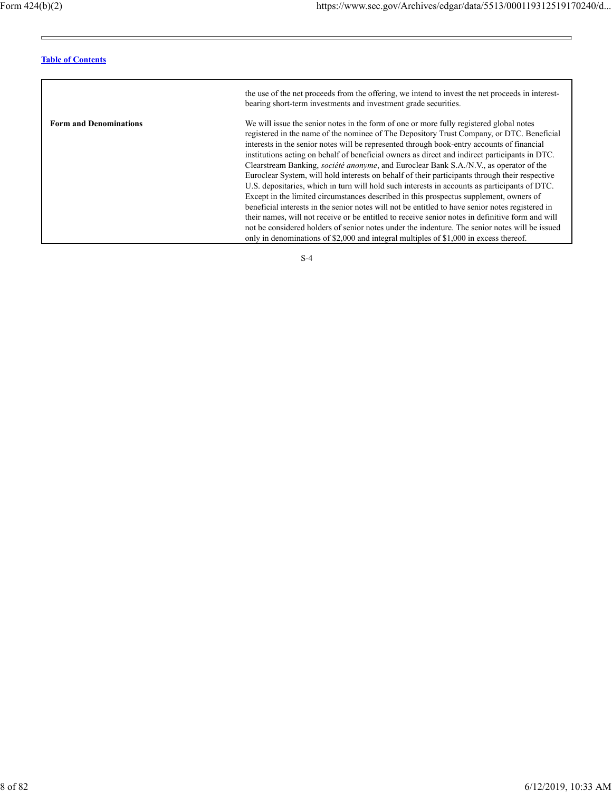$\equiv$ 

 $\equiv$ 

# **Table of Contents**

|                               | the use of the net proceeds from the offering, we intend to invest the net proceeds in interest-<br>bearing short-term investments and investment grade securities.                                                                                                                                                                                                                                                                                                                                                                                                                                                                                                                                                                                                                                                                                                                                                                                                                                                                                                                                                                                                                    |
|-------------------------------|----------------------------------------------------------------------------------------------------------------------------------------------------------------------------------------------------------------------------------------------------------------------------------------------------------------------------------------------------------------------------------------------------------------------------------------------------------------------------------------------------------------------------------------------------------------------------------------------------------------------------------------------------------------------------------------------------------------------------------------------------------------------------------------------------------------------------------------------------------------------------------------------------------------------------------------------------------------------------------------------------------------------------------------------------------------------------------------------------------------------------------------------------------------------------------------|
| <b>Form and Denominations</b> | We will issue the senior notes in the form of one or more fully registered global notes<br>registered in the name of the nominee of The Depository Trust Company, or DTC. Beneficial<br>interests in the senior notes will be represented through book-entry accounts of financial<br>institutions acting on behalf of beneficial owners as direct and indirect participants in DTC.<br>Clearstream Banking, <i>société anonyme</i> , and Euroclear Bank S.A./N.V., as operator of the<br>Euroclear System, will hold interests on behalf of their participants through their respective<br>U.S. depositaries, which in turn will hold such interests in accounts as participants of DTC.<br>Except in the limited circumstances described in this prospectus supplement, owners of<br>beneficial interests in the senior notes will not be entitled to have senior notes registered in<br>their names, will not receive or be entitled to receive senior notes in definitive form and will<br>not be considered holders of senior notes under the indenture. The senior notes will be issued<br>only in denominations of \$2,000 and integral multiples of \$1,000 in excess thereof. |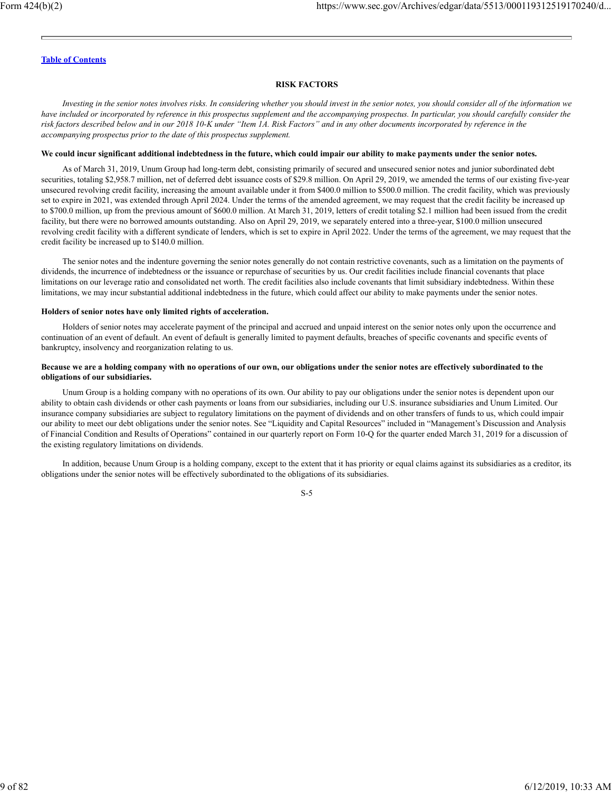## **RISK FACTORS**

*Investing in the senior notes involves risks. In considering whether you should invest in the senior notes, you should consider all of the information we have included or incorporated by reference in this prospectus supplement and the accompanying prospectus. In particular, you should carefully consider the risk factors described below and in our 2018 10-K under "Item 1A. Risk Factors" and in any other documents incorporated by reference in the accompanying prospectus prior to the date of this prospectus supplement.*

#### **We could incur significant additional indebtedness in the future, which could impair our ability to make payments under the senior notes.**

As of March 31, 2019, Unum Group had long-term debt, consisting primarily of secured and unsecured senior notes and junior subordinated debt securities, totaling \$2,958.7 million, net of deferred debt issuance costs of \$29.8 million. On April 29, 2019, we amended the terms of our existing five-year unsecured revolving credit facility, increasing the amount available under it from \$400.0 million to \$500.0 million. The credit facility, which was previously set to expire in 2021, was extended through April 2024. Under the terms of the amended agreement, we may request that the credit facility be increased up to \$700.0 million, up from the previous amount of \$600.0 million. At March 31, 2019, letters of credit totaling \$2.1 million had been issued from the credit facility, but there were no borrowed amounts outstanding. Also on April 29, 2019, we separately entered into a three-year, \$100.0 million unsecured revolving credit facility with a different syndicate of lenders, which is set to expire in April 2022. Under the terms of the agreement, we may request that the credit facility be increased up to \$140.0 million.

The senior notes and the indenture governing the senior notes generally do not contain restrictive covenants, such as a limitation on the payments of dividends, the incurrence of indebtedness or the issuance or repurchase of securities by us. Our credit facilities include financial covenants that place limitations on our leverage ratio and consolidated net worth. The credit facilities also include covenants that limit subsidiary indebtedness. Within these limitations, we may incur substantial additional indebtedness in the future, which could affect our ability to make payments under the senior notes.

#### **Holders of senior notes have only limited rights of acceleration.**

Holders of senior notes may accelerate payment of the principal and accrued and unpaid interest on the senior notes only upon the occurrence and continuation of an event of default. An event of default is generally limited to payment defaults, breaches of specific covenants and specific events of bankruptcy, insolvency and reorganization relating to us.

#### **Because we are a holding company with no operations of our own, our obligations under the senior notes are effectively subordinated to the obligations of our subsidiaries.**

Unum Group is a holding company with no operations of its own. Our ability to pay our obligations under the senior notes is dependent upon our ability to obtain cash dividends or other cash payments or loans from our subsidiaries, including our U.S. insurance subsidiaries and Unum Limited. Our insurance company subsidiaries are subject to regulatory limitations on the payment of dividends and on other transfers of funds to us, which could impair our ability to meet our debt obligations under the senior notes. See "Liquidity and Capital Resources" included in "Management's Discussion and Analysis of Financial Condition and Results of Operations" contained in our quarterly report on Form 10-Q for the quarter ended March 31, 2019 for a discussion of the existing regulatory limitations on dividends.

In addition, because Unum Group is a holding company, except to the extent that it has priority or equal claims against its subsidiaries as a creditor, its obligations under the senior notes will be effectively subordinated to the obligations of its subsidiaries.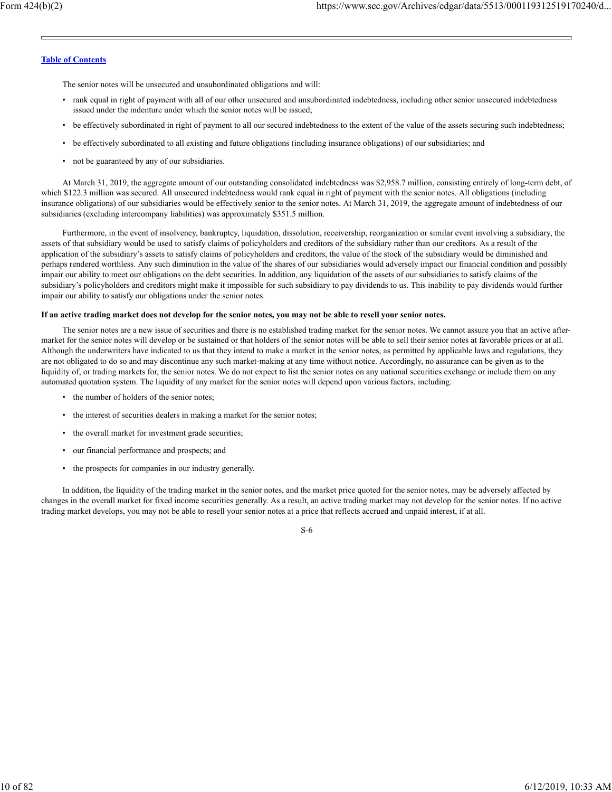The senior notes will be unsecured and unsubordinated obligations and will:

- rank equal in right of payment with all of our other unsecured and unsubordinated indebtedness, including other senior unsecured indebtedness issued under the indenture under which the senior notes will be issued;
- be effectively subordinated in right of payment to all our secured indebtedness to the extent of the value of the assets securing such indebtedness;
- be effectively subordinated to all existing and future obligations (including insurance obligations) of our subsidiaries; and
- not be guaranteed by any of our subsidiaries.

At March 31, 2019, the aggregate amount of our outstanding consolidated indebtedness was \$2,958.7 million, consisting entirely of long-term debt, of which \$122.3 million was secured. All unsecured indebtedness would rank equal in right of payment with the senior notes. All obligations (including insurance obligations) of our subsidiaries would be effectively senior to the senior notes. At March 31, 2019, the aggregate amount of indebtedness of our subsidiaries (excluding intercompany liabilities) was approximately \$351.5 million.

Furthermore, in the event of insolvency, bankruptcy, liquidation, dissolution, receivership, reorganization or similar event involving a subsidiary, the assets of that subsidiary would be used to satisfy claims of policyholders and creditors of the subsidiary rather than our creditors. As a result of the application of the subsidiary's assets to satisfy claims of policyholders and creditors, the value of the stock of the subsidiary would be diminished and perhaps rendered worthless. Any such diminution in the value of the shares of our subsidiaries would adversely impact our financial condition and possibly impair our ability to meet our obligations on the debt securities. In addition, any liquidation of the assets of our subsidiaries to satisfy claims of the subsidiary's policyholders and creditors might make it impossible for such subsidiary to pay dividends to us. This inability to pay dividends would further impair our ability to satisfy our obligations under the senior notes.

#### **If an active trading market does not develop for the senior notes, you may not be able to resell your senior notes.**

The senior notes are a new issue of securities and there is no established trading market for the senior notes. We cannot assure you that an active aftermarket for the senior notes will develop or be sustained or that holders of the senior notes will be able to sell their senior notes at favorable prices or at all. Although the underwriters have indicated to us that they intend to make a market in the senior notes, as permitted by applicable laws and regulations, they are not obligated to do so and may discontinue any such market-making at any time without notice. Accordingly, no assurance can be given as to the liquidity of, or trading markets for, the senior notes. We do not expect to list the senior notes on any national securities exchange or include them on any automated quotation system. The liquidity of any market for the senior notes will depend upon various factors, including:

- the number of holders of the senior notes;
- the interest of securities dealers in making a market for the senior notes;
- the overall market for investment grade securities;
- our financial performance and prospects; and
- the prospects for companies in our industry generally.

In addition, the liquidity of the trading market in the senior notes, and the market price quoted for the senior notes, may be adversely affected by changes in the overall market for fixed income securities generally. As a result, an active trading market may not develop for the senior notes. If no active trading market develops, you may not be able to resell your senior notes at a price that reflects accrued and unpaid interest, if at all.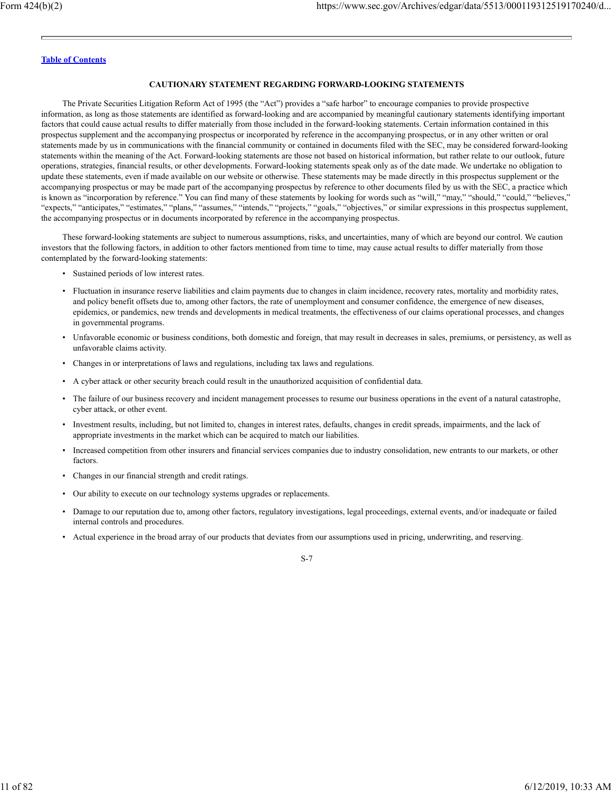## **CAUTIONARY STATEMENT REGARDING FORWARD-LOOKING STATEMENTS**

The Private Securities Litigation Reform Act of 1995 (the "Act") provides a "safe harbor" to encourage companies to provide prospective information, as long as those statements are identified as forward-looking and are accompanied by meaningful cautionary statements identifying important factors that could cause actual results to differ materially from those included in the forward-looking statements. Certain information contained in this prospectus supplement and the accompanying prospectus or incorporated by reference in the accompanying prospectus, or in any other written or oral statements made by us in communications with the financial community or contained in documents filed with the SEC, may be considered forward-looking statements within the meaning of the Act. Forward-looking statements are those not based on historical information, but rather relate to our outlook, future operations, strategies, financial results, or other developments. Forward-looking statements speak only as of the date made. We undertake no obligation to update these statements, even if made available on our website or otherwise. These statements may be made directly in this prospectus supplement or the accompanying prospectus or may be made part of the accompanying prospectus by reference to other documents filed by us with the SEC, a practice which is known as "incorporation by reference." You can find many of these statements by looking for words such as "will," "may," "should," "could," "believes," "expects," "anticipates," "estimates," "plans," "assumes," "intends," "projects," "goals," "objectives," or similar expressions in this prospectus supplement, the accompanying prospectus or in documents incorporated by reference in the accompanying prospectus.

These forward-looking statements are subject to numerous assumptions, risks, and uncertainties, many of which are beyond our control. We caution investors that the following factors, in addition to other factors mentioned from time to time, may cause actual results to differ materially from those contemplated by the forward-looking statements:

- Sustained periods of low interest rates.
- Fluctuation in insurance reserve liabilities and claim payments due to changes in claim incidence, recovery rates, mortality and morbidity rates, and policy benefit offsets due to, among other factors, the rate of unemployment and consumer confidence, the emergence of new diseases, epidemics, or pandemics, new trends and developments in medical treatments, the effectiveness of our claims operational processes, and changes in governmental programs.
- Unfavorable economic or business conditions, both domestic and foreign, that may result in decreases in sales, premiums, or persistency, as well as unfavorable claims activity.
- Changes in or interpretations of laws and regulations, including tax laws and regulations.
- A cyber attack or other security breach could result in the unauthorized acquisition of confidential data.
- The failure of our business recovery and incident management processes to resume our business operations in the event of a natural catastrophe, cyber attack, or other event.
- Investment results, including, but not limited to, changes in interest rates, defaults, changes in credit spreads, impairments, and the lack of appropriate investments in the market which can be acquired to match our liabilities.
- Increased competition from other insurers and financial services companies due to industry consolidation, new entrants to our markets, or other factors.
- Changes in our financial strength and credit ratings.
- Our ability to execute on our technology systems upgrades or replacements.
- Damage to our reputation due to, among other factors, regulatory investigations, legal proceedings, external events, and/or inadequate or failed internal controls and procedures.
- Actual experience in the broad array of our products that deviates from our assumptions used in pricing, underwriting, and reserving.

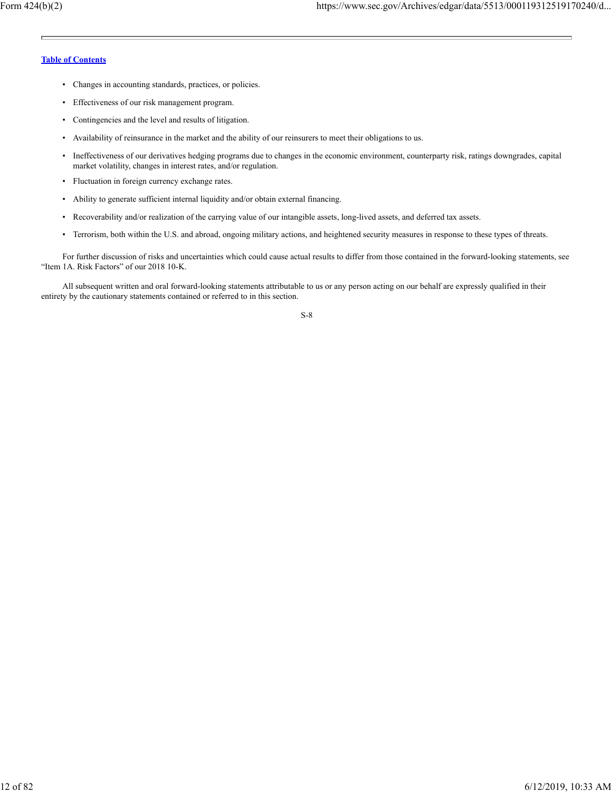- Changes in accounting standards, practices, or policies.
- Effectiveness of our risk management program.
- Contingencies and the level and results of litigation.
- Availability of reinsurance in the market and the ability of our reinsurers to meet their obligations to us.
- Ineffectiveness of our derivatives hedging programs due to changes in the economic environment, counterparty risk, ratings downgrades, capital market volatility, changes in interest rates, and/or regulation.
- Fluctuation in foreign currency exchange rates.
- Ability to generate sufficient internal liquidity and/or obtain external financing.
- Recoverability and/or realization of the carrying value of our intangible assets, long-lived assets, and deferred tax assets.
- Terrorism, both within the U.S. and abroad, ongoing military actions, and heightened security measures in response to these types of threats.

For further discussion of risks and uncertainties which could cause actual results to differ from those contained in the forward-looking statements, see "Item 1A. Risk Factors" of our 2018 10-K.

All subsequent written and oral forward-looking statements attributable to us or any person acting on our behalf are expressly qualified in their entirety by the cautionary statements contained or referred to in this section.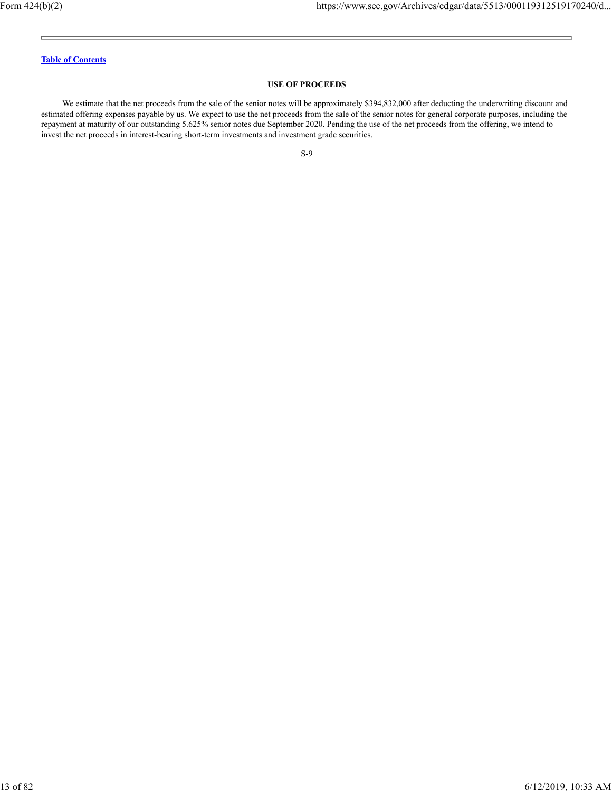#### **USE OF PROCEEDS**

We estimate that the net proceeds from the sale of the senior notes will be approximately \$394,832,000 after deducting the underwriting discount and estimated offering expenses payable by us. We expect to use the net proceeds from the sale of the senior notes for general corporate purposes, including the repayment at maturity of our outstanding 5.625% senior notes due September 2020. Pending the use of the net proceeds from the offering, we intend to invest the net proceeds in interest-bearing short-term investments and investment grade securities.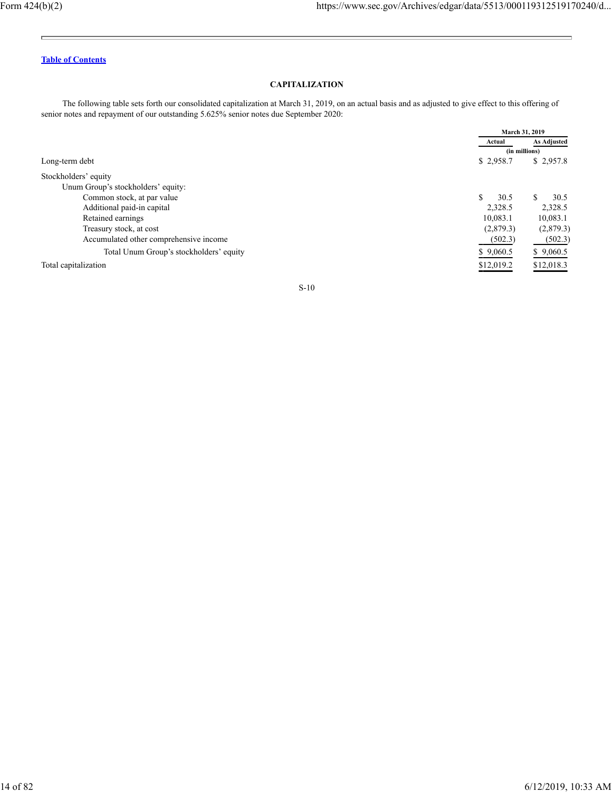E.

÷,

## **Table of Contents**

## **CAPITALIZATION**

The following table sets forth our consolidated capitalization at March 31, 2019, on an actual basis and as adjusted to give effect to this offering of senior notes and repayment of our outstanding 5.625% senior notes due September 2020:

|                                         | March 31, 2019 |                    |
|-----------------------------------------|----------------|--------------------|
|                                         | Actual         | <b>As Adjusted</b> |
|                                         | (in millions)  |                    |
| Long-term debt                          | \$2,958.7      | \$2,957.8          |
| Stockholders' equity                    |                |                    |
| Unum Group's stockholders' equity:      |                |                    |
| Common stock, at par value              | 30.5           | 30.5               |
| Additional paid-in capital              | 2,328.5        | 2,328.5            |
| Retained earnings                       | 10,083.1       | 10,083.1           |
| Treasury stock, at cost                 | (2,879.3)      | (2,879.3)          |
| Accumulated other comprehensive income  | (502.3)        | (502.3)            |
| Total Unum Group's stockholders' equity | \$9,060.5      | \$9,060.5          |
| Total capitalization                    | \$12,019.2     | \$12,018.3         |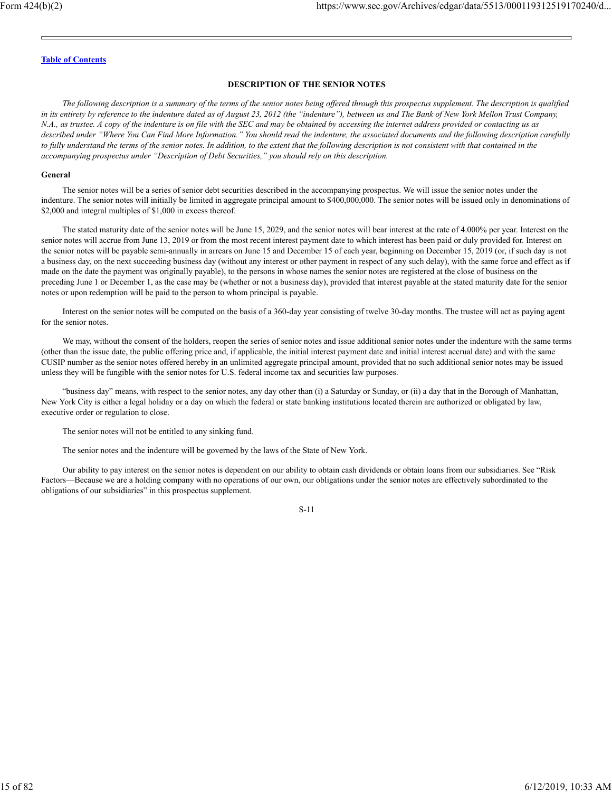#### **DESCRIPTION OF THE SENIOR NOTES**

*The following description is a summary of the terms of the senior notes being offered through this prospectus supplement. The description is qualified in its entirety by reference to the indenture dated as of August 23, 2012 (the "indenture"), between us and The Bank of New York Mellon Trust Company, N.A., as trustee. A copy of the indenture is on file with the SEC and may be obtained by accessing the internet address provided or contacting us as described under "Where You Can Find More Information." You should read the indenture, the associated documents and the following description carefully to fully understand the terms of the senior notes. In addition, to the extent that the following description is not consistent with that contained in the accompanying prospectus under "Description of Debt Securities," you should rely on this description.*

## **General**

The senior notes will be a series of senior debt securities described in the accompanying prospectus. We will issue the senior notes under the indenture. The senior notes will initially be limited in aggregate principal amount to \$400,000,000. The senior notes will be issued only in denominations of \$2,000 and integral multiples of \$1,000 in excess thereof.

The stated maturity date of the senior notes will be June 15, 2029, and the senior notes will bear interest at the rate of 4.000% per year. Interest on the senior notes will accrue from June 13, 2019 or from the most recent interest payment date to which interest has been paid or duly provided for. Interest on the senior notes will be payable semi-annually in arrears on June 15 and December 15 of each year, beginning on December 15, 2019 (or, if such day is not a business day, on the next succeeding business day (without any interest or other payment in respect of any such delay), with the same force and effect as if made on the date the payment was originally payable), to the persons in whose names the senior notes are registered at the close of business on the preceding June 1 or December 1, as the case may be (whether or not a business day), provided that interest payable at the stated maturity date for the senior notes or upon redemption will be paid to the person to whom principal is payable.

Interest on the senior notes will be computed on the basis of a 360-day year consisting of twelve 30-day months. The trustee will act as paying agent for the senior notes.

We may, without the consent of the holders, reopen the series of senior notes and issue additional senior notes under the indenture with the same terms (other than the issue date, the public offering price and, if applicable, the initial interest payment date and initial interest accrual date) and with the same CUSIP number as the senior notes offered hereby in an unlimited aggregate principal amount, provided that no such additional senior notes may be issued unless they will be fungible with the senior notes for U.S. federal income tax and securities law purposes.

"business day" means, with respect to the senior notes, any day other than (i) a Saturday or Sunday, or (ii) a day that in the Borough of Manhattan, New York City is either a legal holiday or a day on which the federal or state banking institutions located therein are authorized or obligated by law, executive order or regulation to close.

The senior notes will not be entitled to any sinking fund.

The senior notes and the indenture will be governed by the laws of the State of New York.

Our ability to pay interest on the senior notes is dependent on our ability to obtain cash dividends or obtain loans from our subsidiaries. See "Risk Factors—Because we are a holding company with no operations of our own, our obligations under the senior notes are effectively subordinated to the obligations of our subsidiaries" in this prospectus supplement.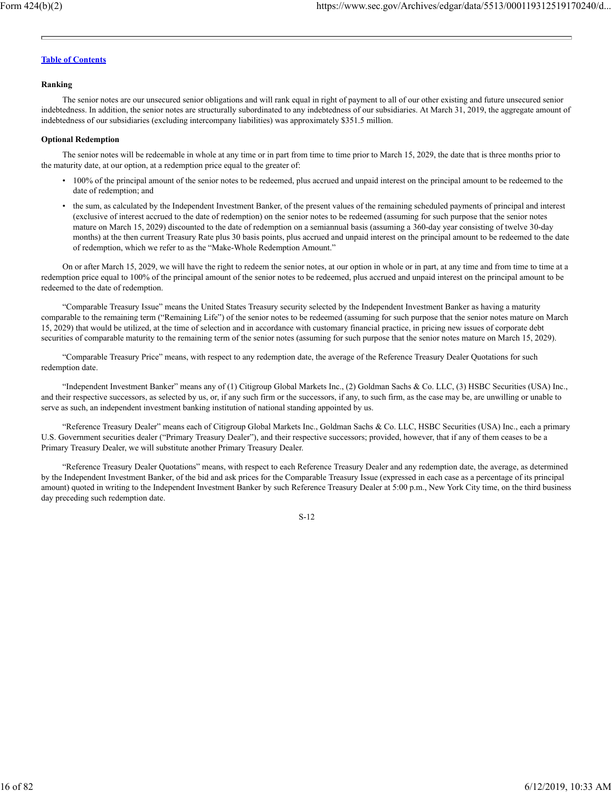#### **Ranking**

The senior notes are our unsecured senior obligations and will rank equal in right of payment to all of our other existing and future unsecured senior indebtedness. In addition, the senior notes are structurally subordinated to any indebtedness of our subsidiaries. At March 31, 2019, the aggregate amount of indebtedness of our subsidiaries (excluding intercompany liabilities) was approximately \$351.5 million.

#### **Optional Redemption**

The senior notes will be redeemable in whole at any time or in part from time to time prior to March 15, 2029, the date that is three months prior to the maturity date, at our option, at a redemption price equal to the greater of:

- 100% of the principal amount of the senior notes to be redeemed, plus accrued and unpaid interest on the principal amount to be redeemed to the date of redemption; and
- the sum, as calculated by the Independent Investment Banker, of the present values of the remaining scheduled payments of principal and interest (exclusive of interest accrued to the date of redemption) on the senior notes to be redeemed (assuming for such purpose that the senior notes mature on March 15, 2029) discounted to the date of redemption on a semiannual basis (assuming a 360-day year consisting of twelve 30-day months) at the then current Treasury Rate plus 30 basis points, plus accrued and unpaid interest on the principal amount to be redeemed to the date of redemption, which we refer to as the "Make-Whole Redemption Amount."

On or after March 15, 2029, we will have the right to redeem the senior notes, at our option in whole or in part, at any time and from time to time at a redemption price equal to 100% of the principal amount of the senior notes to be redeemed, plus accrued and unpaid interest on the principal amount to be redeemed to the date of redemption.

"Comparable Treasury Issue" means the United States Treasury security selected by the Independent Investment Banker as having a maturity comparable to the remaining term ("Remaining Life") of the senior notes to be redeemed (assuming for such purpose that the senior notes mature on March 15, 2029) that would be utilized, at the time of selection and in accordance with customary financial practice, in pricing new issues of corporate debt securities of comparable maturity to the remaining term of the senior notes (assuming for such purpose that the senior notes mature on March 15, 2029).

"Comparable Treasury Price" means, with respect to any redemption date, the average of the Reference Treasury Dealer Quotations for such redemption date.

"Independent Investment Banker" means any of (1) Citigroup Global Markets Inc., (2) Goldman Sachs & Co. LLC, (3) HSBC Securities (USA) Inc., and their respective successors, as selected by us, or, if any such firm or the successors, if any, to such firm, as the case may be, are unwilling or unable to serve as such, an independent investment banking institution of national standing appointed by us.

"Reference Treasury Dealer" means each of Citigroup Global Markets Inc., Goldman Sachs & Co. LLC, HSBC Securities (USA) Inc., each a primary U.S. Government securities dealer ("Primary Treasury Dealer"), and their respective successors; provided, however, that if any of them ceases to be a Primary Treasury Dealer, we will substitute another Primary Treasury Dealer.

"Reference Treasury Dealer Quotations" means, with respect to each Reference Treasury Dealer and any redemption date, the average, as determined by the Independent Investment Banker, of the bid and ask prices for the Comparable Treasury Issue (expressed in each case as a percentage of its principal amount) quoted in writing to the Independent Investment Banker by such Reference Treasury Dealer at 5:00 p.m., New York City time, on the third business day preceding such redemption date.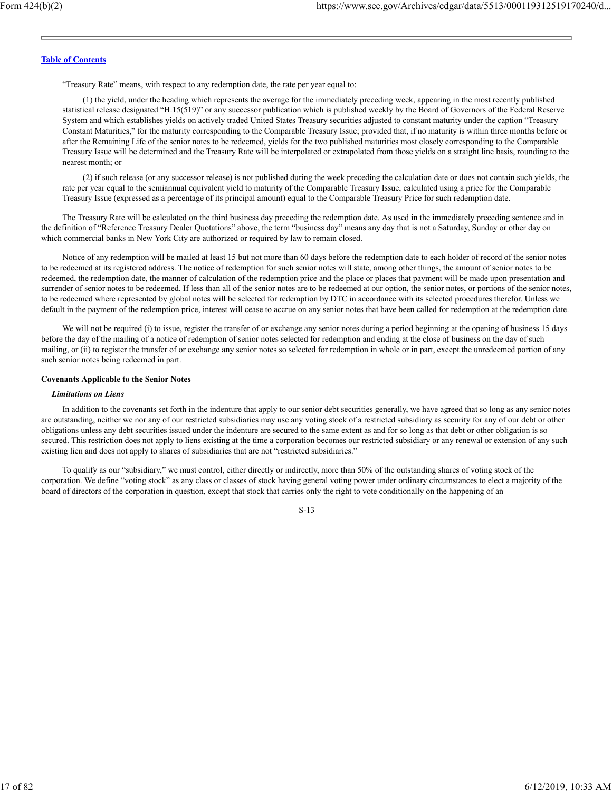"Treasury Rate" means, with respect to any redemption date, the rate per year equal to:

(1) the yield, under the heading which represents the average for the immediately preceding week, appearing in the most recently published statistical release designated "H.15(519)" or any successor publication which is published weekly by the Board of Governors of the Federal Reserve System and which establishes yields on actively traded United States Treasury securities adjusted to constant maturity under the caption "Treasury Constant Maturities," for the maturity corresponding to the Comparable Treasury Issue; provided that, if no maturity is within three months before or after the Remaining Life of the senior notes to be redeemed, yields for the two published maturities most closely corresponding to the Comparable Treasury Issue will be determined and the Treasury Rate will be interpolated or extrapolated from those yields on a straight line basis, rounding to the nearest month; or

(2) if such release (or any successor release) is not published during the week preceding the calculation date or does not contain such yields, the rate per year equal to the semiannual equivalent yield to maturity of the Comparable Treasury Issue, calculated using a price for the Comparable Treasury Issue (expressed as a percentage of its principal amount) equal to the Comparable Treasury Price for such redemption date.

The Treasury Rate will be calculated on the third business day preceding the redemption date. As used in the immediately preceding sentence and in the definition of "Reference Treasury Dealer Quotations" above, the term "business day" means any day that is not a Saturday, Sunday or other day on which commercial banks in New York City are authorized or required by law to remain closed.

Notice of any redemption will be mailed at least 15 but not more than 60 days before the redemption date to each holder of record of the senior notes to be redeemed at its registered address. The notice of redemption for such senior notes will state, among other things, the amount of senior notes to be redeemed, the redemption date, the manner of calculation of the redemption price and the place or places that payment will be made upon presentation and surrender of senior notes to be redeemed. If less than all of the senior notes are to be redeemed at our option, the senior notes, or portions of the senior notes, to be redeemed where represented by global notes will be selected for redemption by DTC in accordance with its selected procedures therefor. Unless we default in the payment of the redemption price, interest will cease to accrue on any senior notes that have been called for redemption at the redemption date.

We will not be required (i) to issue, register the transfer of or exchange any senior notes during a period beginning at the opening of business 15 days before the day of the mailing of a notice of redemption of senior notes selected for redemption and ending at the close of business on the day of such mailing, or (ii) to register the transfer of or exchange any senior notes so selected for redemption in whole or in part, except the unredeemed portion of any such senior notes being redeemed in part.

#### **Covenants Applicable to the Senior Notes**

#### *Limitations on Liens*

In addition to the covenants set forth in the indenture that apply to our senior debt securities generally, we have agreed that so long as any senior notes are outstanding, neither we nor any of our restricted subsidiaries may use any voting stock of a restricted subsidiary as security for any of our debt or other obligations unless any debt securities issued under the indenture are secured to the same extent as and for so long as that debt or other obligation is so secured. This restriction does not apply to liens existing at the time a corporation becomes our restricted subsidiary or any renewal or extension of any such existing lien and does not apply to shares of subsidiaries that are not "restricted subsidiaries."

To qualify as our "subsidiary," we must control, either directly or indirectly, more than 50% of the outstanding shares of voting stock of the corporation. We define "voting stock" as any class or classes of stock having general voting power under ordinary circumstances to elect a majority of the board of directors of the corporation in question, except that stock that carries only the right to vote conditionally on the happening of an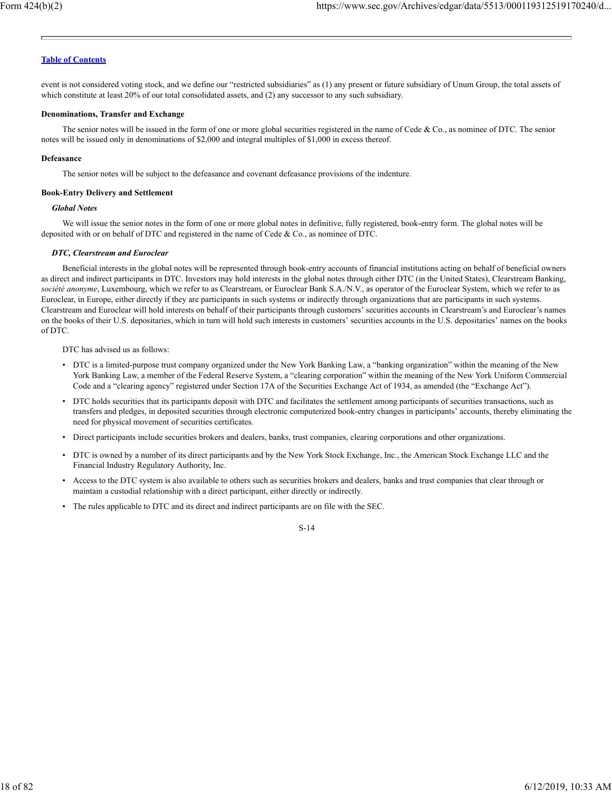event is not considered voting stock, and we define our "restricted subsidiaries" as (1) any present or future subsidiary of Unum Group, the total assets of which constitute at least 20% of our total consolidated assets, and (2) any successor to any such subsidiary.

## **Denominations, Transfer and Exchange**

The senior notes will be issued in the form of one or more global securities registered in the name of Cede & Co., as nominee of DTC. The senior notes will be issued only in denominations of \$2,000 and integral multiples of \$1,000 in excess thereof.

#### **Defeasance**

The senior notes will be subject to the defeasance and covenant defeasance provisions of the indenture.

#### **Book-Entry Delivery and Settlement**

#### *Global Notes*

We will issue the senior notes in the form of one or more global notes in definitive, fully registered, book-entry form. The global notes will be deposited with or on behalf of DTC and registered in the name of Cede & Co., as nominee of DTC.

#### *DTC, Clearstream and Euroclear*

Beneficial interests in the global notes will be represented through book-entry accounts of financial institutions acting on behalf of beneficial owners as direct and indirect participants in DTC. Investors may hold interests in the global notes through either DTC (in the United States), Clearstream Banking, *société anonyme*, Luxembourg, which we refer to as Clearstream, or Euroclear Bank S.A./N.V., as operator of the Euroclear System, which we refer to as Euroclear, in Europe, either directly if they are participants in such systems or indirectly through organizations that are participants in such systems. Clearstream and Euroclear will hold interests on behalf of their participants through customers' securities accounts in Clearstream's and Euroclear's names on the books of their U.S. depositaries, which in turn will hold such interests in customers' securities accounts in the U.S. depositaries' names on the books of DTC.

DTC has advised us as follows:

- DTC is a limited-purpose trust company organized under the New York Banking Law, a "banking organization" within the meaning of the New York Banking Law, a member of the Federal Reserve System, a "clearing corporation" within the meaning of the New York Uniform Commercial Code and a "clearing agency" registered under Section 17A of the Securities Exchange Act of 1934, as amended (the "Exchange Act").
- DTC holds securities that its participants deposit with DTC and facilitates the settlement among participants of securities transactions, such as transfers and pledges, in deposited securities through electronic computerized book-entry changes in participants' accounts, thereby eliminating the need for physical movement of securities certificates.
- Direct participants include securities brokers and dealers, banks, trust companies, clearing corporations and other organizations.
- DTC is owned by a number of its direct participants and by the New York Stock Exchange, Inc., the American Stock Exchange LLC and the Financial Industry Regulatory Authority, Inc.
- Access to the DTC system is also available to others such as securities brokers and dealers, banks and trust companies that clear through or maintain a custodial relationship with a direct participant, either directly or indirectly.
- The rules applicable to DTC and its direct and indirect participants are on file with the SEC.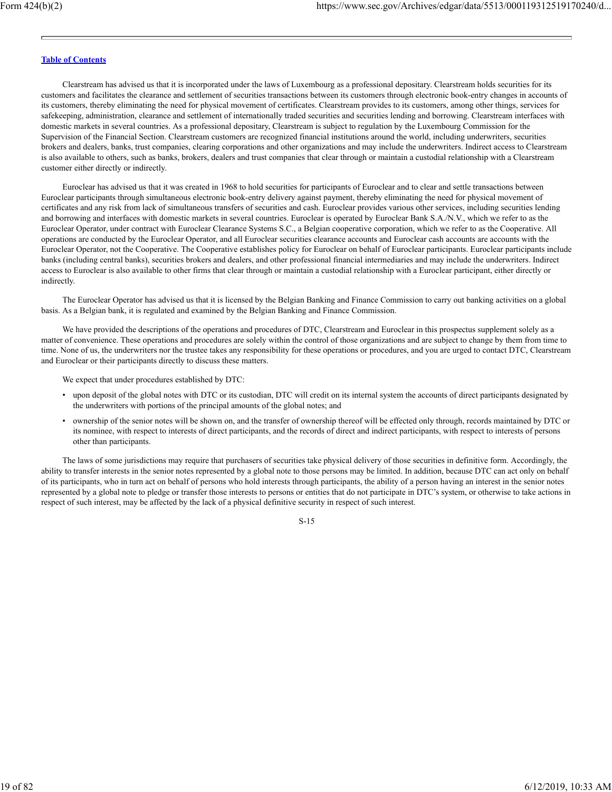Clearstream has advised us that it is incorporated under the laws of Luxembourg as a professional depositary. Clearstream holds securities for its customers and facilitates the clearance and settlement of securities transactions between its customers through electronic book-entry changes in accounts of its customers, thereby eliminating the need for physical movement of certificates. Clearstream provides to its customers, among other things, services for safekeeping, administration, clearance and settlement of internationally traded securities and securities lending and borrowing. Clearstream interfaces with domestic markets in several countries. As a professional depositary, Clearstream is subject to regulation by the Luxembourg Commission for the Supervision of the Financial Section. Clearstream customers are recognized financial institutions around the world, including underwriters, securities brokers and dealers, banks, trust companies, clearing corporations and other organizations and may include the underwriters. Indirect access to Clearstream is also available to others, such as banks, brokers, dealers and trust companies that clear through or maintain a custodial relationship with a Clearstream customer either directly or indirectly.

Euroclear has advised us that it was created in 1968 to hold securities for participants of Euroclear and to clear and settle transactions between Euroclear participants through simultaneous electronic book-entry delivery against payment, thereby eliminating the need for physical movement of certificates and any risk from lack of simultaneous transfers of securities and cash. Euroclear provides various other services, including securities lending and borrowing and interfaces with domestic markets in several countries. Euroclear is operated by Euroclear Bank S.A./N.V., which we refer to as the Euroclear Operator, under contract with Euroclear Clearance Systems S.C., a Belgian cooperative corporation, which we refer to as the Cooperative. All operations are conducted by the Euroclear Operator, and all Euroclear securities clearance accounts and Euroclear cash accounts are accounts with the Euroclear Operator, not the Cooperative. The Cooperative establishes policy for Euroclear on behalf of Euroclear participants. Euroclear participants include banks (including central banks), securities brokers and dealers, and other professional financial intermediaries and may include the underwriters. Indirect access to Euroclear is also available to other firms that clear through or maintain a custodial relationship with a Euroclear participant, either directly or indirectly.

The Euroclear Operator has advised us that it is licensed by the Belgian Banking and Finance Commission to carry out banking activities on a global basis. As a Belgian bank, it is regulated and examined by the Belgian Banking and Finance Commission.

We have provided the descriptions of the operations and procedures of DTC, Clearstream and Euroclear in this prospectus supplement solely as a matter of convenience. These operations and procedures are solely within the control of those organizations and are subject to change by them from time to time. None of us, the underwriters nor the trustee takes any responsibility for these operations or procedures, and you are urged to contact DTC, Clearstream and Euroclear or their participants directly to discuss these matters.

We expect that under procedures established by DTC:

- upon deposit of the global notes with DTC or its custodian, DTC will credit on its internal system the accounts of direct participants designated by the underwriters with portions of the principal amounts of the global notes; and
- ownership of the senior notes will be shown on, and the transfer of ownership thereof will be effected only through, records maintained by DTC or its nominee, with respect to interests of direct participants, and the records of direct and indirect participants, with respect to interests of persons other than participants.

The laws of some jurisdictions may require that purchasers of securities take physical delivery of those securities in definitive form. Accordingly, the ability to transfer interests in the senior notes represented by a global note to those persons may be limited. In addition, because DTC can act only on behalf of its participants, who in turn act on behalf of persons who hold interests through participants, the ability of a person having an interest in the senior notes represented by a global note to pledge or transfer those interests to persons or entities that do not participate in DTC's system, or otherwise to take actions in respect of such interest, may be affected by the lack of a physical definitive security in respect of such interest.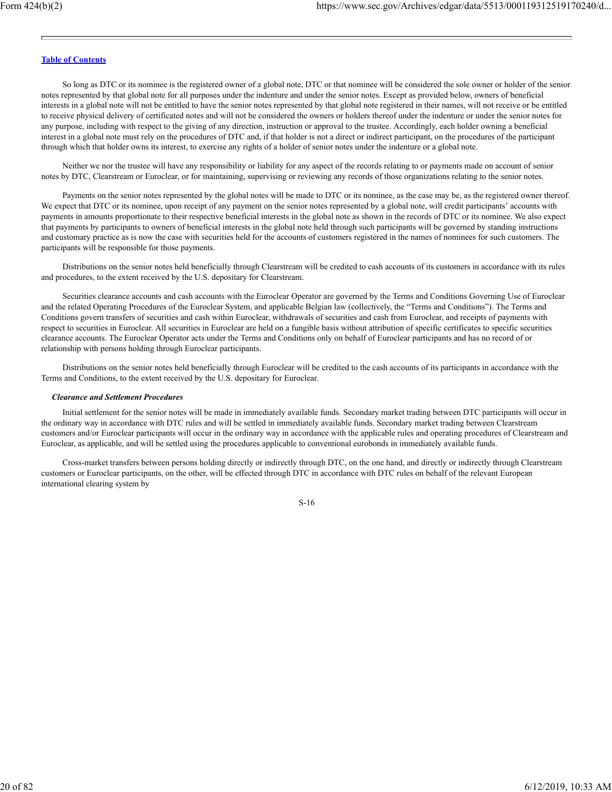So long as DTC or its nominee is the registered owner of a global note, DTC or that nominee will be considered the sole owner or holder of the senior notes represented by that global note for all purposes under the indenture and under the senior notes. Except as provided below, owners of beneficial interests in a global note will not be entitled to have the senior notes represented by that global note registered in their names, will not receive or be entitled to receive physical delivery of certificated notes and will not be considered the owners or holders thereof under the indenture or under the senior notes for any purpose, including with respect to the giving of any direction, instruction or approval to the trustee. Accordingly, each holder owning a beneficial interest in a global note must rely on the procedures of DTC and, if that holder is not a direct or indirect participant, on the procedures of the participant through which that holder owns its interest, to exercise any rights of a holder of senior notes under the indenture or a global note.

Neither we nor the trustee will have any responsibility or liability for any aspect of the records relating to or payments made on account of senior notes by DTC, Clearstream or Euroclear, or for maintaining, supervising or reviewing any records of those organizations relating to the senior notes.

Payments on the senior notes represented by the global notes will be made to DTC or its nominee, as the case may be, as the registered owner thereof. We expect that DTC or its nominee, upon receipt of any payment on the senior notes represented by a global note, will credit participants' accounts with payments in amounts proportionate to their respective beneficial interests in the global note as shown in the records of DTC or its nominee. We also expect that payments by participants to owners of beneficial interests in the global note held through such participants will be governed by standing instructions and customary practice as is now the case with securities held for the accounts of customers registered in the names of nominees for such customers. The participants will be responsible for those payments.

Distributions on the senior notes held beneficially through Clearstream will be credited to cash accounts of its customers in accordance with its rules and procedures, to the extent received by the U.S. depositary for Clearstream.

Securities clearance accounts and cash accounts with the Euroclear Operator are governed by the Terms and Conditions Governing Use of Euroclear and the related Operating Procedures of the Euroclear System, and applicable Belgian law (collectively, the "Terms and Conditions"). The Terms and Conditions govern transfers of securities and cash within Euroclear, withdrawals of securities and cash from Euroclear, and receipts of payments with respect to securities in Euroclear. All securities in Euroclear are held on a fungible basis without attribution of specific certificates to specific securities clearance accounts. The Euroclear Operator acts under the Terms and Conditions only on behalf of Euroclear participants and has no record of or relationship with persons holding through Euroclear participants.

Distributions on the senior notes held beneficially through Euroclear will be credited to the cash accounts of its participants in accordance with the Terms and Conditions, to the extent received by the U.S. depositary for Euroclear.

#### *Clearance and Settlement Procedures*

Initial settlement for the senior notes will be made in immediately available funds. Secondary market trading between DTC participants will occur in the ordinary way in accordance with DTC rules and will be settled in immediately available funds. Secondary market trading between Clearstream customers and/or Euroclear participants will occur in the ordinary way in accordance with the applicable rules and operating procedures of Clearstream and Euroclear, as applicable, and will be settled using the procedures applicable to conventional eurobonds in immediately available funds.

Cross-market transfers between persons holding directly or indirectly through DTC, on the one hand, and directly or indirectly through Clearstream customers or Euroclear participants, on the other, will be effected through DTC in accordance with DTC rules on behalf of the relevant European international clearing system by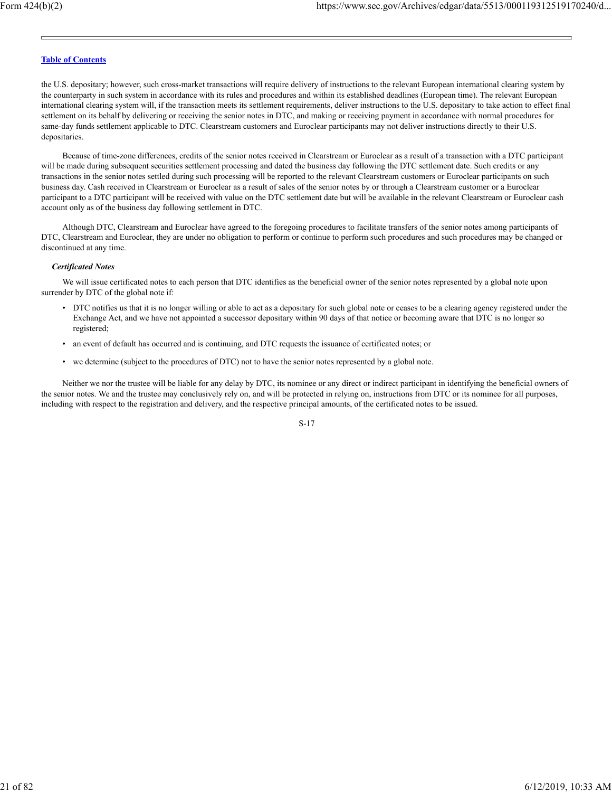the U.S. depositary; however, such cross-market transactions will require delivery of instructions to the relevant European international clearing system by the counterparty in such system in accordance with its rules and procedures and within its established deadlines (European time). The relevant European international clearing system will, if the transaction meets its settlement requirements, deliver instructions to the U.S. depositary to take action to effect final settlement on its behalf by delivering or receiving the senior notes in DTC, and making or receiving payment in accordance with normal procedures for same-day funds settlement applicable to DTC. Clearstream customers and Euroclear participants may not deliver instructions directly to their U.S. depositaries.

Because of time-zone differences, credits of the senior notes received in Clearstream or Euroclear as a result of a transaction with a DTC participant will be made during subsequent securities settlement processing and dated the business day following the DTC settlement date. Such credits or any transactions in the senior notes settled during such processing will be reported to the relevant Clearstream customers or Euroclear participants on such business day. Cash received in Clearstream or Euroclear as a result of sales of the senior notes by or through a Clearstream customer or a Euroclear participant to a DTC participant will be received with value on the DTC settlement date but will be available in the relevant Clearstream or Euroclear cash account only as of the business day following settlement in DTC.

Although DTC, Clearstream and Euroclear have agreed to the foregoing procedures to facilitate transfers of the senior notes among participants of DTC, Clearstream and Euroclear, they are under no obligation to perform or continue to perform such procedures and such procedures may be changed or discontinued at any time.

## *Certificated Notes*

We will issue certificated notes to each person that DTC identifies as the beneficial owner of the senior notes represented by a global note upon surrender by DTC of the global note if:

- DTC notifies us that it is no longer willing or able to act as a depositary for such global note or ceases to be a clearing agency registered under the Exchange Act, and we have not appointed a successor depositary within 90 days of that notice or becoming aware that DTC is no longer so registered;
- an event of default has occurred and is continuing, and DTC requests the issuance of certificated notes; or
- we determine (subject to the procedures of DTC) not to have the senior notes represented by a global note.

Neither we nor the trustee will be liable for any delay by DTC, its nominee or any direct or indirect participant in identifying the beneficial owners of the senior notes. We and the trustee may conclusively rely on, and will be protected in relying on, instructions from DTC or its nominee for all purposes, including with respect to the registration and delivery, and the respective principal amounts, of the certificated notes to be issued.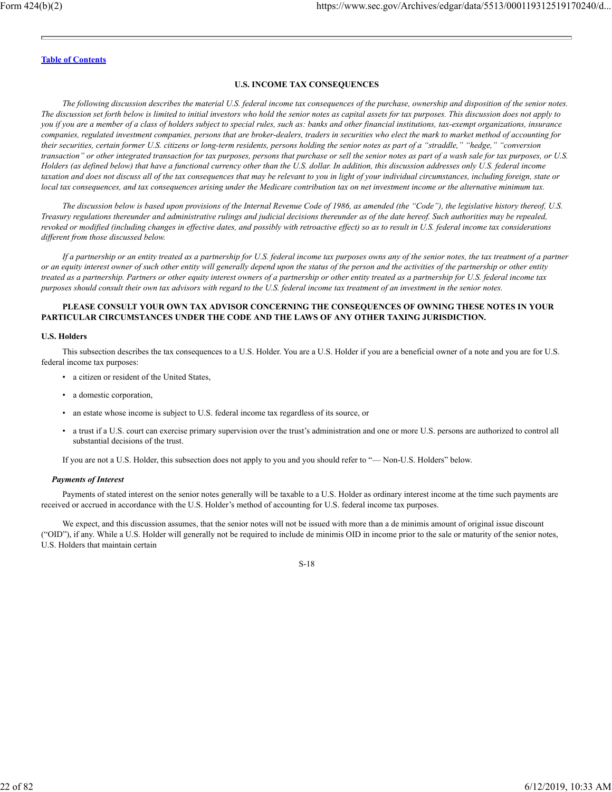## **U.S. INCOME TAX CONSEQUENCES**

*The following discussion describes the material U.S. federal income tax consequences of the purchase, ownership and disposition of the senior notes. The discussion set forth below is limited to initial investors who hold the senior notes as capital assets for tax purposes. This discussion does not apply to you if you are a member of a class of holders subject to special rules, such as: banks and other financial institutions, tax-exempt organizations, insurance companies, regulated investment companies, persons that are broker-dealers, traders in securities who elect the mark to market method of accounting for their securities, certain former U.S. citizens or long-term residents, persons holding the senior notes as part of a "straddle," "hedge," "conversion transaction" or other integrated transaction for tax purposes, persons that purchase or sell the senior notes as part of a wash sale for tax purposes, or U.S. Holders (as defined below) that have a functional currency other than the U.S. dollar. In addition, this discussion addresses only U.S. federal income taxation and does not discuss all of the tax consequences that may be relevant to you in light of your individual circumstances, including foreign, state or local tax consequences, and tax consequences arising under the Medicare contribution tax on net investment income or the alternative minimum tax.*

*The discussion below is based upon provisions of the Internal Revenue Code of 1986, as amended (the "Code"), the legislative history thereof, U.S. Treasury regulations thereunder and administrative rulings and judicial decisions thereunder as of the date hereof. Such authorities may be repealed, revoked or modified (including changes in effective dates, and possibly with retroactive effect) so as to result in U.S. federal income tax considerations different from those discussed below.*

*If a partnership or an entity treated as a partnership for U.S. federal income tax purposes owns any of the senior notes, the tax treatment of a partner or an equity interest owner of such other entity will generally depend upon the status of the person and the activities of the partnership or other entity treated as a partnership. Partners or other equity interest owners of a partnership or other entity treated as a partnership for U.S. federal income tax purposes should consult their own tax advisors with regard to the U.S. federal income tax treatment of an investment in the senior notes.*

## **PLEASE CONSULT YOUR OWN TAX ADVISOR CONCERNING THE CONSEQUENCES OF OWNING THESE NOTES IN YOUR PARTICULAR CIRCUMSTANCES UNDER THE CODE AND THE LAWS OF ANY OTHER TAXING JURISDICTION.**

#### **U.S. Holders**

This subsection describes the tax consequences to a U.S. Holder. You are a U.S. Holder if you are a beneficial owner of a note and you are for U.S. federal income tax purposes:

- a citizen or resident of the United States,
- a domestic corporation,
- an estate whose income is subject to U.S. federal income tax regardless of its source, or
- a trust if a U.S. court can exercise primary supervision over the trust's administration and one or more U.S. persons are authorized to control all substantial decisions of the trust.

If you are not a U.S. Holder, this subsection does not apply to you and you should refer to "— Non-U.S. Holders" below.

#### *Payments of Interest*

Payments of stated interest on the senior notes generally will be taxable to a U.S. Holder as ordinary interest income at the time such payments are received or accrued in accordance with the U.S. Holder's method of accounting for U.S. federal income tax purposes.

We expect, and this discussion assumes, that the senior notes will not be issued with more than a de minimis amount of original issue discount ("OID"), if any. While a U.S. Holder will generally not be required to include de minimis OID in income prior to the sale or maturity of the senior notes, U.S. Holders that maintain certain

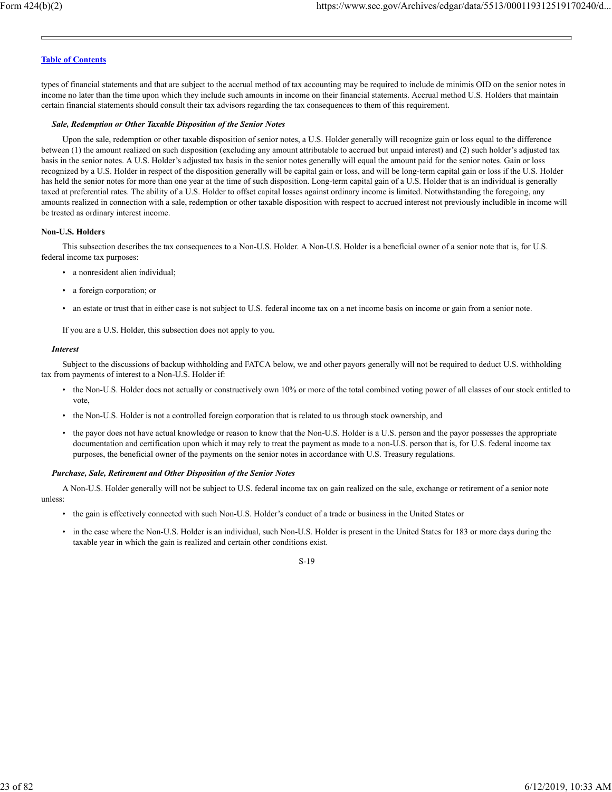types of financial statements and that are subject to the accrual method of tax accounting may be required to include de minimis OID on the senior notes in income no later than the time upon which they include such amounts in income on their financial statements. Accrual method U.S. Holders that maintain certain financial statements should consult their tax advisors regarding the tax consequences to them of this requirement.

#### *Sale, Redemption or Other Taxable Disposition of the Senior Notes*

Upon the sale, redemption or other taxable disposition of senior notes, a U.S. Holder generally will recognize gain or loss equal to the difference between (1) the amount realized on such disposition (excluding any amount attributable to accrued but unpaid interest) and (2) such holder's adjusted tax basis in the senior notes. A U.S. Holder's adjusted tax basis in the senior notes generally will equal the amount paid for the senior notes. Gain or loss recognized by a U.S. Holder in respect of the disposition generally will be capital gain or loss, and will be long-term capital gain or loss if the U.S. Holder has held the senior notes for more than one year at the time of such disposition. Long-term capital gain of a U.S. Holder that is an individual is generally taxed at preferential rates. The ability of a U.S. Holder to offset capital losses against ordinary income is limited. Notwithstanding the foregoing, any amounts realized in connection with a sale, redemption or other taxable disposition with respect to accrued interest not previously includible in income will be treated as ordinary interest income.

#### **Non-U.S. Holders**

This subsection describes the tax consequences to a Non-U.S. Holder. A Non-U.S. Holder is a beneficial owner of a senior note that is, for U.S. federal income tax purposes:

- a nonresident alien individual;
- a foreign corporation; or
- an estate or trust that in either case is not subject to U.S. federal income tax on a net income basis on income or gain from a senior note.

If you are a U.S. Holder, this subsection does not apply to you.

#### *Interest*

Subject to the discussions of backup withholding and FATCA below, we and other payors generally will not be required to deduct U.S. withholding tax from payments of interest to a Non-U.S. Holder if:

- the Non-U.S. Holder does not actually or constructively own 10% or more of the total combined voting power of all classes of our stock entitled to vote,
- the Non-U.S. Holder is not a controlled foreign corporation that is related to us through stock ownership, and
- the payor does not have actual knowledge or reason to know that the Non-U.S. Holder is a U.S. person and the payor possesses the appropriate documentation and certification upon which it may rely to treat the payment as made to a non-U.S. person that is, for U.S. federal income tax purposes, the beneficial owner of the payments on the senior notes in accordance with U.S. Treasury regulations.

#### *Purchase, Sale, Retirement and Other Disposition of the Senior Notes*

A Non-U.S. Holder generally will not be subject to U.S. federal income tax on gain realized on the sale, exchange or retirement of a senior note unless:

- the gain is effectively connected with such Non-U.S. Holder's conduct of a trade or business in the United States or
- in the case where the Non-U.S. Holder is an individual, such Non-U.S. Holder is present in the United States for 183 or more days during the taxable year in which the gain is realized and certain other conditions exist.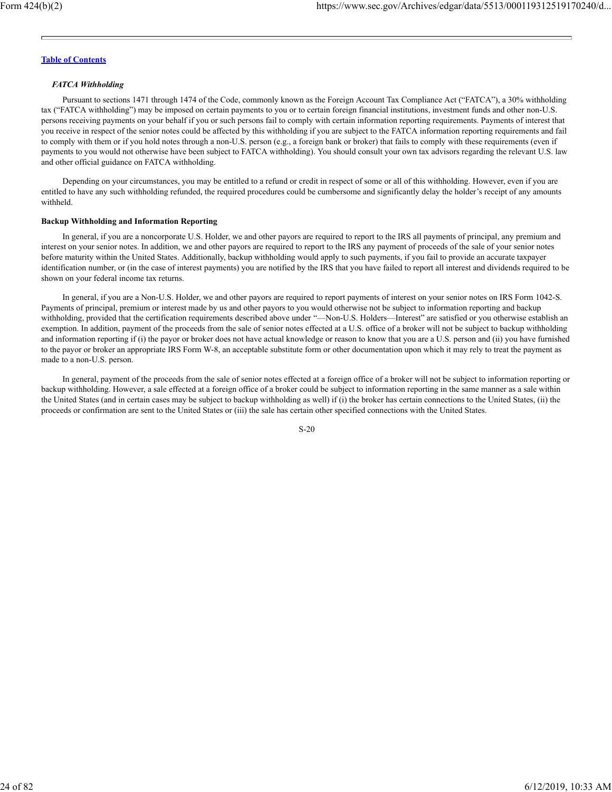## *FATCA Withholding*

Pursuant to sections 1471 through 1474 of the Code, commonly known as the Foreign Account Tax Compliance Act ("FATCA"), a 30% withholding tax ("FATCA withholding") may be imposed on certain payments to you or to certain foreign financial institutions, investment funds and other non-U.S. persons receiving payments on your behalf if you or such persons fail to comply with certain information reporting requirements. Payments of interest that you receive in respect of the senior notes could be affected by this withholding if you are subject to the FATCA information reporting requirements and fail to comply with them or if you hold notes through a non-U.S. person (e.g., a foreign bank or broker) that fails to comply with these requirements (even if payments to you would not otherwise have been subject to FATCA withholding). You should consult your own tax advisors regarding the relevant U.S. law and other official guidance on FATCA withholding.

Depending on your circumstances, you may be entitled to a refund or credit in respect of some or all of this withholding. However, even if you are entitled to have any such withholding refunded, the required procedures could be cumbersome and significantly delay the holder's receipt of any amounts withheld.

## **Backup Withholding and Information Reporting**

In general, if you are a noncorporate U.S. Holder, we and other payors are required to report to the IRS all payments of principal, any premium and interest on your senior notes. In addition, we and other payors are required to report to the IRS any payment of proceeds of the sale of your senior notes before maturity within the United States. Additionally, backup withholding would apply to such payments, if you fail to provide an accurate taxpayer identification number, or (in the case of interest payments) you are notified by the IRS that you have failed to report all interest and dividends required to be shown on your federal income tax returns.

In general, if you are a Non-U.S. Holder, we and other payors are required to report payments of interest on your senior notes on IRS Form 1042-S. Payments of principal, premium or interest made by us and other payors to you would otherwise not be subject to information reporting and backup withholding, provided that the certification requirements described above under "—Non-U.S. Holders—Interest" are satisfied or you otherwise establish an exemption. In addition, payment of the proceeds from the sale of senior notes effected at a U.S. office of a broker will not be subject to backup withholding and information reporting if (i) the payor or broker does not have actual knowledge or reason to know that you are a U.S. person and (ii) you have furnished to the payor or broker an appropriate IRS Form W-8, an acceptable substitute form or other documentation upon which it may rely to treat the payment as made to a non-U.S. person.

In general, payment of the proceeds from the sale of senior notes effected at a foreign office of a broker will not be subject to information reporting or backup withholding. However, a sale effected at a foreign office of a broker could be subject to information reporting in the same manner as a sale within the United States (and in certain cases may be subject to backup withholding as well) if (i) the broker has certain connections to the United States, (ii) the proceeds or confirmation are sent to the United States or (iii) the sale has certain other specified connections with the United States.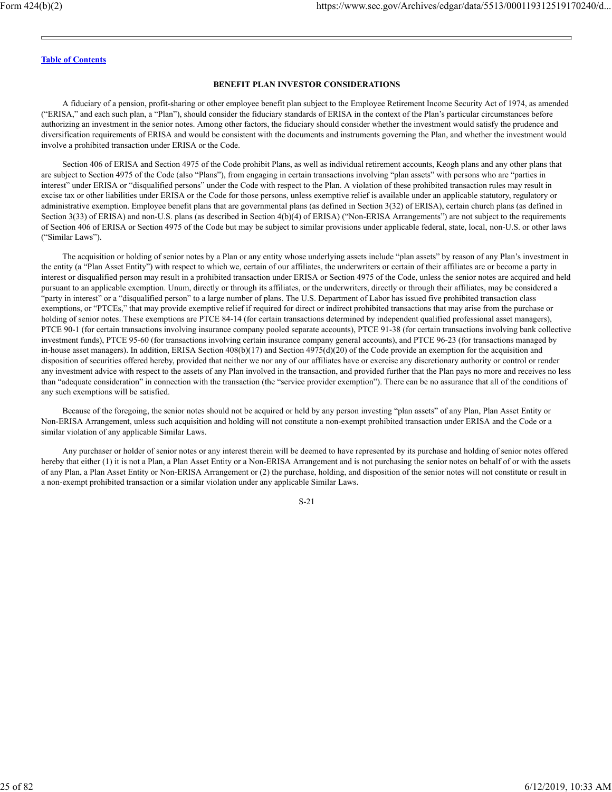#### **BENEFIT PLAN INVESTOR CONSIDERATIONS**

A fiduciary of a pension, profit-sharing or other employee benefit plan subject to the Employee Retirement Income Security Act of 1974, as amended ("ERISA," and each such plan, a "Plan"), should consider the fiduciary standards of ERISA in the context of the Plan's particular circumstances before authorizing an investment in the senior notes. Among other factors, the fiduciary should consider whether the investment would satisfy the prudence and diversification requirements of ERISA and would be consistent with the documents and instruments governing the Plan, and whether the investment would involve a prohibited transaction under ERISA or the Code.

Section 406 of ERISA and Section 4975 of the Code prohibit Plans, as well as individual retirement accounts, Keogh plans and any other plans that are subject to Section 4975 of the Code (also "Plans"), from engaging in certain transactions involving "plan assets" with persons who are "parties in interest" under ERISA or "disqualified persons" under the Code with respect to the Plan. A violation of these prohibited transaction rules may result in excise tax or other liabilities under ERISA or the Code for those persons, unless exemptive relief is available under an applicable statutory, regulatory or administrative exemption. Employee benefit plans that are governmental plans (as defined in Section 3(32) of ERISA), certain church plans (as defined in Section 3(33) of ERISA) and non-U.S. plans (as described in Section 4(b)(4) of ERISA) ("Non-ERISA Arrangements") are not subject to the requirements of Section 406 of ERISA or Section 4975 of the Code but may be subject to similar provisions under applicable federal, state, local, non-U.S. or other laws ("Similar Laws").

The acquisition or holding of senior notes by a Plan or any entity whose underlying assets include "plan assets" by reason of any Plan's investment in the entity (a "Plan Asset Entity") with respect to which we, certain of our affiliates, the underwriters or certain of their affiliates are or become a party in interest or disqualified person may result in a prohibited transaction under ERISA or Section 4975 of the Code, unless the senior notes are acquired and held pursuant to an applicable exemption. Unum, directly or through its affiliates, or the underwriters, directly or through their affiliates, may be considered a "party in interest" or a "disqualified person" to a large number of plans. The U.S. Department of Labor has issued five prohibited transaction class exemptions, or "PTCEs," that may provide exemptive relief if required for direct or indirect prohibited transactions that may arise from the purchase or holding of senior notes. These exemptions are PTCE 84-14 (for certain transactions determined by independent qualified professional asset managers), PTCE 90-1 (for certain transactions involving insurance company pooled separate accounts), PTCE 91-38 (for certain transactions involving bank collective investment funds), PTCE 95-60 (for transactions involving certain insurance company general accounts), and PTCE 96-23 (for transactions managed by in-house asset managers). In addition, ERISA Section 408(b)(17) and Section 4975(d)(20) of the Code provide an exemption for the acquisition and disposition of securities offered hereby, provided that neither we nor any of our affiliates have or exercise any discretionary authority or control or render any investment advice with respect to the assets of any Plan involved in the transaction, and provided further that the Plan pays no more and receives no less than "adequate consideration" in connection with the transaction (the "service provider exemption"). There can be no assurance that all of the conditions of any such exemptions will be satisfied.

Because of the foregoing, the senior notes should not be acquired or held by any person investing "plan assets" of any Plan, Plan Asset Entity or Non-ERISA Arrangement, unless such acquisition and holding will not constitute a non-exempt prohibited transaction under ERISA and the Code or a similar violation of any applicable Similar Laws.

Any purchaser or holder of senior notes or any interest therein will be deemed to have represented by its purchase and holding of senior notes offered hereby that either (1) it is not a Plan, a Plan Asset Entity or a Non-ERISA Arrangement and is not purchasing the senior notes on behalf of or with the assets of any Plan, a Plan Asset Entity or Non-ERISA Arrangement or (2) the purchase, holding, and disposition of the senior notes will not constitute or result in a non-exempt prohibited transaction or a similar violation under any applicable Similar Laws.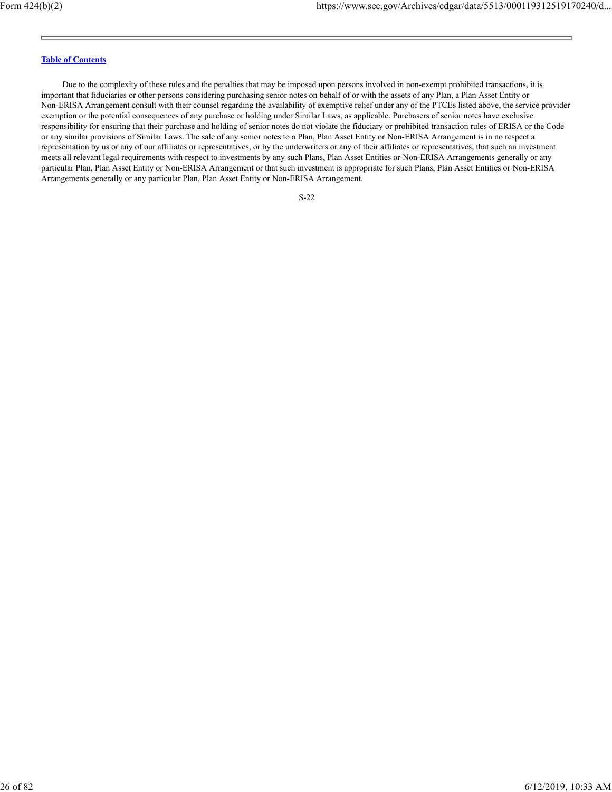Due to the complexity of these rules and the penalties that may be imposed upon persons involved in non-exempt prohibited transactions, it is important that fiduciaries or other persons considering purchasing senior notes on behalf of or with the assets of any Plan, a Plan Asset Entity or Non-ERISA Arrangement consult with their counsel regarding the availability of exemptive relief under any of the PTCEs listed above, the service provider exemption or the potential consequences of any purchase or holding under Similar Laws, as applicable. Purchasers of senior notes have exclusive responsibility for ensuring that their purchase and holding of senior notes do not violate the fiduciary or prohibited transaction rules of ERISA or the Code or any similar provisions of Similar Laws. The sale of any senior notes to a Plan, Plan Asset Entity or Non-ERISA Arrangement is in no respect a representation by us or any of our affiliates or representatives, or by the underwriters or any of their affiliates or representatives, that such an investment meets all relevant legal requirements with respect to investments by any such Plans, Plan Asset Entities or Non-ERISA Arrangements generally or any particular Plan, Plan Asset Entity or Non-ERISA Arrangement or that such investment is appropriate for such Plans, Plan Asset Entities or Non-ERISA Arrangements generally or any particular Plan, Plan Asset Entity or Non-ERISA Arrangement.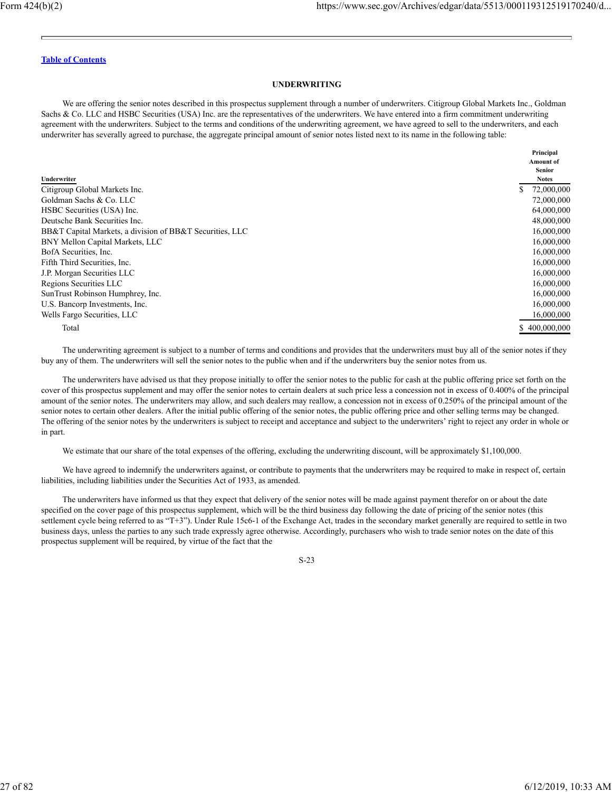#### **UNDERWRITING**

We are offering the senior notes described in this prospectus supplement through a number of underwriters. Citigroup Global Markets Inc., Goldman Sachs & Co. LLC and HSBC Securities (USA) Inc. are the representatives of the underwriters. We have entered into a firm commitment underwriting agreement with the underwriters. Subject to the terms and conditions of the underwriting agreement, we have agreed to sell to the underwriters, and each underwriter has severally agreed to purchase, the aggregate principal amount of senior notes listed next to its name in the following table:

| Underwriter                                              | Principal<br><b>Amount of</b><br><b>Senior</b><br><b>Notes</b> |
|----------------------------------------------------------|----------------------------------------------------------------|
| Citigroup Global Markets Inc.                            | 72,000,000                                                     |
| Goldman Sachs & Co. LLC                                  | 72,000,000                                                     |
| HSBC Securities (USA) Inc.                               | 64,000,000                                                     |
| Deutsche Bank Securities Inc.                            | 48,000,000                                                     |
| BB&T Capital Markets, a division of BB&T Securities, LLC | 16,000,000                                                     |
| BNY Mellon Capital Markets, LLC                          | 16,000,000                                                     |
| BofA Securities, Inc.                                    | 16,000,000                                                     |
| Fifth Third Securities, Inc.                             | 16,000,000                                                     |
| J.P. Morgan Securities LLC                               | 16,000,000                                                     |
| Regions Securities LLC                                   | 16,000,000                                                     |
| SunTrust Robinson Humphrey, Inc.                         | 16,000,000                                                     |
| U.S. Bancorp Investments, Inc.                           | 16,000,000                                                     |
| Wells Fargo Securities, LLC                              | 16,000,000                                                     |
| Total                                                    | \$400,000,000                                                  |

The underwriting agreement is subject to a number of terms and conditions and provides that the underwriters must buy all of the senior notes if they buy any of them. The underwriters will sell the senior notes to the public when and if the underwriters buy the senior notes from us.

The underwriters have advised us that they propose initially to offer the senior notes to the public for cash at the public offering price set forth on the cover of this prospectus supplement and may offer the senior notes to certain dealers at such price less a concession not in excess of 0.400% of the principal amount of the senior notes. The underwriters may allow, and such dealers may reallow, a concession not in excess of 0.250% of the principal amount of the senior notes to certain other dealers. After the initial public offering of the senior notes, the public offering price and other selling terms may be changed. The offering of the senior notes by the underwriters is subject to receipt and acceptance and subject to the underwriters' right to reject any order in whole or in part.

We estimate that our share of the total expenses of the offering, excluding the underwriting discount, will be approximately \$1,100,000.

We have agreed to indemnify the underwriters against, or contribute to payments that the underwriters may be required to make in respect of, certain liabilities, including liabilities under the Securities Act of 1933, as amended.

The underwriters have informed us that they expect that delivery of the senior notes will be made against payment therefor on or about the date specified on the cover page of this prospectus supplement, which will be the third business day following the date of pricing of the senior notes (this settlement cycle being referred to as "T+3"). Under Rule 15c6-1 of the Exchange Act, trades in the secondary market generally are required to settle in two business days, unless the parties to any such trade expressly agree otherwise. Accordingly, purchasers who wish to trade senior notes on the date of this prospectus supplement will be required, by virtue of the fact that the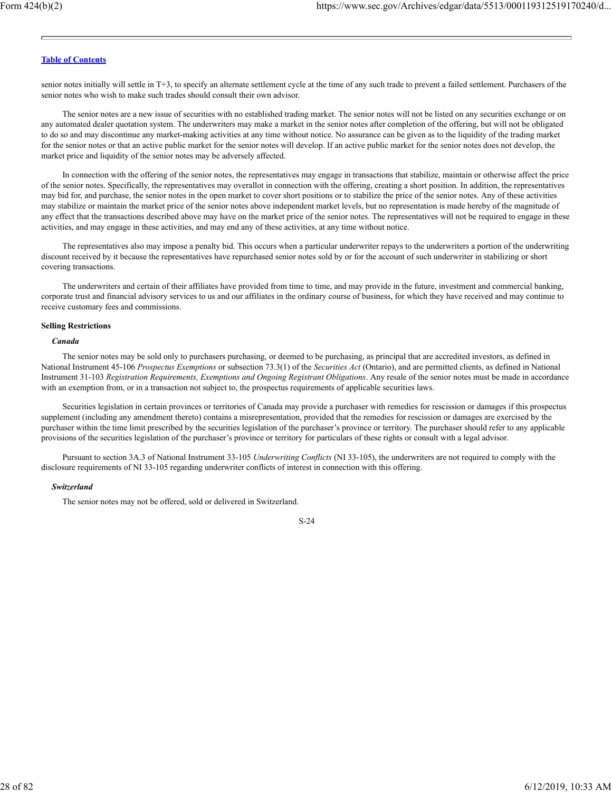senior notes initially will settle in T+3, to specify an alternate settlement cycle at the time of any such trade to prevent a failed settlement. Purchasers of the senior notes who wish to make such trades should consult their own advisor.

The senior notes are a new issue of securities with no established trading market. The senior notes will not be listed on any securities exchange or on any automated dealer quotation system. The underwriters may make a market in the senior notes after completion of the offering, but will not be obligated to do so and may discontinue any market-making activities at any time without notice. No assurance can be given as to the liquidity of the trading market for the senior notes or that an active public market for the senior notes will develop. If an active public market for the senior notes does not develop, the market price and liquidity of the senior notes may be adversely affected.

In connection with the offering of the senior notes, the representatives may engage in transactions that stabilize, maintain or otherwise affect the price of the senior notes. Specifically, the representatives may overallot in connection with the offering, creating a short position. In addition, the representatives may bid for, and purchase, the senior notes in the open market to cover short positions or to stabilize the price of the senior notes. Any of these activities may stabilize or maintain the market price of the senior notes above independent market levels, but no representation is made hereby of the magnitude of any effect that the transactions described above may have on the market price of the senior notes. The representatives will not be required to engage in these activities, and may engage in these activities, and may end any of these activities, at any time without notice.

The representatives also may impose a penalty bid. This occurs when a particular underwriter repays to the underwriters a portion of the underwriting discount received by it because the representatives have repurchased senior notes sold by or for the account of such underwriter in stabilizing or short covering transactions.

The underwriters and certain of their affiliates have provided from time to time, and may provide in the future, investment and commercial banking, corporate trust and financial advisory services to us and our affiliates in the ordinary course of business, for which they have received and may continue to receive customary fees and commissions.

#### **Selling Restrictions**

#### *Canada*

The senior notes may be sold only to purchasers purchasing, or deemed to be purchasing, as principal that are accredited investors, as defined in National Instrument 45-106 *Prospectus Exemptions* or subsection 73.3(1) of the *Securities Act* (Ontario), and are permitted clients, as defined in National Instrument 31-103 *Registration Requirements, Exemptions and Ongoing Registrant Obligations*. Any resale of the senior notes must be made in accordance with an exemption from, or in a transaction not subject to, the prospectus requirements of applicable securities laws.

Securities legislation in certain provinces or territories of Canada may provide a purchaser with remedies for rescission or damages if this prospectus supplement (including any amendment thereto) contains a misrepresentation, provided that the remedies for rescission or damages are exercised by the purchaser within the time limit prescribed by the securities legislation of the purchaser's province or territory. The purchaser should refer to any applicable provisions of the securities legislation of the purchaser's province or territory for particulars of these rights or consult with a legal advisor.

Pursuant to section 3A.3 of National Instrument 33-105 *Underwriting Conflicts* (NI 33-105), the underwriters are not required to comply with the disclosure requirements of NI 33-105 regarding underwriter conflicts of interest in connection with this offering.

#### *Switzerland*

The senior notes may not be offered, sold or delivered in Switzerland.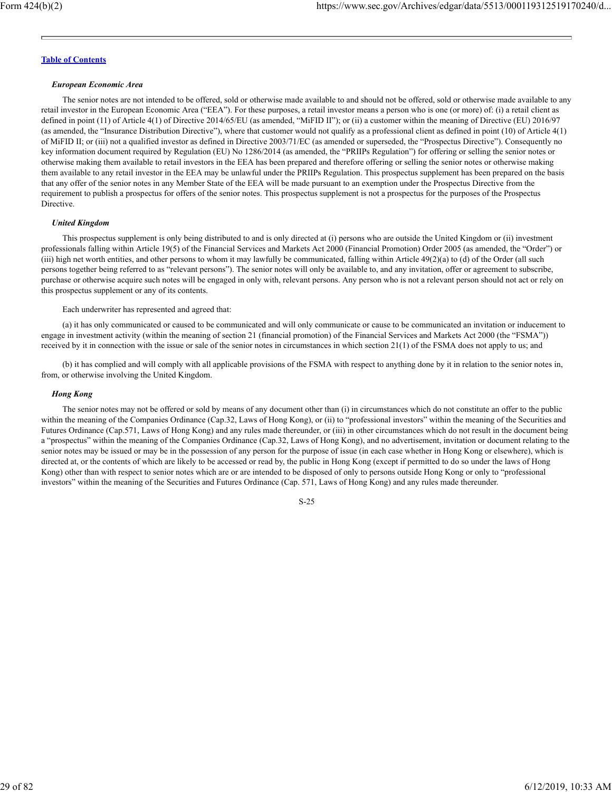#### *European Economic Area*

The senior notes are not intended to be offered, sold or otherwise made available to and should not be offered, sold or otherwise made available to any retail investor in the European Economic Area ("EEA"). For these purposes, a retail investor means a person who is one (or more) of: (i) a retail client as defined in point (11) of Article 4(1) of Directive 2014/65/EU (as amended, "MiFID II"); or (ii) a customer within the meaning of Directive (EU) 2016/97 (as amended, the "Insurance Distribution Directive"), where that customer would not qualify as a professional client as defined in point (10) of Article 4(1) of MiFID II; or (iii) not a qualified investor as defined in Directive 2003/71/EC (as amended or superseded, the "Prospectus Directive"). Consequently no key information document required by Regulation (EU) No 1286/2014 (as amended, the "PRIIPs Regulation") for offering or selling the senior notes or otherwise making them available to retail investors in the EEA has been prepared and therefore offering or selling the senior notes or otherwise making them available to any retail investor in the EEA may be unlawful under the PRIIPs Regulation. This prospectus supplement has been prepared on the basis that any offer of the senior notes in any Member State of the EEA will be made pursuant to an exemption under the Prospectus Directive from the requirement to publish a prospectus for offers of the senior notes. This prospectus supplement is not a prospectus for the purposes of the Prospectus Directive.

#### *United Kingdom*

This prospectus supplement is only being distributed to and is only directed at (i) persons who are outside the United Kingdom or (ii) investment professionals falling within Article 19(5) of the Financial Services and Markets Act 2000 (Financial Promotion) Order 2005 (as amended, the "Order") or (iii) high net worth entities, and other persons to whom it may lawfully be communicated, falling within Article  $49(2)(a)$  to (d) of the Order (all such persons together being referred to as "relevant persons"). The senior notes will only be available to, and any invitation, offer or agreement to subscribe, purchase or otherwise acquire such notes will be engaged in only with, relevant persons. Any person who is not a relevant person should not act or rely on this prospectus supplement or any of its contents.

Each underwriter has represented and agreed that:

(a) it has only communicated or caused to be communicated and will only communicate or cause to be communicated an invitation or inducement to engage in investment activity (within the meaning of section 21 (financial promotion) of the Financial Services and Markets Act 2000 (the "FSMA")) received by it in connection with the issue or sale of the senior notes in circumstances in which section 21(1) of the FSMA does not apply to us; and

(b) it has complied and will comply with all applicable provisions of the FSMA with respect to anything done by it in relation to the senior notes in, from, or otherwise involving the United Kingdom.

#### *Hong Kong*

The senior notes may not be offered or sold by means of any document other than (i) in circumstances which do not constitute an offer to the public within the meaning of the Companies Ordinance (Cap.32, Laws of Hong Kong), or (ii) to "professional investors" within the meaning of the Securities and Futures Ordinance (Cap.571, Laws of Hong Kong) and any rules made thereunder, or (iii) in other circumstances which do not result in the document being a "prospectus" within the meaning of the Companies Ordinance (Cap.32, Laws of Hong Kong), and no advertisement, invitation or document relating to the senior notes may be issued or may be in the possession of any person for the purpose of issue (in each case whether in Hong Kong or elsewhere), which is directed at, or the contents of which are likely to be accessed or read by, the public in Hong Kong (except if permitted to do so under the laws of Hong Kong) other than with respect to senior notes which are or are intended to be disposed of only to persons outside Hong Kong or only to "professional investors" within the meaning of the Securities and Futures Ordinance (Cap. 571, Laws of Hong Kong) and any rules made thereunder.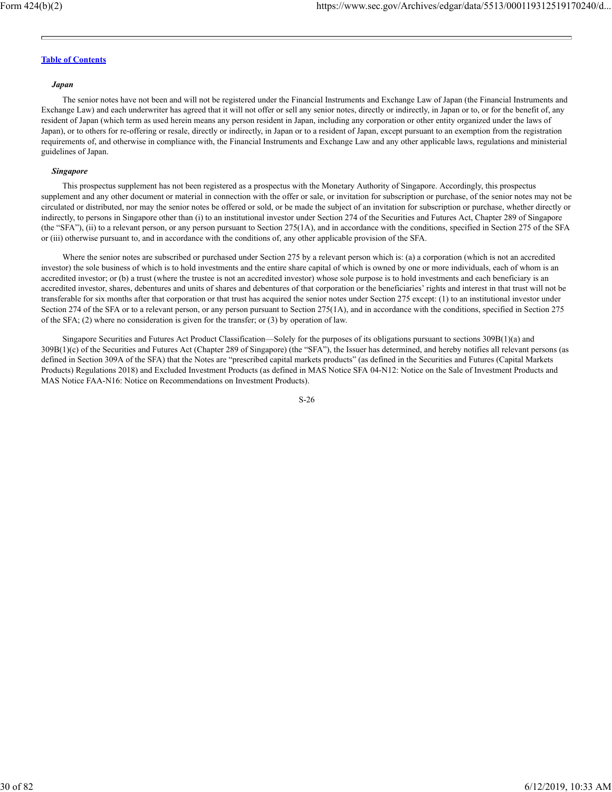#### *Japan*

The senior notes have not been and will not be registered under the Financial Instruments and Exchange Law of Japan (the Financial Instruments and Exchange Law) and each underwriter has agreed that it will not offer or sell any senior notes, directly or indirectly, in Japan or to, or for the benefit of, any resident of Japan (which term as used herein means any person resident in Japan, including any corporation or other entity organized under the laws of Japan), or to others for re-offering or resale, directly or indirectly, in Japan or to a resident of Japan, except pursuant to an exemption from the registration requirements of, and otherwise in compliance with, the Financial Instruments and Exchange Law and any other applicable laws, regulations and ministerial guidelines of Japan.

#### *Singapore*

This prospectus supplement has not been registered as a prospectus with the Monetary Authority of Singapore. Accordingly, this prospectus supplement and any other document or material in connection with the offer or sale, or invitation for subscription or purchase, of the senior notes may not be circulated or distributed, nor may the senior notes be offered or sold, or be made the subject of an invitation for subscription or purchase, whether directly or indirectly, to persons in Singapore other than (i) to an institutional investor under Section 274 of the Securities and Futures Act, Chapter 289 of Singapore (the "SFA"), (ii) to a relevant person, or any person pursuant to Section 275(1A), and in accordance with the conditions, specified in Section 275 of the SFA or (iii) otherwise pursuant to, and in accordance with the conditions of, any other applicable provision of the SFA.

Where the senior notes are subscribed or purchased under Section 275 by a relevant person which is: (a) a corporation (which is not an accredited investor) the sole business of which is to hold investments and the entire share capital of which is owned by one or more individuals, each of whom is an accredited investor; or (b) a trust (where the trustee is not an accredited investor) whose sole purpose is to hold investments and each beneficiary is an accredited investor, shares, debentures and units of shares and debentures of that corporation or the beneficiaries' rights and interest in that trust will not be transferable for six months after that corporation or that trust has acquired the senior notes under Section 275 except: (1) to an institutional investor under Section 274 of the SFA or to a relevant person, or any person pursuant to Section 275(1A), and in accordance with the conditions, specified in Section 275 of the SFA; (2) where no consideration is given for the transfer; or (3) by operation of law.

Singapore Securities and Futures Act Product Classification—Solely for the purposes of its obligations pursuant to sections 309B(1)(a) and 309B(1)(c) of the Securities and Futures Act (Chapter 289 of Singapore) (the "SFA"), the Issuer has determined, and hereby notifies all relevant persons (as defined in Section 309A of the SFA) that the Notes are "prescribed capital markets products" (as defined in the Securities and Futures (Capital Markets Products) Regulations 2018) and Excluded Investment Products (as defined in MAS Notice SFA 04-N12: Notice on the Sale of Investment Products and MAS Notice FAA-N16: Notice on Recommendations on Investment Products).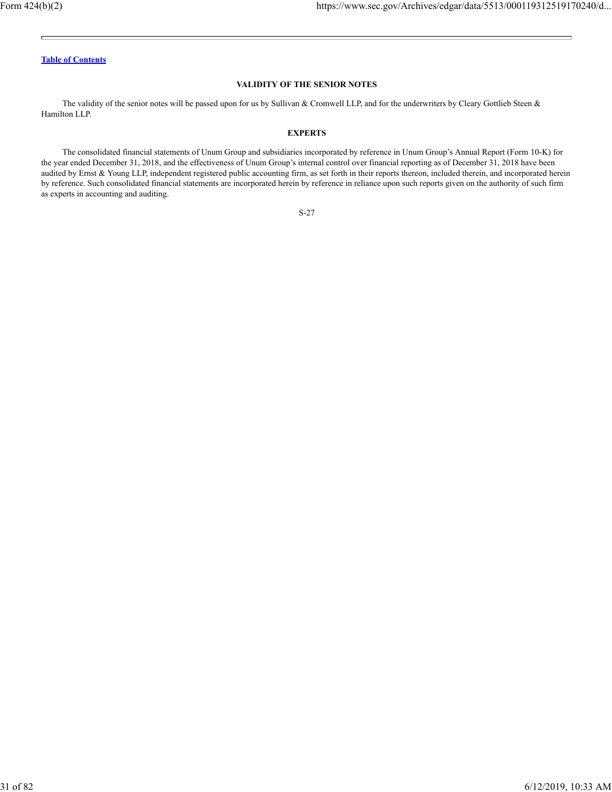## **VALIDITY OF THE SENIOR NOTES**

The validity of the senior notes will be passed upon for us by Sullivan & Cromwell LLP, and for the underwriters by Cleary Gottlieb Steen & Hamilton LLP.

## **EXPERTS**

The consolidated financial statements of Unum Group and subsidiaries incorporated by reference in Unum Group's Annual Report (Form 10-K) for the year ended December 31, 2018, and the effectiveness of Unum Group's internal control over financial reporting as of December 31, 2018 have been audited by Ernst & Young LLP, independent registered public accounting firm, as set forth in their reports thereon, included therein, and incorporated herein by reference. Such consolidated financial statements are incorporated herein by reference in reliance upon such reports given on the authority of such firm as experts in accounting and auditing.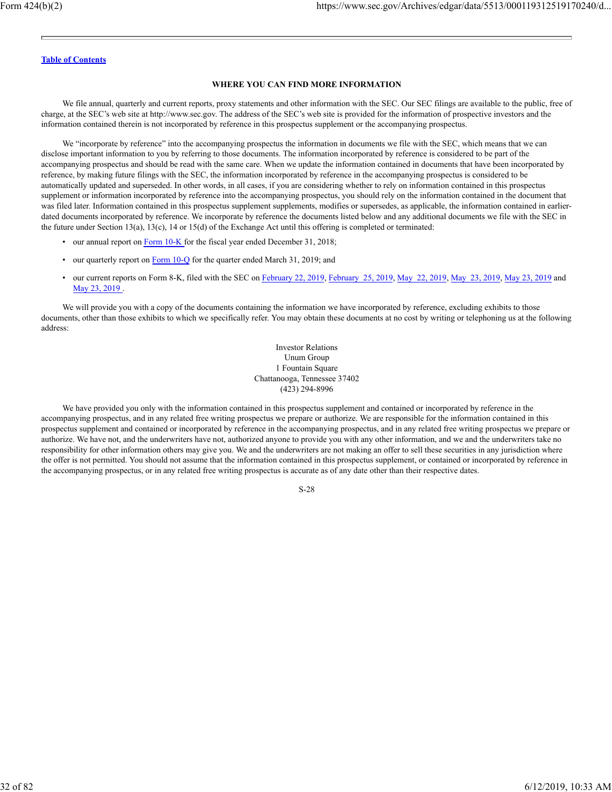#### **WHERE YOU CAN FIND MORE INFORMATION**

We file annual, quarterly and current reports, proxy statements and other information with the SEC. Our SEC filings are available to the public, free of charge, at the SEC's web site at http://www.sec.gov. The address of the SEC's web site is provided for the information of prospective investors and the information contained therein is not incorporated by reference in this prospectus supplement or the accompanying prospectus.

We "incorporate by reference" into the accompanying prospectus the information in documents we file with the SEC, which means that we can disclose important information to you by referring to those documents. The information incorporated by reference is considered to be part of the accompanying prospectus and should be read with the same care. When we update the information contained in documents that have been incorporated by reference, by making future filings with the SEC, the information incorporated by reference in the accompanying prospectus is considered to be automatically updated and superseded. In other words, in all cases, if you are considering whether to rely on information contained in this prospectus supplement or information incorporated by reference into the accompanying prospectus, you should rely on the information contained in the document that was filed later. Information contained in this prospectus supplement supplements, modifies or supersedes, as applicable, the information contained in earlierdated documents incorporated by reference. We incorporate by reference the documents listed below and any additional documents we file with the SEC in the future under Section 13(a), 13(c), 14 or 15(d) of the Exchange Act until this offering is completed or terminated:

- our annual report on Form 10-K for the fiscal year ended December 31, 2018;
- our quarterly report on Form 10-Q for the quarter ended March 31, 2019; and
- our current reports on Form 8-K, filed with the SEC on February 22, 2019, February 25, 2019, May 22, 2019, May 23, 2019, May 23, 2019 and May 23, 2019 .

We will provide you with a copy of the documents containing the information we have incorporated by reference, excluding exhibits to those documents, other than those exhibits to which we specifically refer. You may obtain these documents at no cost by writing or telephoning us at the following address:

> Investor Relations Unum Group 1 Fountain Square Chattanooga, Tennessee 37402 (423) 294-8996

We have provided you only with the information contained in this prospectus supplement and contained or incorporated by reference in the accompanying prospectus, and in any related free writing prospectus we prepare or authorize. We are responsible for the information contained in this prospectus supplement and contained or incorporated by reference in the accompanying prospectus, and in any related free writing prospectus we prepare or authorize. We have not, and the underwriters have not, authorized anyone to provide you with any other information, and we and the underwriters take no responsibility for other information others may give you. We and the underwriters are not making an offer to sell these securities in any jurisdiction where the offer is not permitted. You should not assume that the information contained in this prospectus supplement, or contained or incorporated by reference in the accompanying prospectus, or in any related free writing prospectus is accurate as of any date other than their respective dates.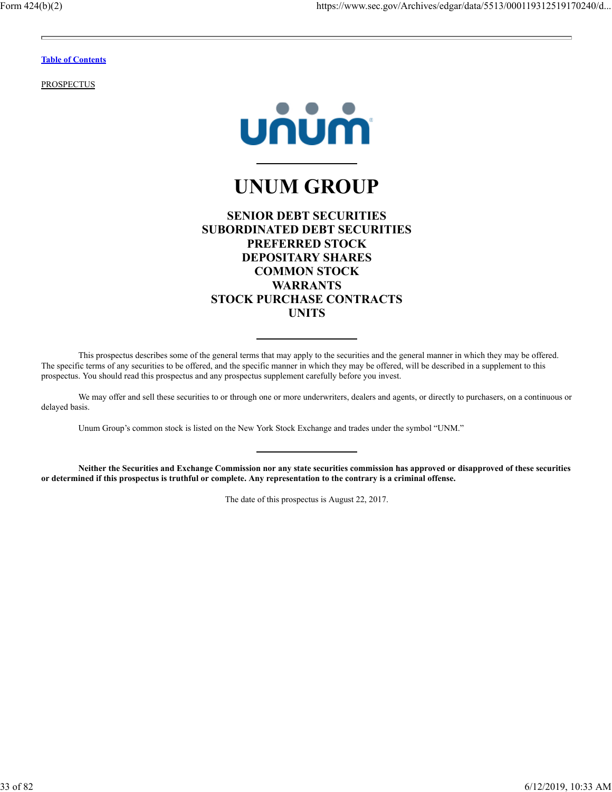**PROSPECTUS** 



# **UNUM GROUP**

| <b>SENIOR DEBT SECURITIES</b>   |
|---------------------------------|
| SUBORDINATED DEBT SECURITIES    |
| <b>PREFERRED STOCK</b>          |
| <b>DEPOSITARY SHARES</b>        |
| <b>COMMON STOCK</b>             |
| <b>WARRANTS</b>                 |
| <b>STOCK PURCHASE CONTRACTS</b> |
| UNITS                           |
|                                 |

This prospectus describes some of the general terms that may apply to the securities and the general manner in which they may be offered. The specific terms of any securities to be offered, and the specific manner in which they may be offered, will be described in a supplement to this prospectus. You should read this prospectus and any prospectus supplement carefully before you invest.

We may offer and sell these securities to or through one or more underwriters, dealers and agents, or directly to purchasers, on a continuous or delayed basis.

Unum Group's common stock is listed on the New York Stock Exchange and trades under the symbol "UNM."

**Neither the Securities and Exchange Commission nor any state securities commission has approved or disapproved of these securities or determined if this prospectus is truthful or complete. Any representation to the contrary is a criminal offense.**

The date of this prospectus is August 22, 2017.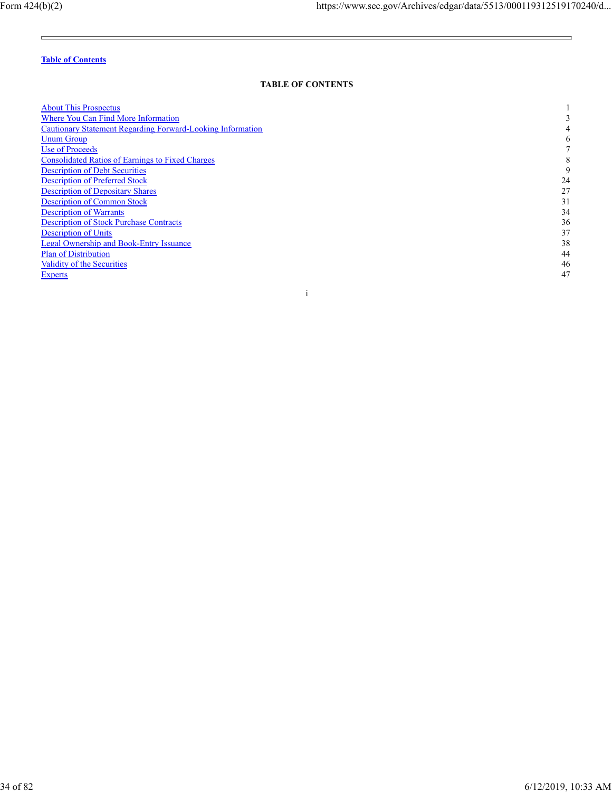$\equiv$ 

<u> The Common School (1989)</u>

# **Table of Contents**

# **TABLE OF CONTENTS**

| <b>About This Prospectus</b>                               |    |
|------------------------------------------------------------|----|
| Where You Can Find More Information                        |    |
| Cautionary Statement Regarding Forward-Looking Information |    |
| <b>Unum Group</b>                                          |    |
| Use of Proceeds                                            |    |
| <b>Consolidated Ratios of Earnings to Fixed Charges</b>    | ◠  |
| <b>Description of Debt Securities</b>                      |    |
| <b>Description of Preferred Stock</b>                      | 24 |
| <b>Description of Depositary Shares</b>                    | 27 |
| <b>Description of Common Stock</b>                         | 31 |
| <b>Description of Warrants</b>                             | 34 |
| <b>Description of Stock Purchase Contracts</b>             | 36 |
| <b>Description of Units</b>                                | 37 |
| <b>Legal Ownership and Book-Entry Issuance</b>             | 38 |
| <b>Plan of Distribution</b>                                | 44 |
| Validity of the Securities                                 | 46 |
| <b>Experts</b>                                             | 47 |
|                                                            |    |

i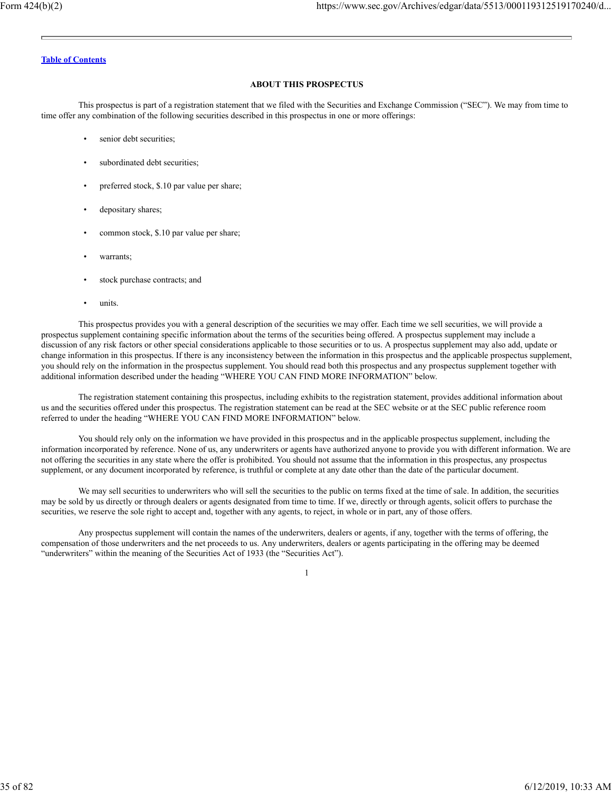## **ABOUT THIS PROSPECTUS**

This prospectus is part of a registration statement that we filed with the Securities and Exchange Commission ("SEC"). We may from time to time offer any combination of the following securities described in this prospectus in one or more offerings:

- senior debt securities;
- subordinated debt securities;
- preferred stock, \$.10 par value per share;
- depositary shares;
- common stock, \$.10 par value per share;
- warrants;
- stock purchase contracts; and
- units.

This prospectus provides you with a general description of the securities we may offer. Each time we sell securities, we will provide a prospectus supplement containing specific information about the terms of the securities being offered. A prospectus supplement may include a discussion of any risk factors or other special considerations applicable to those securities or to us. A prospectus supplement may also add, update or change information in this prospectus. If there is any inconsistency between the information in this prospectus and the applicable prospectus supplement, you should rely on the information in the prospectus supplement. You should read both this prospectus and any prospectus supplement together with additional information described under the heading "WHERE YOU CAN FIND MORE INFORMATION" below.

The registration statement containing this prospectus, including exhibits to the registration statement, provides additional information about us and the securities offered under this prospectus. The registration statement can be read at the SEC website or at the SEC public reference room referred to under the heading "WHERE YOU CAN FIND MORE INFORMATION" below.

You should rely only on the information we have provided in this prospectus and in the applicable prospectus supplement, including the information incorporated by reference. None of us, any underwriters or agents have authorized anyone to provide you with different information. We are not offering the securities in any state where the offer is prohibited. You should not assume that the information in this prospectus, any prospectus supplement, or any document incorporated by reference, is truthful or complete at any date other than the date of the particular document.

We may sell securities to underwriters who will sell the securities to the public on terms fixed at the time of sale. In addition, the securities may be sold by us directly or through dealers or agents designated from time to time. If we, directly or through agents, solicit offers to purchase the securities, we reserve the sole right to accept and, together with any agents, to reject, in whole or in part, any of those offers.

Any prospectus supplement will contain the names of the underwriters, dealers or agents, if any, together with the terms of offering, the compensation of those underwriters and the net proceeds to us. Any underwriters, dealers or agents participating in the offering may be deemed "underwriters" within the meaning of the Securities Act of 1933 (the "Securities Act").

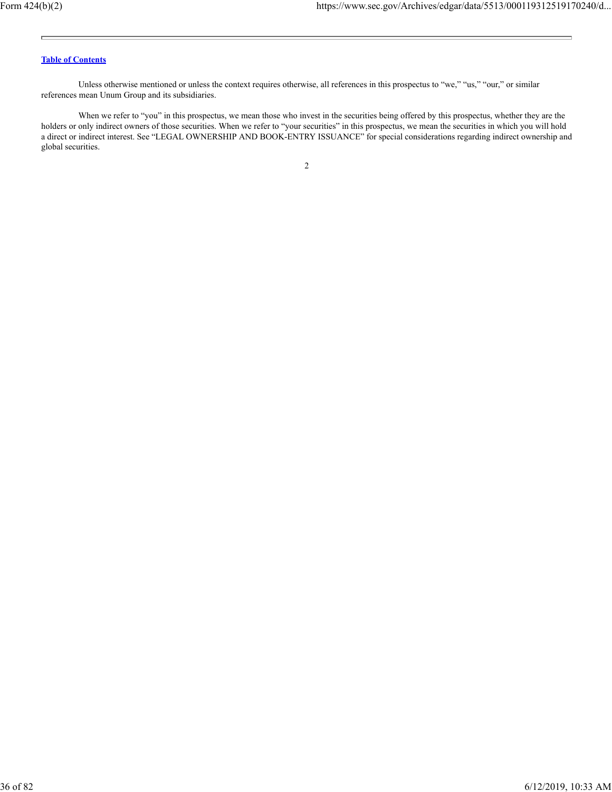Unless otherwise mentioned or unless the context requires otherwise, all references in this prospectus to "we," "us," "our," or similar references mean Unum Group and its subsidiaries.

When we refer to "you" in this prospectus, we mean those who invest in the securities being offered by this prospectus, whether they are the holders or only indirect owners of those securities. When we refer to "your securities" in this prospectus, we mean the securities in which you will hold a direct or indirect interest. See "LEGAL OWNERSHIP AND BOOK-ENTRY ISSUANCE" for special considerations regarding indirect ownership and global securities.

2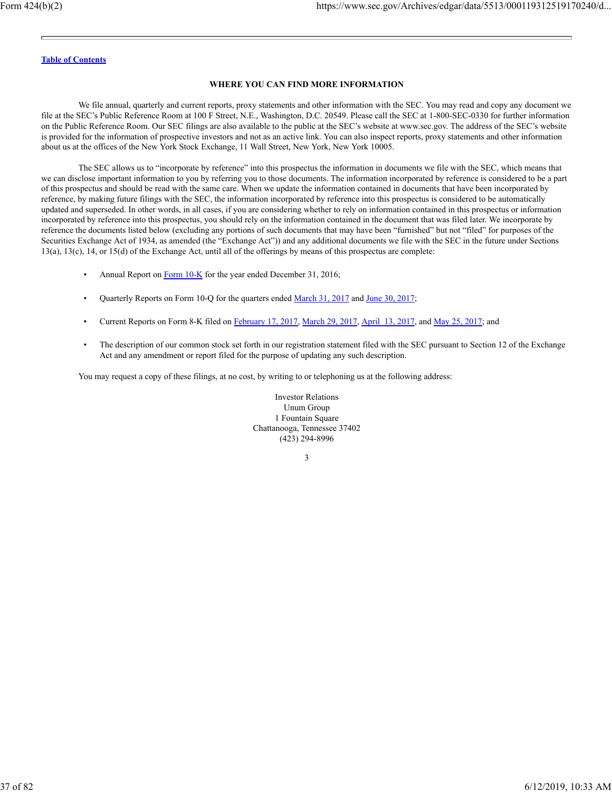#### **WHERE YOU CAN FIND MORE INFORMATION**

We file annual, quarterly and current reports, proxy statements and other information with the SEC. You may read and copy any document we file at the SEC's Public Reference Room at 100 F Street, N.E., Washington, D.C. 20549. Please call the SEC at 1-800-SEC-0330 for further information on the Public Reference Room. Our SEC filings are also available to the public at the SEC's website at www.sec.gov. The address of the SEC's website is provided for the information of prospective investors and not as an active link. You can also inspect reports, proxy statements and other information about us at the offices of the New York Stock Exchange, 11 Wall Street, New York, New York 10005.

The SEC allows us to "incorporate by reference" into this prospectus the information in documents we file with the SEC, which means that we can disclose important information to you by referring you to those documents. The information incorporated by reference is considered to be a part of this prospectus and should be read with the same care. When we update the information contained in documents that have been incorporated by reference, by making future filings with the SEC, the information incorporated by reference into this prospectus is considered to be automatically updated and superseded. In other words, in all cases, if you are considering whether to rely on information contained in this prospectus or information incorporated by reference into this prospectus, you should rely on the information contained in the document that was filed later. We incorporate by reference the documents listed below (excluding any portions of such documents that may have been "furnished" but not "filed" for purposes of the Securities Exchange Act of 1934, as amended (the "Exchange Act")) and any additional documents we file with the SEC in the future under Sections 13(a), 13(c), 14, or 15(d) of the Exchange Act, until all of the offerings by means of this prospectus are complete:

- Annual Report on Form 10-K for the year ended December 31, 2016;
- Quarterly Reports on Form 10-Q for the quarters ended March 31, 2017 and June 30, 2017;
- Current Reports on Form 8-K filed on February 17, 2017, March 29, 2017, April 13, 2017, and May 25, 2017; and
- The description of our common stock set forth in our registration statement filed with the SEC pursuant to Section 12 of the Exchange Act and any amendment or report filed for the purpose of updating any such description.

You may request a copy of these filings, at no cost, by writing to or telephoning us at the following address:

Investor Relations Unum Group 1 Fountain Square Chattanooga, Tennessee 37402 (423) 294-8996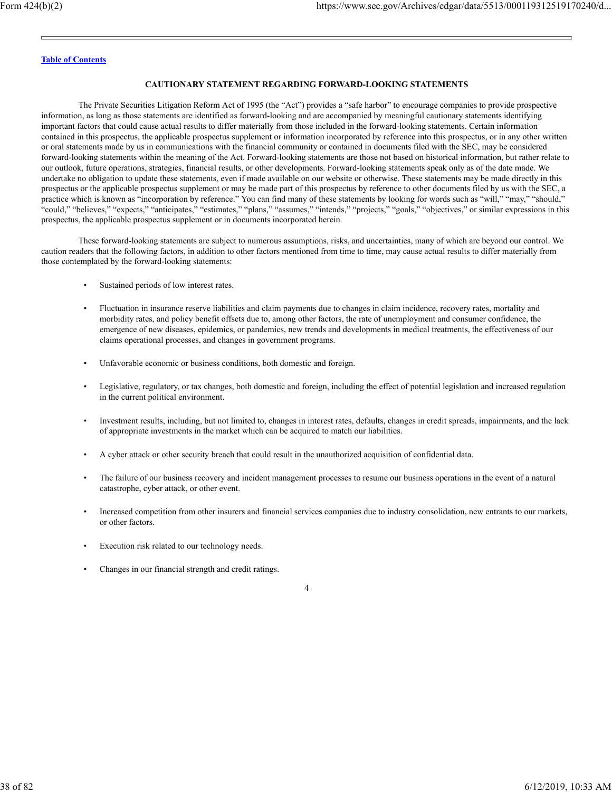# **CAUTIONARY STATEMENT REGARDING FORWARD-LOOKING STATEMENTS**

The Private Securities Litigation Reform Act of 1995 (the "Act") provides a "safe harbor" to encourage companies to provide prospective information, as long as those statements are identified as forward-looking and are accompanied by meaningful cautionary statements identifying important factors that could cause actual results to differ materially from those included in the forward-looking statements. Certain information contained in this prospectus, the applicable prospectus supplement or information incorporated by reference into this prospectus, or in any other written or oral statements made by us in communications with the financial community or contained in documents filed with the SEC, may be considered forward-looking statements within the meaning of the Act. Forward-looking statements are those not based on historical information, but rather relate to our outlook, future operations, strategies, financial results, or other developments. Forward-looking statements speak only as of the date made. We undertake no obligation to update these statements, even if made available on our website or otherwise. These statements may be made directly in this prospectus or the applicable prospectus supplement or may be made part of this prospectus by reference to other documents filed by us with the SEC, a practice which is known as "incorporation by reference." You can find many of these statements by looking for words such as "will," "may," "should," "could," "believes," "expects," "anticipates," "estimates," "plans," "assumes," "intends," "projects," "goals," "objectives," or similar expressions in this prospectus, the applicable prospectus supplement or in documents incorporated herein.

These forward-looking statements are subject to numerous assumptions, risks, and uncertainties, many of which are beyond our control. We caution readers that the following factors, in addition to other factors mentioned from time to time, may cause actual results to differ materially from those contemplated by the forward-looking statements:

- Sustained periods of low interest rates.
- Fluctuation in insurance reserve liabilities and claim payments due to changes in claim incidence, recovery rates, mortality and morbidity rates, and policy benefit offsets due to, among other factors, the rate of unemployment and consumer confidence, the emergence of new diseases, epidemics, or pandemics, new trends and developments in medical treatments, the effectiveness of our claims operational processes, and changes in government programs.
- Unfavorable economic or business conditions, both domestic and foreign.
- Legislative, regulatory, or tax changes, both domestic and foreign, including the effect of potential legislation and increased regulation in the current political environment.
- Investment results, including, but not limited to, changes in interest rates, defaults, changes in credit spreads, impairments, and the lack of appropriate investments in the market which can be acquired to match our liabilities.
- A cyber attack or other security breach that could result in the unauthorized acquisition of confidential data.
- The failure of our business recovery and incident management processes to resume our business operations in the event of a natural catastrophe, cyber attack, or other event.
- Increased competition from other insurers and financial services companies due to industry consolidation, new entrants to our markets, or other factors.
- Execution risk related to our technology needs.
- Changes in our financial strength and credit ratings.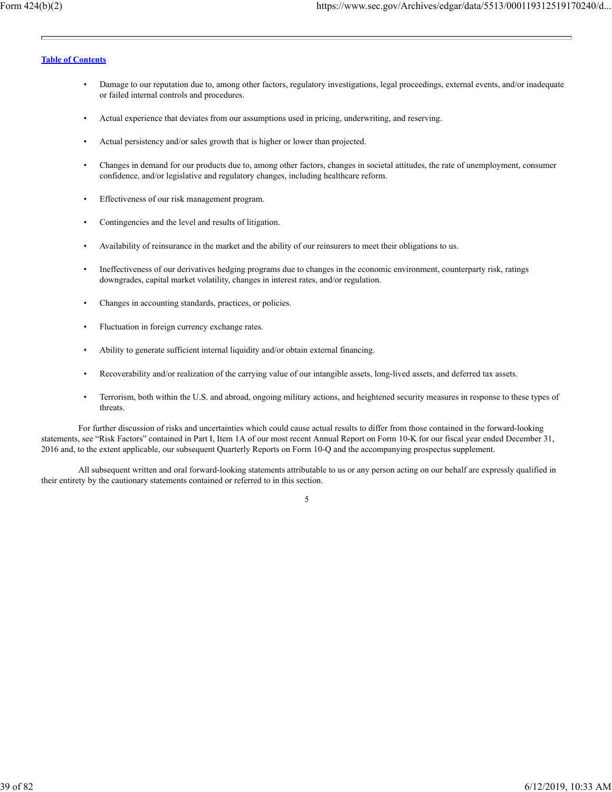- Damage to our reputation due to, among other factors, regulatory investigations, legal proceedings, external events, and/or inadequate or failed internal controls and procedures.
- Actual experience that deviates from our assumptions used in pricing, underwriting, and reserving.
- Actual persistency and/or sales growth that is higher or lower than projected.
- Changes in demand for our products due to, among other factors, changes in societal attitudes, the rate of unemployment, consumer confidence, and/or legislative and regulatory changes, including healthcare reform.
- Effectiveness of our risk management program.
- Contingencies and the level and results of litigation.
- Availability of reinsurance in the market and the ability of our reinsurers to meet their obligations to us.
- Ineffectiveness of our derivatives hedging programs due to changes in the economic environment, counterparty risk, ratings downgrades, capital market volatility, changes in interest rates, and/or regulation.
- Changes in accounting standards, practices, or policies.
- Fluctuation in foreign currency exchange rates.
- Ability to generate sufficient internal liquidity and/or obtain external financing.
- Recoverability and/or realization of the carrying value of our intangible assets, long-lived assets, and deferred tax assets.
- Terrorism, both within the U.S. and abroad, ongoing military actions, and heightened security measures in response to these types of threats.

For further discussion of risks and uncertainties which could cause actual results to differ from those contained in the forward-looking statements, see "Risk Factors" contained in Part I, Item 1A of our most recent Annual Report on Form 10-K for our fiscal year ended December 31, 2016 and, to the extent applicable, our subsequent Quarterly Reports on Form 10-Q and the accompanying prospectus supplement.

All subsequent written and oral forward-looking statements attributable to us or any person acting on our behalf are expressly qualified in their entirety by the cautionary statements contained or referred to in this section.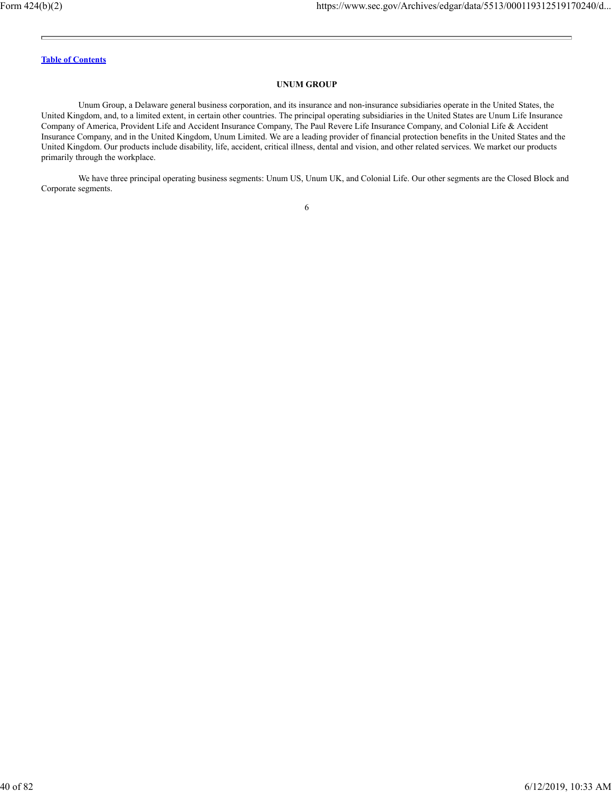### **UNUM GROUP**

Unum Group, a Delaware general business corporation, and its insurance and non-insurance subsidiaries operate in the United States, the United Kingdom, and, to a limited extent, in certain other countries. The principal operating subsidiaries in the United States are Unum Life Insurance Company of America, Provident Life and Accident Insurance Company, The Paul Revere Life Insurance Company, and Colonial Life & Accident Insurance Company, and in the United Kingdom, Unum Limited. We are a leading provider of financial protection benefits in the United States and the United Kingdom. Our products include disability, life, accident, critical illness, dental and vision, and other related services. We market our products primarily through the workplace.

We have three principal operating business segments: Unum US, Unum UK, and Colonial Life. Our other segments are the Closed Block and Corporate segments.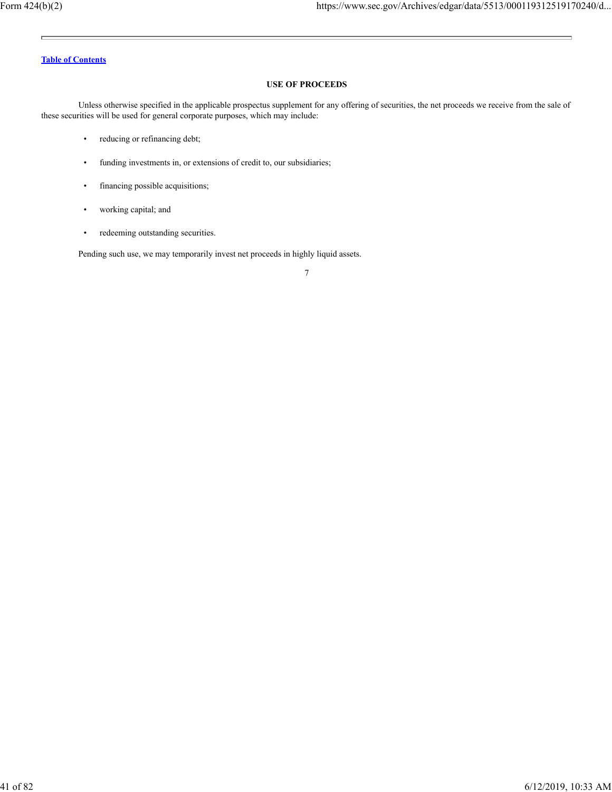### **USE OF PROCEEDS**

Unless otherwise specified in the applicable prospectus supplement for any offering of securities, the net proceeds we receive from the sale of these securities will be used for general corporate purposes, which may include:

- reducing or refinancing debt;
- funding investments in, or extensions of credit to, our subsidiaries;
- financing possible acquisitions;
- working capital; and
- redeeming outstanding securities.

Pending such use, we may temporarily invest net proceeds in highly liquid assets.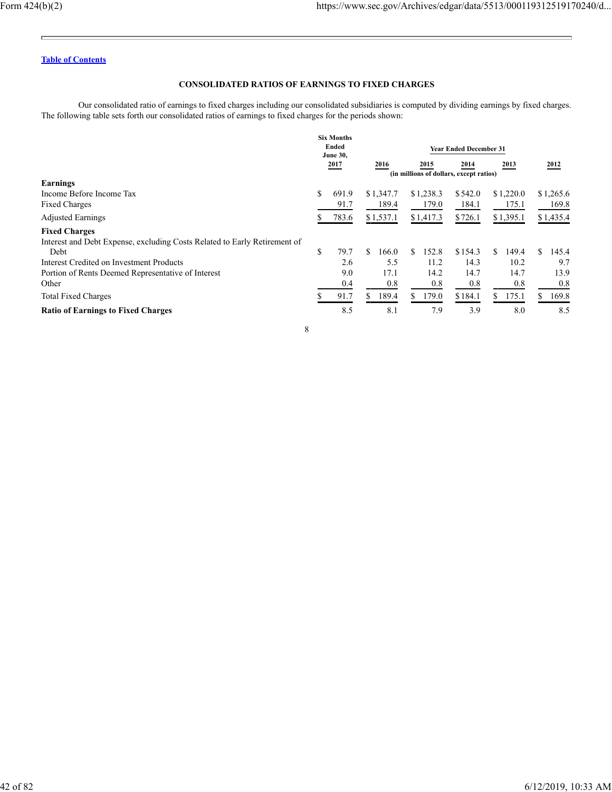Ē.

÷.

# **Table of Contents**

# **CONSOLIDATED RATIOS OF EARNINGS TO FIXED CHARGES**

Our consolidated ratio of earnings to fixed charges including our consolidated subsidiaries is computed by dividing earnings by fixed charges. The following table sets forth our consolidated ratios of earnings to fixed charges for the periods shown:

|                                                                           |      | <b>Six Months</b><br>Ended<br><b>June 30,</b> | <b>Year Ended December 31</b>     |           |                                                 |           |           |    |           |    |           |  |
|---------------------------------------------------------------------------|------|-----------------------------------------------|-----------------------------------|-----------|-------------------------------------------------|-----------|-----------|----|-----------|----|-----------|--|
|                                                                           | 2017 |                                               |                                   | 2016      | 2015<br>(in millions of dollars, except ratios) |           | 2014      |    | 2013      |    | 2012      |  |
| Earnings                                                                  |      |                                               |                                   |           |                                                 |           |           |    |           |    |           |  |
| Income Before Income Tax                                                  | \$   | 691.9                                         |                                   | \$1,347.7 |                                                 | \$1,238.3 | \$542.0   |    | \$1,220.0 |    | \$1,265.6 |  |
| <b>Fixed Charges</b>                                                      |      | 91.7                                          |                                   | 189.4     |                                                 | 179.0     | 184.1     |    | 175.1     |    | 169.8     |  |
| <b>Adjusted Earnings</b>                                                  | ĎЬ.  | 783.6                                         | \$1,537.1<br>\$726.1<br>\$1,417.3 |           | \$1,395.1                                       |           | \$1,435.4 |    |           |    |           |  |
| <b>Fixed Charges</b>                                                      |      |                                               |                                   |           |                                                 |           |           |    |           |    |           |  |
| Interest and Debt Expense, excluding Costs Related to Early Retirement of |      |                                               |                                   |           |                                                 |           |           |    |           |    |           |  |
| Debt                                                                      | \$   | 79.7                                          | S.                                | 166.0     | S.                                              | 152.8     | \$154.3   | S. | 149.4     | S. | 145.4     |  |
| <b>Interest Credited on Investment Products</b>                           |      | 2.6                                           |                                   | 5.5       |                                                 | 11.2      | 14.3      |    | 10.2      |    | 9.7       |  |
| Portion of Rents Deemed Representative of Interest                        |      | 9.0                                           |                                   | 17.1      |                                                 | 14.2      | 14.7      |    | 14.7      |    | 13.9      |  |
| Other                                                                     |      | 0.4                                           |                                   | 0.8       |                                                 | 0.8       | 0.8       |    | 0.8       |    | 0.8       |  |
| <b>Total Fixed Charges</b>                                                |      | 91.7                                          | S.                                | 189.4     | \$.                                             | 179.0     | \$184.1   |    | 175.1     | S  | 169.8     |  |
| <b>Ratio of Earnings to Fixed Charges</b>                                 |      | 8.5                                           |                                   | 8.1       |                                                 | 7.9       | 3.9       |    | 8.0       |    | 8.5       |  |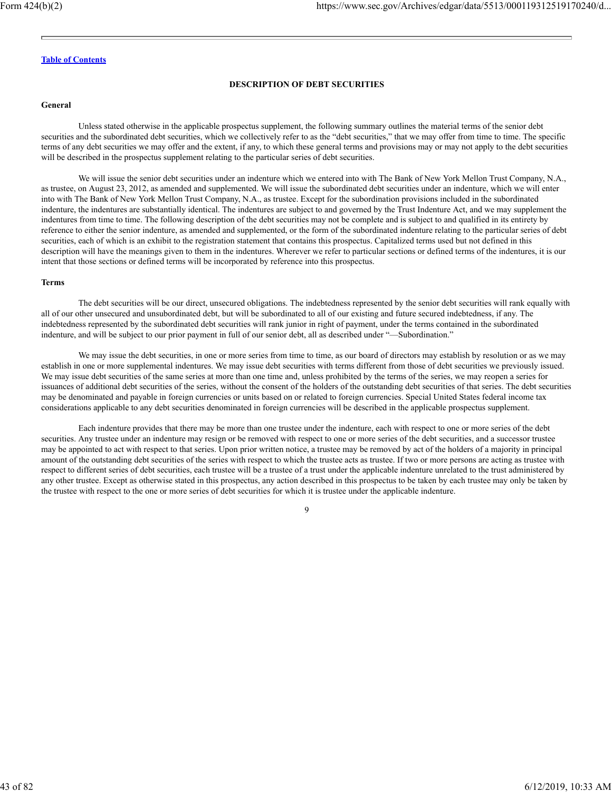### **DESCRIPTION OF DEBT SECURITIES**

#### **General**

Unless stated otherwise in the applicable prospectus supplement, the following summary outlines the material terms of the senior debt securities and the subordinated debt securities, which we collectively refer to as the "debt securities," that we may offer from time to time. The specific terms of any debt securities we may offer and the extent, if any, to which these general terms and provisions may or may not apply to the debt securities will be described in the prospectus supplement relating to the particular series of debt securities.

We will issue the senior debt securities under an indenture which we entered into with The Bank of New York Mellon Trust Company, N.A., as trustee, on August 23, 2012, as amended and supplemented. We will issue the subordinated debt securities under an indenture, which we will enter into with The Bank of New York Mellon Trust Company, N.A., as trustee. Except for the subordination provisions included in the subordinated indenture, the indentures are substantially identical. The indentures are subject to and governed by the Trust Indenture Act, and we may supplement the indentures from time to time. The following description of the debt securities may not be complete and is subject to and qualified in its entirety by reference to either the senior indenture, as amended and supplemented, or the form of the subordinated indenture relating to the particular series of debt securities, each of which is an exhibit to the registration statement that contains this prospectus. Capitalized terms used but not defined in this description will have the meanings given to them in the indentures. Wherever we refer to particular sections or defined terms of the indentures, it is our intent that those sections or defined terms will be incorporated by reference into this prospectus.

#### **Terms**

The debt securities will be our direct, unsecured obligations. The indebtedness represented by the senior debt securities will rank equally with all of our other unsecured and unsubordinated debt, but will be subordinated to all of our existing and future secured indebtedness, if any. The indebtedness represented by the subordinated debt securities will rank junior in right of payment, under the terms contained in the subordinated indenture, and will be subject to our prior payment in full of our senior debt, all as described under "—Subordination."

We may issue the debt securities, in one or more series from time to time, as our board of directors may establish by resolution or as we may establish in one or more supplemental indentures. We may issue debt securities with terms different from those of debt securities we previously issued. We may issue debt securities of the same series at more than one time and, unless prohibited by the terms of the series, we may reopen a series for issuances of additional debt securities of the series, without the consent of the holders of the outstanding debt securities of that series. The debt securities may be denominated and payable in foreign currencies or units based on or related to foreign currencies. Special United States federal income tax considerations applicable to any debt securities denominated in foreign currencies will be described in the applicable prospectus supplement.

Each indenture provides that there may be more than one trustee under the indenture, each with respect to one or more series of the debt securities. Any trustee under an indenture may resign or be removed with respect to one or more series of the debt securities, and a successor trustee may be appointed to act with respect to that series. Upon prior written notice, a trustee may be removed by act of the holders of a majority in principal amount of the outstanding debt securities of the series with respect to which the trustee acts as trustee. If two or more persons are acting as trustee with respect to different series of debt securities, each trustee will be a trustee of a trust under the applicable indenture unrelated to the trust administered by any other trustee. Except as otherwise stated in this prospectus, any action described in this prospectus to be taken by each trustee may only be taken by the trustee with respect to the one or more series of debt securities for which it is trustee under the applicable indenture.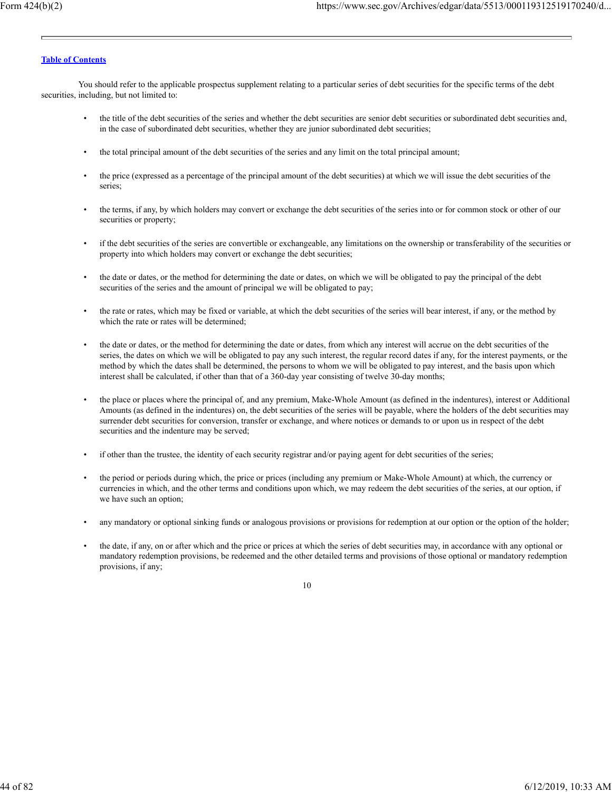You should refer to the applicable prospectus supplement relating to a particular series of debt securities for the specific terms of the debt securities, including, but not limited to:

- the title of the debt securities of the series and whether the debt securities are senior debt securities or subordinated debt securities and, in the case of subordinated debt securities, whether they are junior subordinated debt securities;
- the total principal amount of the debt securities of the series and any limit on the total principal amount;
- the price (expressed as a percentage of the principal amount of the debt securities) at which we will issue the debt securities of the series;
- the terms, if any, by which holders may convert or exchange the debt securities of the series into or for common stock or other of our securities or property;
- if the debt securities of the series are convertible or exchangeable, any limitations on the ownership or transferability of the securities or property into which holders may convert or exchange the debt securities;
- the date or dates, or the method for determining the date or dates, on which we will be obligated to pay the principal of the debt securities of the series and the amount of principal we will be obligated to pay;
- the rate or rates, which may be fixed or variable, at which the debt securities of the series will bear interest, if any, or the method by which the rate or rates will be determined;
- the date or dates, or the method for determining the date or dates, from which any interest will accrue on the debt securities of the series, the dates on which we will be obligated to pay any such interest, the regular record dates if any, for the interest payments, or the method by which the dates shall be determined, the persons to whom we will be obligated to pay interest, and the basis upon which interest shall be calculated, if other than that of a 360-day year consisting of twelve 30-day months;
- the place or places where the principal of, and any premium, Make-Whole Amount (as defined in the indentures), interest or Additional Amounts (as defined in the indentures) on, the debt securities of the series will be payable, where the holders of the debt securities may surrender debt securities for conversion, transfer or exchange, and where notices or demands to or upon us in respect of the debt securities and the indenture may be served;
- if other than the trustee, the identity of each security registrar and/or paying agent for debt securities of the series;
- the period or periods during which, the price or prices (including any premium or Make-Whole Amount) at which, the currency or currencies in which, and the other terms and conditions upon which, we may redeem the debt securities of the series, at our option, if we have such an option;
- any mandatory or optional sinking funds or analogous provisions or provisions for redemption at our option or the option of the holder;
- the date, if any, on or after which and the price or prices at which the series of debt securities may, in accordance with any optional or mandatory redemption provisions, be redeemed and the other detailed terms and provisions of those optional or mandatory redemption provisions, if any;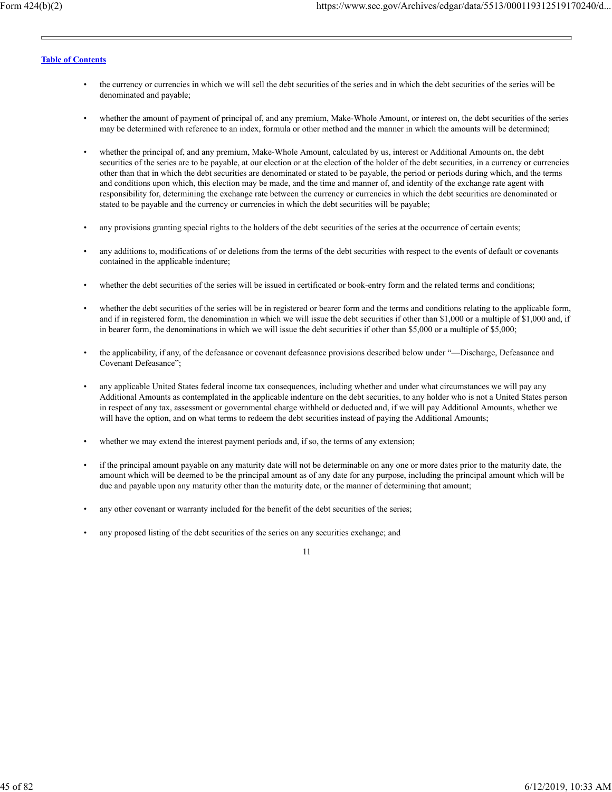- the currency or currencies in which we will sell the debt securities of the series and in which the debt securities of the series will be denominated and payable;
- whether the amount of payment of principal of, and any premium, Make-Whole Amount, or interest on, the debt securities of the series may be determined with reference to an index, formula or other method and the manner in which the amounts will be determined;
- whether the principal of, and any premium, Make-Whole Amount, calculated by us, interest or Additional Amounts on, the debt securities of the series are to be payable, at our election or at the election of the holder of the debt securities, in a currency or currencies other than that in which the debt securities are denominated or stated to be payable, the period or periods during which, and the terms and conditions upon which, this election may be made, and the time and manner of, and identity of the exchange rate agent with responsibility for, determining the exchange rate between the currency or currencies in which the debt securities are denominated or stated to be payable and the currency or currencies in which the debt securities will be payable;
- any provisions granting special rights to the holders of the debt securities of the series at the occurrence of certain events;
- any additions to, modifications of or deletions from the terms of the debt securities with respect to the events of default or covenants contained in the applicable indenture;
- whether the debt securities of the series will be issued in certificated or book-entry form and the related terms and conditions;
- whether the debt securities of the series will be in registered or bearer form and the terms and conditions relating to the applicable form, and if in registered form, the denomination in which we will issue the debt securities if other than \$1,000 or a multiple of \$1,000 and, if in bearer form, the denominations in which we will issue the debt securities if other than \$5,000 or a multiple of \$5,000;
- the applicability, if any, of the defeasance or covenant defeasance provisions described below under "—Discharge, Defeasance and Covenant Defeasance";
- any applicable United States federal income tax consequences, including whether and under what circumstances we will pay any Additional Amounts as contemplated in the applicable indenture on the debt securities, to any holder who is not a United States person in respect of any tax, assessment or governmental charge withheld or deducted and, if we will pay Additional Amounts, whether we will have the option, and on what terms to redeem the debt securities instead of paying the Additional Amounts;
- whether we may extend the interest payment periods and, if so, the terms of any extension;
- if the principal amount payable on any maturity date will not be determinable on any one or more dates prior to the maturity date, the amount which will be deemed to be the principal amount as of any date for any purpose, including the principal amount which will be due and payable upon any maturity other than the maturity date, or the manner of determining that amount;
- any other covenant or warranty included for the benefit of the debt securities of the series;
- any proposed listing of the debt securities of the series on any securities exchange; and

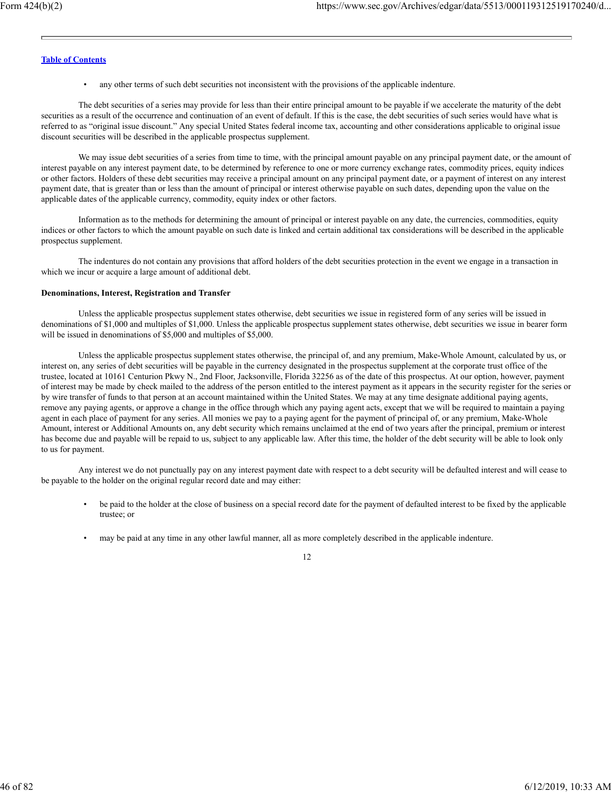• any other terms of such debt securities not inconsistent with the provisions of the applicable indenture.

The debt securities of a series may provide for less than their entire principal amount to be payable if we accelerate the maturity of the debt securities as a result of the occurrence and continuation of an event of default. If this is the case, the debt securities of such series would have what is referred to as "original issue discount." Any special United States federal income tax, accounting and other considerations applicable to original issue discount securities will be described in the applicable prospectus supplement.

We may issue debt securities of a series from time to time, with the principal amount payable on any principal payment date, or the amount of interest payable on any interest payment date, to be determined by reference to one or more currency exchange rates, commodity prices, equity indices or other factors. Holders of these debt securities may receive a principal amount on any principal payment date, or a payment of interest on any interest payment date, that is greater than or less than the amount of principal or interest otherwise payable on such dates, depending upon the value on the applicable dates of the applicable currency, commodity, equity index or other factors.

Information as to the methods for determining the amount of principal or interest payable on any date, the currencies, commodities, equity indices or other factors to which the amount payable on such date is linked and certain additional tax considerations will be described in the applicable prospectus supplement.

The indentures do not contain any provisions that afford holders of the debt securities protection in the event we engage in a transaction in which we incur or acquire a large amount of additional debt.

#### **Denominations, Interest, Registration and Transfer**

Unless the applicable prospectus supplement states otherwise, debt securities we issue in registered form of any series will be issued in denominations of \$1,000 and multiples of \$1,000. Unless the applicable prospectus supplement states otherwise, debt securities we issue in bearer form will be issued in denominations of \$5,000 and multiples of \$5,000.

Unless the applicable prospectus supplement states otherwise, the principal of, and any premium, Make-Whole Amount, calculated by us, or interest on, any series of debt securities will be payable in the currency designated in the prospectus supplement at the corporate trust office of the trustee, located at 10161 Centurion Pkwy N., 2nd Floor, Jacksonville, Florida 32256 as of the date of this prospectus. At our option, however, payment of interest may be made by check mailed to the address of the person entitled to the interest payment as it appears in the security register for the series or by wire transfer of funds to that person at an account maintained within the United States. We may at any time designate additional paying agents, remove any paying agents, or approve a change in the office through which any paying agent acts, except that we will be required to maintain a paying agent in each place of payment for any series. All monies we pay to a paying agent for the payment of principal of, or any premium, Make-Whole Amount, interest or Additional Amounts on, any debt security which remains unclaimed at the end of two years after the principal, premium or interest has become due and payable will be repaid to us, subject to any applicable law. After this time, the holder of the debt security will be able to look only to us for payment.

Any interest we do not punctually pay on any interest payment date with respect to a debt security will be defaulted interest and will cease to be payable to the holder on the original regular record date and may either:

- be paid to the holder at the close of business on a special record date for the payment of defaulted interest to be fixed by the applicable trustee; or
- may be paid at any time in any other lawful manner, all as more completely described in the applicable indenture.

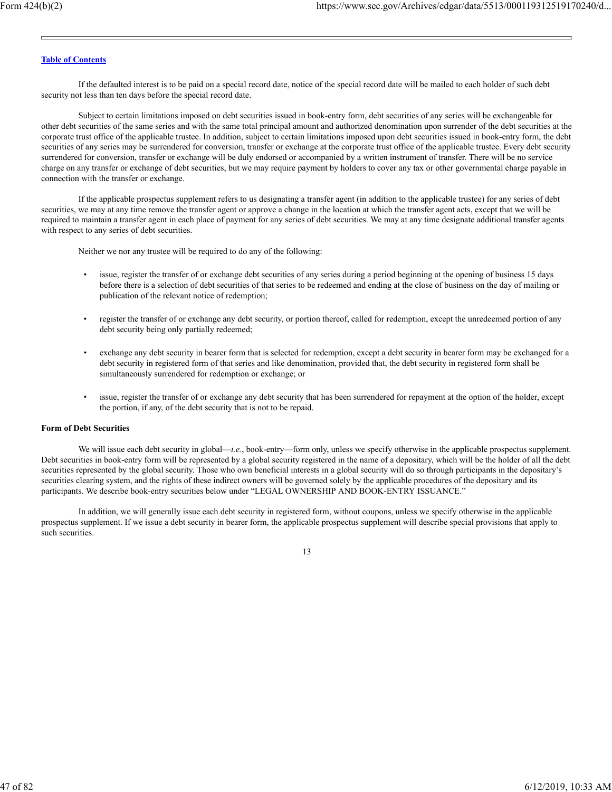If the defaulted interest is to be paid on a special record date, notice of the special record date will be mailed to each holder of such debt security not less than ten days before the special record date.

Subject to certain limitations imposed on debt securities issued in book-entry form, debt securities of any series will be exchangeable for other debt securities of the same series and with the same total principal amount and authorized denomination upon surrender of the debt securities at the corporate trust office of the applicable trustee. In addition, subject to certain limitations imposed upon debt securities issued in book-entry form, the debt securities of any series may be surrendered for conversion, transfer or exchange at the corporate trust office of the applicable trustee. Every debt security surrendered for conversion, transfer or exchange will be duly endorsed or accompanied by a written instrument of transfer. There will be no service charge on any transfer or exchange of debt securities, but we may require payment by holders to cover any tax or other governmental charge payable in connection with the transfer or exchange.

If the applicable prospectus supplement refers to us designating a transfer agent (in addition to the applicable trustee) for any series of debt securities, we may at any time remove the transfer agent or approve a change in the location at which the transfer agent acts, except that we will be required to maintain a transfer agent in each place of payment for any series of debt securities. We may at any time designate additional transfer agents with respect to any series of debt securities.

Neither we nor any trustee will be required to do any of the following:

- issue, register the transfer of or exchange debt securities of any series during a period beginning at the opening of business 15 days before there is a selection of debt securities of that series to be redeemed and ending at the close of business on the day of mailing or publication of the relevant notice of redemption;
- register the transfer of or exchange any debt security, or portion thereof, called for redemption, except the unredeemed portion of any debt security being only partially redeemed;
- exchange any debt security in bearer form that is selected for redemption, except a debt security in bearer form may be exchanged for a debt security in registered form of that series and like denomination, provided that, the debt security in registered form shall be simultaneously surrendered for redemption or exchange; or
- issue, register the transfer of or exchange any debt security that has been surrendered for repayment at the option of the holder, except the portion, if any, of the debt security that is not to be repaid.

### **Form of Debt Securities**

We will issue each debt security in global—*i.e.*, book-entry—form only, unless we specify otherwise in the applicable prospectus supplement. Debt securities in book-entry form will be represented by a global security registered in the name of a depositary, which will be the holder of all the debt securities represented by the global security. Those who own beneficial interests in a global security will do so through participants in the depositary's securities clearing system, and the rights of these indirect owners will be governed solely by the applicable procedures of the depositary and its participants. We describe book-entry securities below under "LEGAL OWNERSHIP AND BOOK-ENTRY ISSUANCE."

In addition, we will generally issue each debt security in registered form, without coupons, unless we specify otherwise in the applicable prospectus supplement. If we issue a debt security in bearer form, the applicable prospectus supplement will describe special provisions that apply to such securities.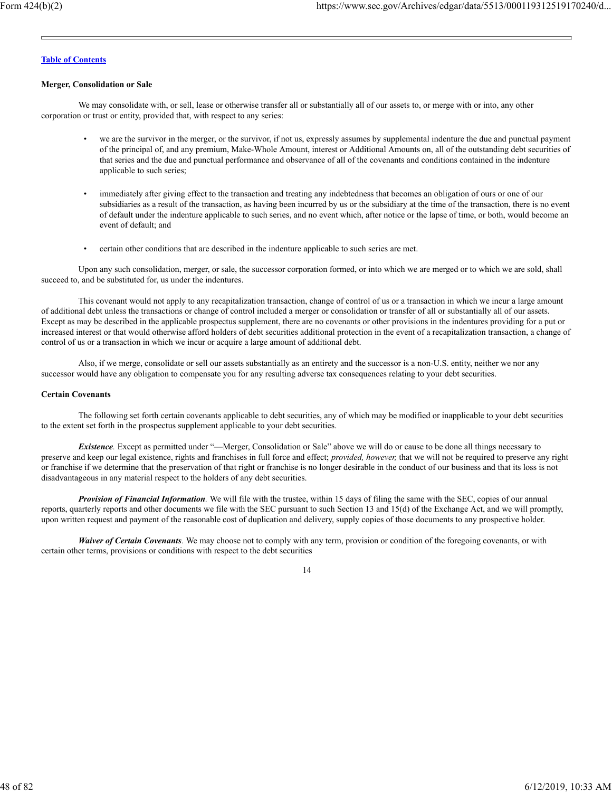#### **Merger, Consolidation or Sale**

We may consolidate with, or sell, lease or otherwise transfer all or substantially all of our assets to, or merge with or into, any other corporation or trust or entity, provided that, with respect to any series:

- we are the survivor in the merger, or the survivor, if not us, expressly assumes by supplemental indenture the due and punctual payment of the principal of, and any premium, Make-Whole Amount, interest or Additional Amounts on, all of the outstanding debt securities of that series and the due and punctual performance and observance of all of the covenants and conditions contained in the indenture applicable to such series;
- immediately after giving effect to the transaction and treating any indebtedness that becomes an obligation of ours or one of our subsidiaries as a result of the transaction, as having been incurred by us or the subsidiary at the time of the transaction, there is no event of default under the indenture applicable to such series, and no event which, after notice or the lapse of time, or both, would become an event of default; and
- certain other conditions that are described in the indenture applicable to such series are met.

Upon any such consolidation, merger, or sale, the successor corporation formed, or into which we are merged or to which we are sold, shall succeed to, and be substituted for, us under the indentures.

This covenant would not apply to any recapitalization transaction, change of control of us or a transaction in which we incur a large amount of additional debt unless the transactions or change of control included a merger or consolidation or transfer of all or substantially all of our assets. Except as may be described in the applicable prospectus supplement, there are no covenants or other provisions in the indentures providing for a put or increased interest or that would otherwise afford holders of debt securities additional protection in the event of a recapitalization transaction, a change of control of us or a transaction in which we incur or acquire a large amount of additional debt.

Also, if we merge, consolidate or sell our assets substantially as an entirety and the successor is a non-U.S. entity, neither we nor any successor would have any obligation to compensate you for any resulting adverse tax consequences relating to your debt securities.

## **Certain Covenants**

The following set forth certain covenants applicable to debt securities, any of which may be modified or inapplicable to your debt securities to the extent set forth in the prospectus supplement applicable to your debt securities.

*Existence.* Except as permitted under "—Merger, Consolidation or Sale" above we will do or cause to be done all things necessary to preserve and keep our legal existence, rights and franchises in full force and effect; *provided, however,* that we will not be required to preserve any right or franchise if we determine that the preservation of that right or franchise is no longer desirable in the conduct of our business and that its loss is not disadvantageous in any material respect to the holders of any debt securities.

*Provision of Financial Information.* We will file with the trustee, within 15 days of filing the same with the SEC, copies of our annual reports, quarterly reports and other documents we file with the SEC pursuant to such Section 13 and 15(d) of the Exchange Act, and we will promptly, upon written request and payment of the reasonable cost of duplication and delivery, supply copies of those documents to any prospective holder.

*Waiver of Certain Covenants*. We may choose not to comply with any term, provision or condition of the foregoing covenants, or with certain other terms, provisions or conditions with respect to the debt securities

<sup>14</sup>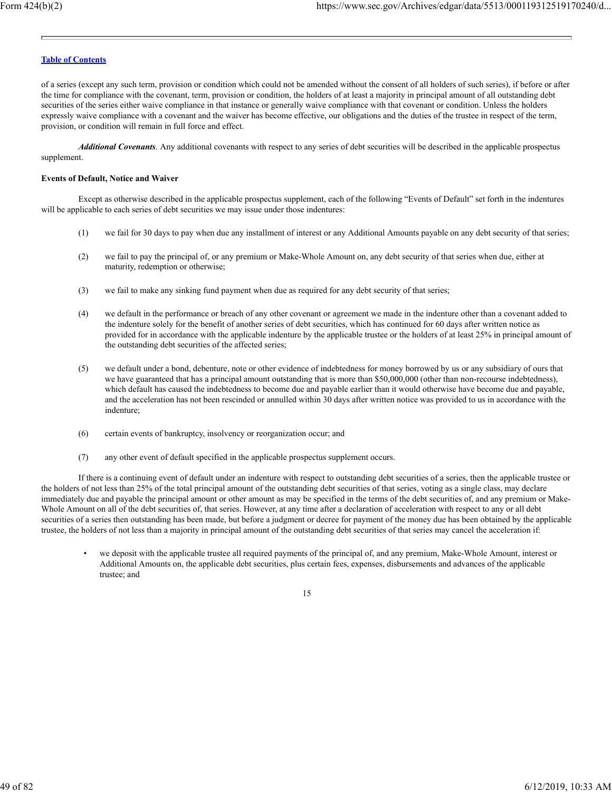of a series (except any such term, provision or condition which could not be amended without the consent of all holders of such series), if before or after the time for compliance with the covenant, term, provision or condition, the holders of at least a majority in principal amount of all outstanding debt securities of the series either waive compliance in that instance or generally waive compliance with that covenant or condition. Unless the holders expressly waive compliance with a covenant and the waiver has become effective, our obligations and the duties of the trustee in respect of the term, provision, or condition will remain in full force and effect.

*Additional Covenants.* Any additional covenants with respect to any series of debt securities will be described in the applicable prospectus supplement.

# **Events of Default, Notice and Waiver**

Except as otherwise described in the applicable prospectus supplement, each of the following "Events of Default" set forth in the indentures will be applicable to each series of debt securities we may issue under those indentures:

- (1) we fail for 30 days to pay when due any installment of interest or any Additional Amounts payable on any debt security of that series;
- (2) we fail to pay the principal of, or any premium or Make-Whole Amount on, any debt security of that series when due, either at maturity, redemption or otherwise;
- (3) we fail to make any sinking fund payment when due as required for any debt security of that series;
- (4) we default in the performance or breach of any other covenant or agreement we made in the indenture other than a covenant added to the indenture solely for the benefit of another series of debt securities, which has continued for 60 days after written notice as provided for in accordance with the applicable indenture by the applicable trustee or the holders of at least 25% in principal amount of the outstanding debt securities of the affected series;
- (5) we default under a bond, debenture, note or other evidence of indebtedness for money borrowed by us or any subsidiary of ours that we have guaranteed that has a principal amount outstanding that is more than \$50,000,000 (other than non-recourse indebtedness), which default has caused the indebtedness to become due and payable earlier than it would otherwise have become due and payable, and the acceleration has not been rescinded or annulled within 30 days after written notice was provided to us in accordance with the indenture;
- (6) certain events of bankruptcy, insolvency or reorganization occur; and
- (7) any other event of default specified in the applicable prospectus supplement occurs.

If there is a continuing event of default under an indenture with respect to outstanding debt securities of a series, then the applicable trustee or the holders of not less than 25% of the total principal amount of the outstanding debt securities of that series, voting as a single class, may declare immediately due and payable the principal amount or other amount as may be specified in the terms of the debt securities of, and any premium or Make-Whole Amount on all of the debt securities of, that series. However, at any time after a declaration of acceleration with respect to any or all debt securities of a series then outstanding has been made, but before a judgment or decree for payment of the money due has been obtained by the applicable trustee, the holders of not less than a majority in principal amount of the outstanding debt securities of that series may cancel the acceleration if:

• we deposit with the applicable trustee all required payments of the principal of, and any premium, Make-Whole Amount, interest or Additional Amounts on, the applicable debt securities, plus certain fees, expenses, disbursements and advances of the applicable trustee; and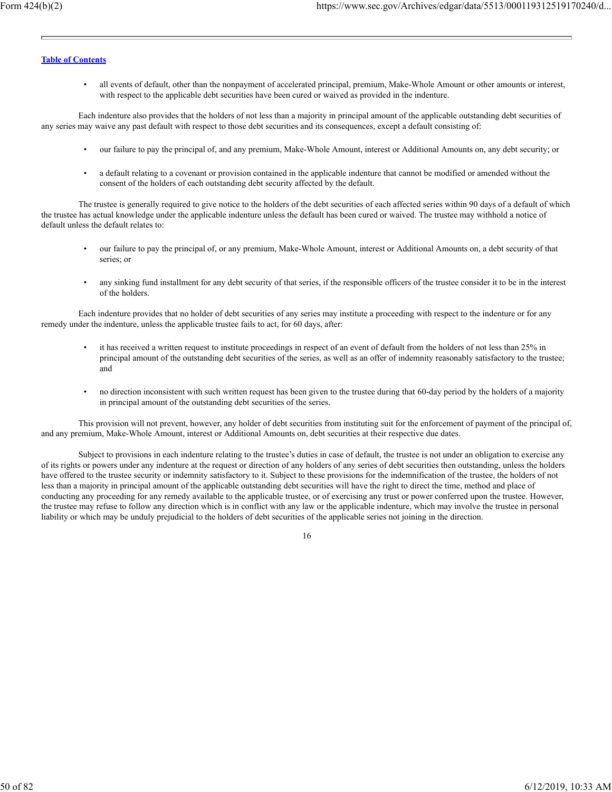• all events of default, other than the nonpayment of accelerated principal, premium, Make-Whole Amount or other amounts or interest, with respect to the applicable debt securities have been cured or waived as provided in the indenture.

Each indenture also provides that the holders of not less than a majority in principal amount of the applicable outstanding debt securities of any series may waive any past default with respect to those debt securities and its consequences, except a default consisting of:

- our failure to pay the principal of, and any premium, Make-Whole Amount, interest or Additional Amounts on, any debt security; or
- a default relating to a covenant or provision contained in the applicable indenture that cannot be modified or amended without the consent of the holders of each outstanding debt security affected by the default.

The trustee is generally required to give notice to the holders of the debt securities of each affected series within 90 days of a default of which the trustee has actual knowledge under the applicable indenture unless the default has been cured or waived. The trustee may withhold a notice of default unless the default relates to:

- our failure to pay the principal of, or any premium, Make-Whole Amount, interest or Additional Amounts on, a debt security of that series; or
- any sinking fund installment for any debt security of that series, if the responsible officers of the trustee consider it to be in the interest of the holders.

Each indenture provides that no holder of debt securities of any series may institute a proceeding with respect to the indenture or for any remedy under the indenture, unless the applicable trustee fails to act, for 60 days, after:

- it has received a written request to institute proceedings in respect of an event of default from the holders of not less than 25% in principal amount of the outstanding debt securities of the series, as well as an offer of indemnity reasonably satisfactory to the trustee; and
- no direction inconsistent with such written request has been given to the trustee during that 60-day period by the holders of a majority in principal amount of the outstanding debt securities of the series.

This provision will not prevent, however, any holder of debt securities from instituting suit for the enforcement of payment of the principal of, and any premium, Make-Whole Amount, interest or Additional Amounts on, debt securities at their respective due dates.

Subject to provisions in each indenture relating to the trustee's duties in case of default, the trustee is not under an obligation to exercise any of its rights or powers under any indenture at the request or direction of any holders of any series of debt securities then outstanding, unless the holders have offered to the trustee security or indemnity satisfactory to it. Subject to these provisions for the indemnification of the trustee, the holders of not less than a majority in principal amount of the applicable outstanding debt securities will have the right to direct the time, method and place of conducting any proceeding for any remedy available to the applicable trustee, or of exercising any trust or power conferred upon the trustee. However, the trustee may refuse to follow any direction which is in conflict with any law or the applicable indenture, which may involve the trustee in personal liability or which may be unduly prejudicial to the holders of debt securities of the applicable series not joining in the direction.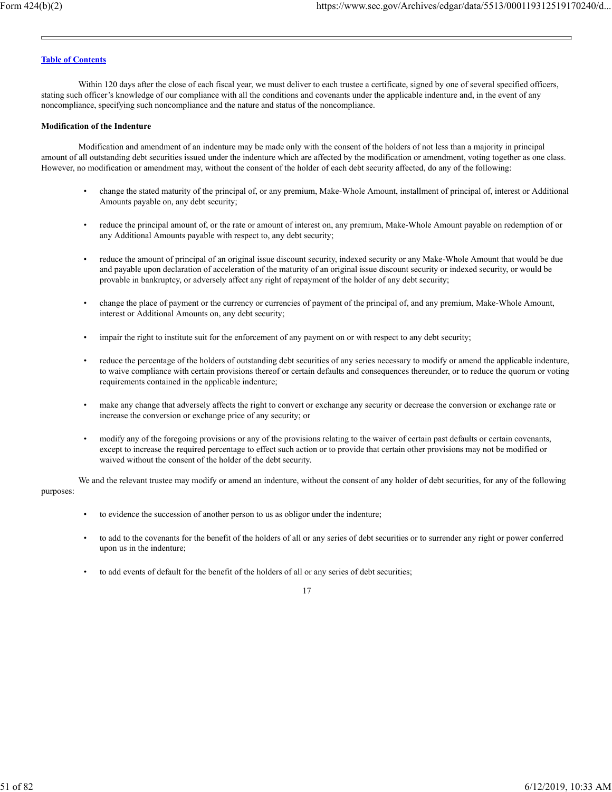Within 120 days after the close of each fiscal year, we must deliver to each trustee a certificate, signed by one of several specified officers, stating such officer's knowledge of our compliance with all the conditions and covenants under the applicable indenture and, in the event of any noncompliance, specifying such noncompliance and the nature and status of the noncompliance.

#### **Modification of the Indenture**

Modification and amendment of an indenture may be made only with the consent of the holders of not less than a majority in principal amount of all outstanding debt securities issued under the indenture which are affected by the modification or amendment, voting together as one class. However, no modification or amendment may, without the consent of the holder of each debt security affected, do any of the following:

- change the stated maturity of the principal of, or any premium, Make-Whole Amount, installment of principal of, interest or Additional Amounts payable on, any debt security;
- reduce the principal amount of, or the rate or amount of interest on, any premium, Make-Whole Amount payable on redemption of or any Additional Amounts payable with respect to, any debt security;
- reduce the amount of principal of an original issue discount security, indexed security or any Make-Whole Amount that would be due and payable upon declaration of acceleration of the maturity of an original issue discount security or indexed security, or would be provable in bankruptcy, or adversely affect any right of repayment of the holder of any debt security;
- change the place of payment or the currency or currencies of payment of the principal of, and any premium, Make-Whole Amount, interest or Additional Amounts on, any debt security;
- impair the right to institute suit for the enforcement of any payment on or with respect to any debt security;
- reduce the percentage of the holders of outstanding debt securities of any series necessary to modify or amend the applicable indenture, to waive compliance with certain provisions thereof or certain defaults and consequences thereunder, or to reduce the quorum or voting requirements contained in the applicable indenture;
- make any change that adversely affects the right to convert or exchange any security or decrease the conversion or exchange rate or increase the conversion or exchange price of any security; or
- modify any of the foregoing provisions or any of the provisions relating to the waiver of certain past defaults or certain covenants, except to increase the required percentage to effect such action or to provide that certain other provisions may not be modified or waived without the consent of the holder of the debt security.

We and the relevant trustee may modify or amend an indenture, without the consent of any holder of debt securities, for any of the following purposes:

- to evidence the succession of another person to us as obligor under the indenture;
- to add to the covenants for the benefit of the holders of all or any series of debt securities or to surrender any right or power conferred upon us in the indenture;
- to add events of default for the benefit of the holders of all or any series of debt securities;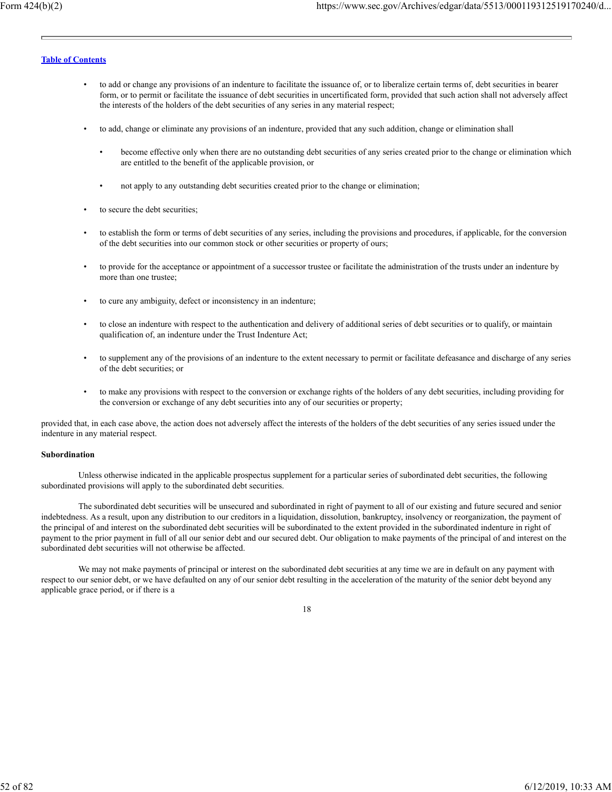- to add or change any provisions of an indenture to facilitate the issuance of, or to liberalize certain terms of, debt securities in bearer form, or to permit or facilitate the issuance of debt securities in uncertificated form, provided that such action shall not adversely affect the interests of the holders of the debt securities of any series in any material respect;
- to add, change or eliminate any provisions of an indenture, provided that any such addition, change or elimination shall
	- become effective only when there are no outstanding debt securities of any series created prior to the change or elimination which are entitled to the benefit of the applicable provision, or
	- not apply to any outstanding debt securities created prior to the change or elimination;
- to secure the debt securities;
- to establish the form or terms of debt securities of any series, including the provisions and procedures, if applicable, for the conversion of the debt securities into our common stock or other securities or property of ours;
- to provide for the acceptance or appointment of a successor trustee or facilitate the administration of the trusts under an indenture by more than one trustee;
- to cure any ambiguity, defect or inconsistency in an indenture;
- to close an indenture with respect to the authentication and delivery of additional series of debt securities or to qualify, or maintain qualification of, an indenture under the Trust Indenture Act;
- to supplement any of the provisions of an indenture to the extent necessary to permit or facilitate defeasance and discharge of any series of the debt securities; or
- to make any provisions with respect to the conversion or exchange rights of the holders of any debt securities, including providing for the conversion or exchange of any debt securities into any of our securities or property;

provided that, in each case above, the action does not adversely affect the interests of the holders of the debt securities of any series issued under the indenture in any material respect.

#### **Subordination**

Unless otherwise indicated in the applicable prospectus supplement for a particular series of subordinated debt securities, the following subordinated provisions will apply to the subordinated debt securities.

The subordinated debt securities will be unsecured and subordinated in right of payment to all of our existing and future secured and senior indebtedness. As a result, upon any distribution to our creditors in a liquidation, dissolution, bankruptcy, insolvency or reorganization, the payment of the principal of and interest on the subordinated debt securities will be subordinated to the extent provided in the subordinated indenture in right of payment to the prior payment in full of all our senior debt and our secured debt. Our obligation to make payments of the principal of and interest on the subordinated debt securities will not otherwise be affected.

We may not make payments of principal or interest on the subordinated debt securities at any time we are in default on any payment with respect to our senior debt, or we have defaulted on any of our senior debt resulting in the acceleration of the maturity of the senior debt beyond any applicable grace period, or if there is a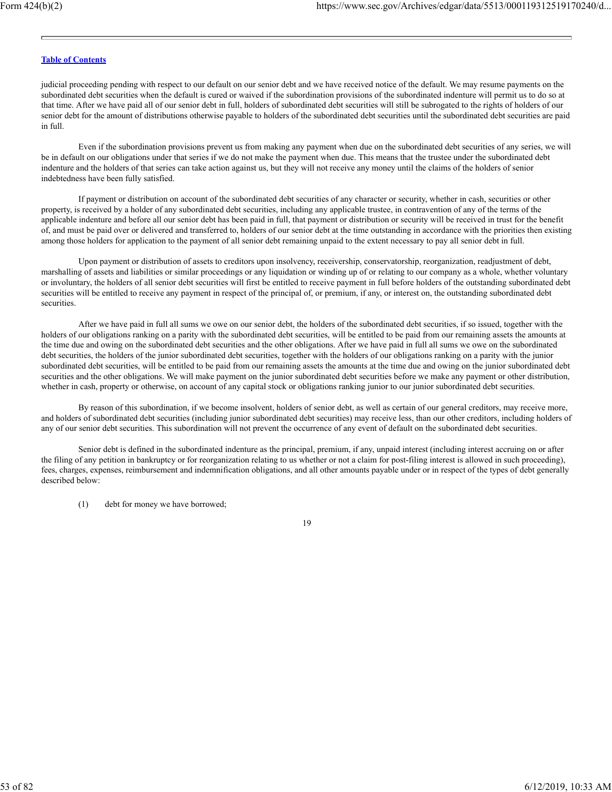judicial proceeding pending with respect to our default on our senior debt and we have received notice of the default. We may resume payments on the subordinated debt securities when the default is cured or waived if the subordination provisions of the subordinated indenture will permit us to do so at that time. After we have paid all of our senior debt in full, holders of subordinated debt securities will still be subrogated to the rights of holders of our senior debt for the amount of distributions otherwise payable to holders of the subordinated debt securities until the subordinated debt securities are paid in full.

Even if the subordination provisions prevent us from making any payment when due on the subordinated debt securities of any series, we will be in default on our obligations under that series if we do not make the payment when due. This means that the trustee under the subordinated debt indenture and the holders of that series can take action against us, but they will not receive any money until the claims of the holders of senior indebtedness have been fully satisfied.

If payment or distribution on account of the subordinated debt securities of any character or security, whether in cash, securities or other property, is received by a holder of any subordinated debt securities, including any applicable trustee, in contravention of any of the terms of the applicable indenture and before all our senior debt has been paid in full, that payment or distribution or security will be received in trust for the benefit of, and must be paid over or delivered and transferred to, holders of our senior debt at the time outstanding in accordance with the priorities then existing among those holders for application to the payment of all senior debt remaining unpaid to the extent necessary to pay all senior debt in full.

Upon payment or distribution of assets to creditors upon insolvency, receivership, conservatorship, reorganization, readjustment of debt, marshalling of assets and liabilities or similar proceedings or any liquidation or winding up of or relating to our company as a whole, whether voluntary or involuntary, the holders of all senior debt securities will first be entitled to receive payment in full before holders of the outstanding subordinated debt securities will be entitled to receive any payment in respect of the principal of, or premium, if any, or interest on, the outstanding subordinated debt securities.

After we have paid in full all sums we owe on our senior debt, the holders of the subordinated debt securities, if so issued, together with the holders of our obligations ranking on a parity with the subordinated debt securities, will be entitled to be paid from our remaining assets the amounts at the time due and owing on the subordinated debt securities and the other obligations. After we have paid in full all sums we owe on the subordinated debt securities, the holders of the junior subordinated debt securities, together with the holders of our obligations ranking on a parity with the junior subordinated debt securities, will be entitled to be paid from our remaining assets the amounts at the time due and owing on the junior subordinated debt securities and the other obligations. We will make payment on the junior subordinated debt securities before we make any payment or other distribution, whether in cash, property or otherwise, on account of any capital stock or obligations ranking junior to our junior subordinated debt securities.

By reason of this subordination, if we become insolvent, holders of senior debt, as well as certain of our general creditors, may receive more, and holders of subordinated debt securities (including junior subordinated debt securities) may receive less, than our other creditors, including holders of any of our senior debt securities. This subordination will not prevent the occurrence of any event of default on the subordinated debt securities.

Senior debt is defined in the subordinated indenture as the principal, premium, if any, unpaid interest (including interest accruing on or after the filing of any petition in bankruptcy or for reorganization relating to us whether or not a claim for post-filing interest is allowed in such proceeding), fees, charges, expenses, reimbursement and indemnification obligations, and all other amounts payable under or in respect of the types of debt generally described below:

(1) debt for money we have borrowed;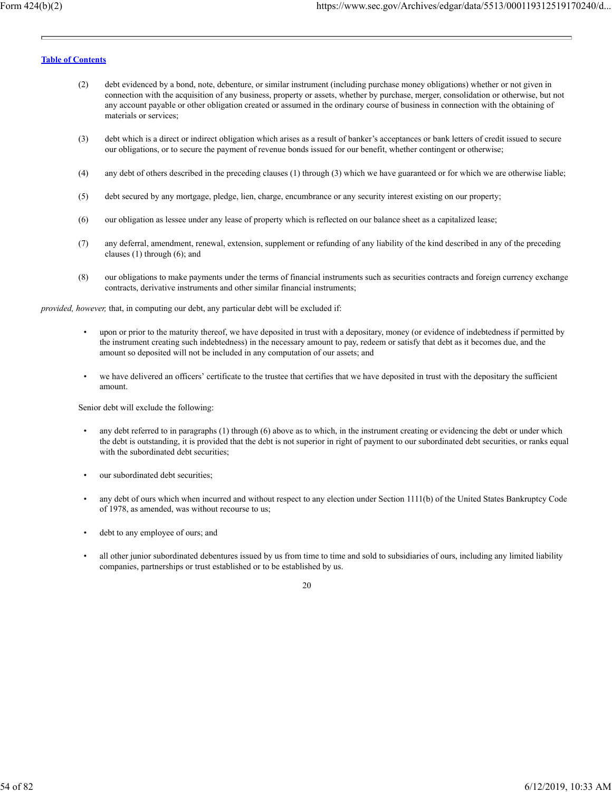- (2) debt evidenced by a bond, note, debenture, or similar instrument (including purchase money obligations) whether or not given in connection with the acquisition of any business, property or assets, whether by purchase, merger, consolidation or otherwise, but not any account payable or other obligation created or assumed in the ordinary course of business in connection with the obtaining of materials or services;
- (3) debt which is a direct or indirect obligation which arises as a result of banker's acceptances or bank letters of credit issued to secure our obligations, or to secure the payment of revenue bonds issued for our benefit, whether contingent or otherwise;
- (4) any debt of others described in the preceding clauses (1) through (3) which we have guaranteed or for which we are otherwise liable;
- (5) debt secured by any mortgage, pledge, lien, charge, encumbrance or any security interest existing on our property;
- (6) our obligation as lessee under any lease of property which is reflected on our balance sheet as a capitalized lease;
- (7) any deferral, amendment, renewal, extension, supplement or refunding of any liability of the kind described in any of the preceding clauses (1) through (6); and
- (8) our obligations to make payments under the terms of financial instruments such as securities contracts and foreign currency exchange contracts, derivative instruments and other similar financial instruments;

*provided, however,* that, in computing our debt, any particular debt will be excluded if:

- upon or prior to the maturity thereof, we have deposited in trust with a depositary, money (or evidence of indebtedness if permitted by the instrument creating such indebtedness) in the necessary amount to pay, redeem or satisfy that debt as it becomes due, and the amount so deposited will not be included in any computation of our assets; and
- we have delivered an officers' certificate to the trustee that certifies that we have deposited in trust with the depositary the sufficient amount.

Senior debt will exclude the following:

- any debt referred to in paragraphs (1) through (6) above as to which, in the instrument creating or evidencing the debt or under which the debt is outstanding, it is provided that the debt is not superior in right of payment to our subordinated debt securities, or ranks equal with the subordinated debt securities;
- our subordinated debt securities;
- any debt of ours which when incurred and without respect to any election under Section 1111(b) of the United States Bankruptcy Code of 1978, as amended, was without recourse to us;
- debt to any employee of ours; and
- all other junior subordinated debentures issued by us from time to time and sold to subsidiaries of ours, including any limited liability companies, partnerships or trust established or to be established by us.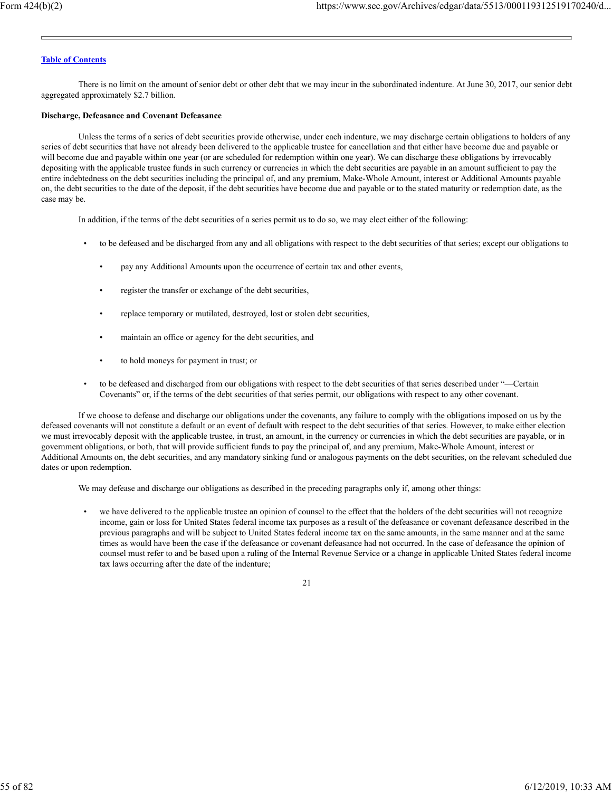There is no limit on the amount of senior debt or other debt that we may incur in the subordinated indenture. At June 30, 2017, our senior debt aggregated approximately \$2.7 billion.

#### **Discharge, Defeasance and Covenant Defeasance**

Unless the terms of a series of debt securities provide otherwise, under each indenture, we may discharge certain obligations to holders of any series of debt securities that have not already been delivered to the applicable trustee for cancellation and that either have become due and payable or will become due and payable within one year (or are scheduled for redemption within one year). We can discharge these obligations by irrevocably depositing with the applicable trustee funds in such currency or currencies in which the debt securities are payable in an amount sufficient to pay the entire indebtedness on the debt securities including the principal of, and any premium, Make-Whole Amount, interest or Additional Amounts payable on, the debt securities to the date of the deposit, if the debt securities have become due and payable or to the stated maturity or redemption date, as the case may be.

In addition, if the terms of the debt securities of a series permit us to do so, we may elect either of the following:

- to be defeased and be discharged from any and all obligations with respect to the debt securities of that series; except our obligations to
	- pay any Additional Amounts upon the occurrence of certain tax and other events,
	- register the transfer or exchange of the debt securities,
	- replace temporary or mutilated, destroyed, lost or stolen debt securities,
	- maintain an office or agency for the debt securities, and
	- to hold moneys for payment in trust; or
- to be defeased and discharged from our obligations with respect to the debt securities of that series described under "—Certain Covenants" or, if the terms of the debt securities of that series permit, our obligations with respect to any other covenant.

If we choose to defease and discharge our obligations under the covenants, any failure to comply with the obligations imposed on us by the defeased covenants will not constitute a default or an event of default with respect to the debt securities of that series. However, to make either election we must irrevocably deposit with the applicable trustee, in trust, an amount, in the currency or currencies in which the debt securities are payable, or in government obligations, or both, that will provide sufficient funds to pay the principal of, and any premium, Make-Whole Amount, interest or Additional Amounts on, the debt securities, and any mandatory sinking fund or analogous payments on the debt securities, on the relevant scheduled due dates or upon redemption.

We may defease and discharge our obligations as described in the preceding paragraphs only if, among other things:

• we have delivered to the applicable trustee an opinion of counsel to the effect that the holders of the debt securities will not recognize income, gain or loss for United States federal income tax purposes as a result of the defeasance or covenant defeasance described in the previous paragraphs and will be subject to United States federal income tax on the same amounts, in the same manner and at the same times as would have been the case if the defeasance or covenant defeasance had not occurred. In the case of defeasance the opinion of counsel must refer to and be based upon a ruling of the Internal Revenue Service or a change in applicable United States federal income tax laws occurring after the date of the indenture;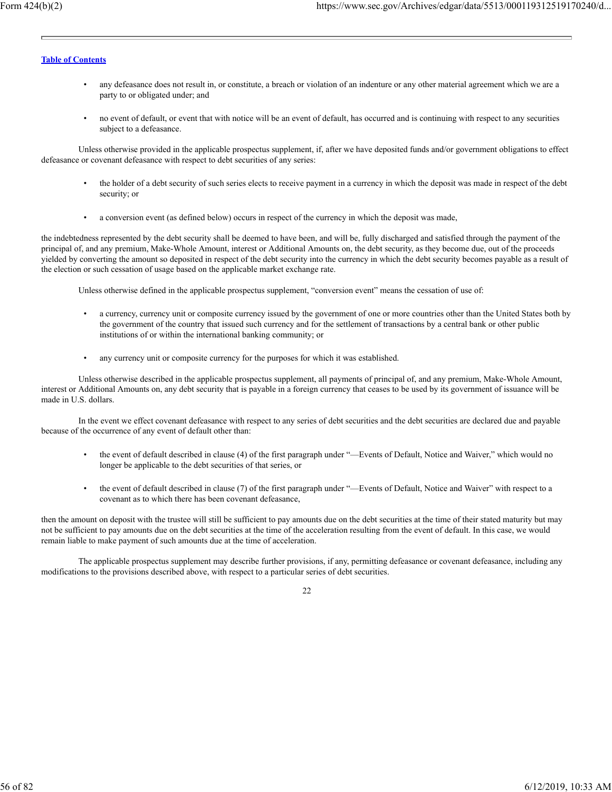- any defeasance does not result in, or constitute, a breach or violation of an indenture or any other material agreement which we are a party to or obligated under; and
- no event of default, or event that with notice will be an event of default, has occurred and is continuing with respect to any securities subject to a defeasance.

Unless otherwise provided in the applicable prospectus supplement, if, after we have deposited funds and/or government obligations to effect defeasance or covenant defeasance with respect to debt securities of any series:

- the holder of a debt security of such series elects to receive payment in a currency in which the deposit was made in respect of the debt security; or
- a conversion event (as defined below) occurs in respect of the currency in which the deposit was made,

the indebtedness represented by the debt security shall be deemed to have been, and will be, fully discharged and satisfied through the payment of the principal of, and any premium, Make-Whole Amount, interest or Additional Amounts on, the debt security, as they become due, out of the proceeds yielded by converting the amount so deposited in respect of the debt security into the currency in which the debt security becomes payable as a result of the election or such cessation of usage based on the applicable market exchange rate.

Unless otherwise defined in the applicable prospectus supplement, "conversion event" means the cessation of use of:

- a currency, currency unit or composite currency issued by the government of one or more countries other than the United States both by the government of the country that issued such currency and for the settlement of transactions by a central bank or other public institutions of or within the international banking community; or
- any currency unit or composite currency for the purposes for which it was established.

Unless otherwise described in the applicable prospectus supplement, all payments of principal of, and any premium, Make-Whole Amount, interest or Additional Amounts on, any debt security that is payable in a foreign currency that ceases to be used by its government of issuance will be made in U.S. dollars.

In the event we effect covenant defeasance with respect to any series of debt securities and the debt securities are declared due and payable because of the occurrence of any event of default other than:

- the event of default described in clause (4) of the first paragraph under "—Events of Default, Notice and Waiver," which would no longer be applicable to the debt securities of that series, or
- the event of default described in clause (7) of the first paragraph under "—Events of Default, Notice and Waiver" with respect to a covenant as to which there has been covenant defeasance,

then the amount on deposit with the trustee will still be sufficient to pay amounts due on the debt securities at the time of their stated maturity but may not be sufficient to pay amounts due on the debt securities at the time of the acceleration resulting from the event of default. In this case, we would remain liable to make payment of such amounts due at the time of acceleration.

The applicable prospectus supplement may describe further provisions, if any, permitting defeasance or covenant defeasance, including any modifications to the provisions described above, with respect to a particular series of debt securities.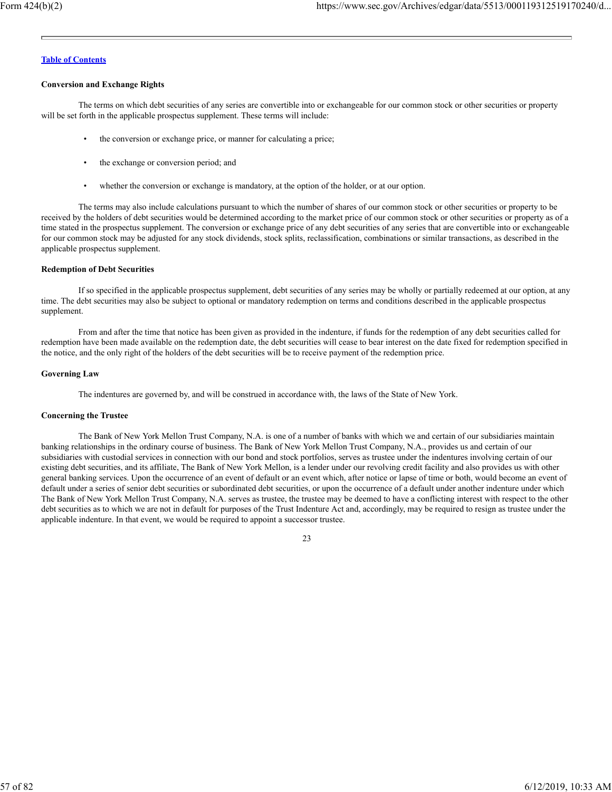#### **Conversion and Exchange Rights**

The terms on which debt securities of any series are convertible into or exchangeable for our common stock or other securities or property will be set forth in the applicable prospectus supplement. These terms will include:

- the conversion or exchange price, or manner for calculating a price;
- the exchange or conversion period; and
- whether the conversion or exchange is mandatory, at the option of the holder, or at our option.

The terms may also include calculations pursuant to which the number of shares of our common stock or other securities or property to be received by the holders of debt securities would be determined according to the market price of our common stock or other securities or property as of a time stated in the prospectus supplement. The conversion or exchange price of any debt securities of any series that are convertible into or exchangeable for our common stock may be adjusted for any stock dividends, stock splits, reclassification, combinations or similar transactions, as described in the applicable prospectus supplement.

## **Redemption of Debt Securities**

If so specified in the applicable prospectus supplement, debt securities of any series may be wholly or partially redeemed at our option, at any time. The debt securities may also be subject to optional or mandatory redemption on terms and conditions described in the applicable prospectus supplement.

From and after the time that notice has been given as provided in the indenture, if funds for the redemption of any debt securities called for redemption have been made available on the redemption date, the debt securities will cease to bear interest on the date fixed for redemption specified in the notice, and the only right of the holders of the debt securities will be to receive payment of the redemption price.

### **Governing Law**

The indentures are governed by, and will be construed in accordance with, the laws of the State of New York.

#### **Concerning the Trustee**

The Bank of New York Mellon Trust Company, N.A. is one of a number of banks with which we and certain of our subsidiaries maintain banking relationships in the ordinary course of business. The Bank of New York Mellon Trust Company, N.A., provides us and certain of our subsidiaries with custodial services in connection with our bond and stock portfolios, serves as trustee under the indentures involving certain of our existing debt securities, and its affiliate, The Bank of New York Mellon, is a lender under our revolving credit facility and also provides us with other general banking services. Upon the occurrence of an event of default or an event which, after notice or lapse of time or both, would become an event of default under a series of senior debt securities or subordinated debt securities, or upon the occurrence of a default under another indenture under which The Bank of New York Mellon Trust Company, N.A. serves as trustee, the trustee may be deemed to have a conflicting interest with respect to the other debt securities as to which we are not in default for purposes of the Trust Indenture Act and, accordingly, may be required to resign as trustee under the applicable indenture. In that event, we would be required to appoint a successor trustee.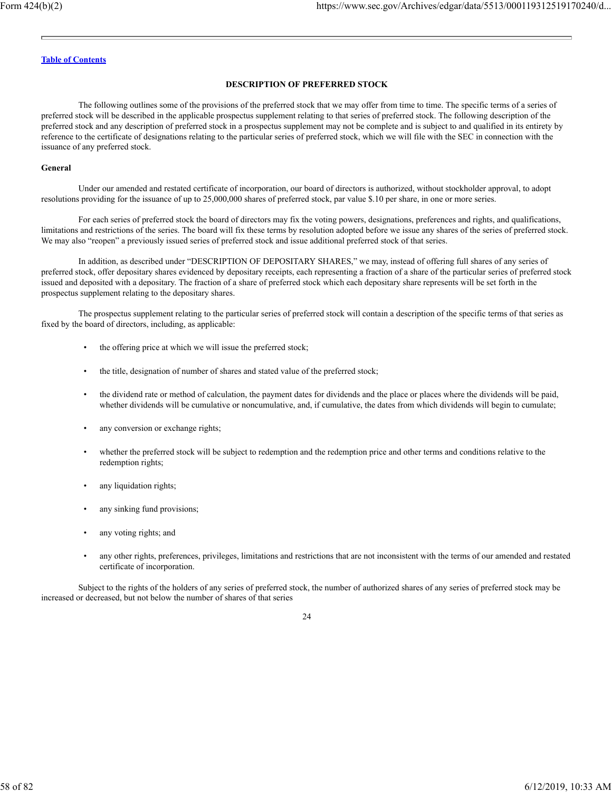### **DESCRIPTION OF PREFERRED STOCK**

The following outlines some of the provisions of the preferred stock that we may offer from time to time. The specific terms of a series of preferred stock will be described in the applicable prospectus supplement relating to that series of preferred stock. The following description of the preferred stock and any description of preferred stock in a prospectus supplement may not be complete and is subject to and qualified in its entirety by reference to the certificate of designations relating to the particular series of preferred stock, which we will file with the SEC in connection with the issuance of any preferred stock.

#### **General**

Under our amended and restated certificate of incorporation, our board of directors is authorized, without stockholder approval, to adopt resolutions providing for the issuance of up to 25,000,000 shares of preferred stock, par value \$.10 per share, in one or more series.

For each series of preferred stock the board of directors may fix the voting powers, designations, preferences and rights, and qualifications, limitations and restrictions of the series. The board will fix these terms by resolution adopted before we issue any shares of the series of preferred stock. We may also "reopen" a previously issued series of preferred stock and issue additional preferred stock of that series.

In addition, as described under "DESCRIPTION OF DEPOSITARY SHARES," we may, instead of offering full shares of any series of preferred stock, offer depositary shares evidenced by depositary receipts, each representing a fraction of a share of the particular series of preferred stock issued and deposited with a depositary. The fraction of a share of preferred stock which each depositary share represents will be set forth in the prospectus supplement relating to the depositary shares.

The prospectus supplement relating to the particular series of preferred stock will contain a description of the specific terms of that series as fixed by the board of directors, including, as applicable:

- the offering price at which we will issue the preferred stock;
- the title, designation of number of shares and stated value of the preferred stock;
- the dividend rate or method of calculation, the payment dates for dividends and the place or places where the dividends will be paid, whether dividends will be cumulative or noncumulative, and, if cumulative, the dates from which dividends will begin to cumulate;
- any conversion or exchange rights;
- whether the preferred stock will be subject to redemption and the redemption price and other terms and conditions relative to the redemption rights;
- any liquidation rights;
- any sinking fund provisions;
- any voting rights; and
- any other rights, preferences, privileges, limitations and restrictions that are not inconsistent with the terms of our amended and restated certificate of incorporation.

Subject to the rights of the holders of any series of preferred stock, the number of authorized shares of any series of preferred stock may be increased or decreased, but not below the number of shares of that series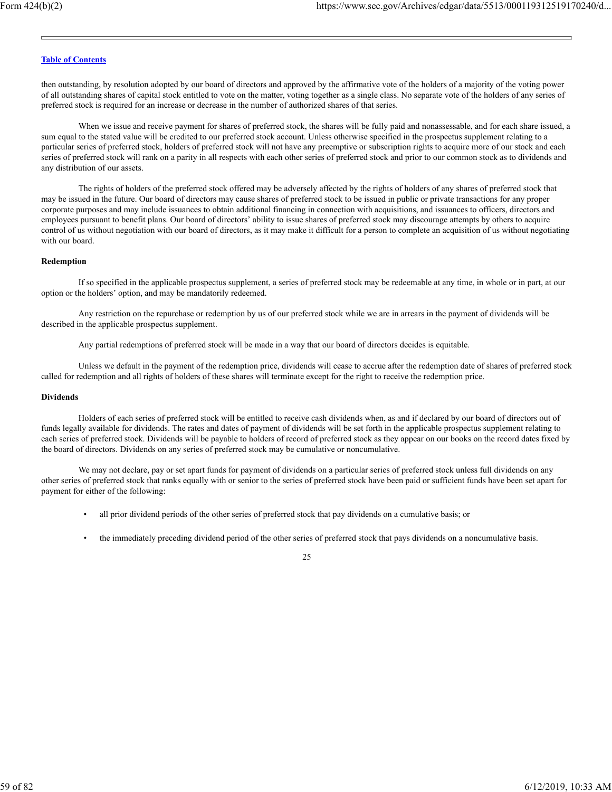then outstanding, by resolution adopted by our board of directors and approved by the affirmative vote of the holders of a majority of the voting power of all outstanding shares of capital stock entitled to vote on the matter, voting together as a single class. No separate vote of the holders of any series of preferred stock is required for an increase or decrease in the number of authorized shares of that series.

When we issue and receive payment for shares of preferred stock, the shares will be fully paid and nonassessable, and for each share issued, a sum equal to the stated value will be credited to our preferred stock account. Unless otherwise specified in the prospectus supplement relating to a particular series of preferred stock, holders of preferred stock will not have any preemptive or subscription rights to acquire more of our stock and each series of preferred stock will rank on a parity in all respects with each other series of preferred stock and prior to our common stock as to dividends and any distribution of our assets.

The rights of holders of the preferred stock offered may be adversely affected by the rights of holders of any shares of preferred stock that may be issued in the future. Our board of directors may cause shares of preferred stock to be issued in public or private transactions for any proper corporate purposes and may include issuances to obtain additional financing in connection with acquisitions, and issuances to officers, directors and employees pursuant to benefit plans. Our board of directors' ability to issue shares of preferred stock may discourage attempts by others to acquire control of us without negotiation with our board of directors, as it may make it difficult for a person to complete an acquisition of us without negotiating with our board.

#### **Redemption**

If so specified in the applicable prospectus supplement, a series of preferred stock may be redeemable at any time, in whole or in part, at our option or the holders' option, and may be mandatorily redeemed.

Any restriction on the repurchase or redemption by us of our preferred stock while we are in arrears in the payment of dividends will be described in the applicable prospectus supplement.

Any partial redemptions of preferred stock will be made in a way that our board of directors decides is equitable.

Unless we default in the payment of the redemption price, dividends will cease to accrue after the redemption date of shares of preferred stock called for redemption and all rights of holders of these shares will terminate except for the right to receive the redemption price.

#### **Dividends**

Holders of each series of preferred stock will be entitled to receive cash dividends when, as and if declared by our board of directors out of funds legally available for dividends. The rates and dates of payment of dividends will be set forth in the applicable prospectus supplement relating to each series of preferred stock. Dividends will be payable to holders of record of preferred stock as they appear on our books on the record dates fixed by the board of directors. Dividends on any series of preferred stock may be cumulative or noncumulative.

We may not declare, pay or set apart funds for payment of dividends on a particular series of preferred stock unless full dividends on any other series of preferred stock that ranks equally with or senior to the series of preferred stock have been paid or sufficient funds have been set apart for payment for either of the following:

- all prior dividend periods of the other series of preferred stock that pay dividends on a cumulative basis; or
- the immediately preceding dividend period of the other series of preferred stock that pays dividends on a noncumulative basis.

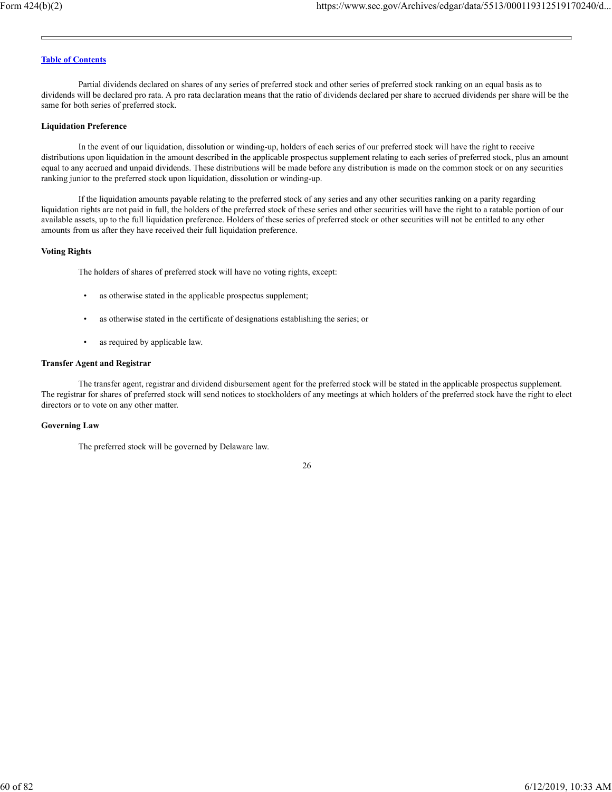Partial dividends declared on shares of any series of preferred stock and other series of preferred stock ranking on an equal basis as to dividends will be declared pro rata. A pro rata declaration means that the ratio of dividends declared per share to accrued dividends per share will be the same for both series of preferred stock.

#### **Liquidation Preference**

In the event of our liquidation, dissolution or winding-up, holders of each series of our preferred stock will have the right to receive distributions upon liquidation in the amount described in the applicable prospectus supplement relating to each series of preferred stock, plus an amount equal to any accrued and unpaid dividends. These distributions will be made before any distribution is made on the common stock or on any securities ranking junior to the preferred stock upon liquidation, dissolution or winding-up.

If the liquidation amounts payable relating to the preferred stock of any series and any other securities ranking on a parity regarding liquidation rights are not paid in full, the holders of the preferred stock of these series and other securities will have the right to a ratable portion of our available assets, up to the full liquidation preference. Holders of these series of preferred stock or other securities will not be entitled to any other amounts from us after they have received their full liquidation preference.

#### **Voting Rights**

The holders of shares of preferred stock will have no voting rights, except:

- as otherwise stated in the applicable prospectus supplement;
- as otherwise stated in the certificate of designations establishing the series; or
- as required by applicable law.

#### **Transfer Agent and Registrar**

The transfer agent, registrar and dividend disbursement agent for the preferred stock will be stated in the applicable prospectus supplement. The registrar for shares of preferred stock will send notices to stockholders of any meetings at which holders of the preferred stock have the right to elect directors or to vote on any other matter.

#### **Governing Law**

The preferred stock will be governed by Delaware law.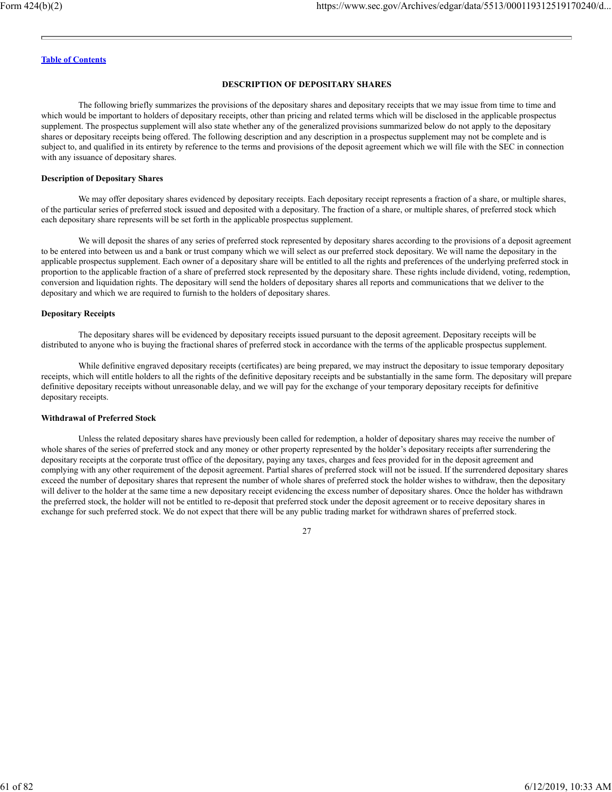# **DESCRIPTION OF DEPOSITARY SHARES**

The following briefly summarizes the provisions of the depositary shares and depositary receipts that we may issue from time to time and which would be important to holders of depositary receipts, other than pricing and related terms which will be disclosed in the applicable prospectus supplement. The prospectus supplement will also state whether any of the generalized provisions summarized below do not apply to the depositary shares or depositary receipts being offered. The following description and any description in a prospectus supplement may not be complete and is subject to, and qualified in its entirety by reference to the terms and provisions of the deposit agreement which we will file with the SEC in connection with any issuance of depositary shares.

#### **Description of Depositary Shares**

We may offer depositary shares evidenced by depositary receipts. Each depositary receipt represents a fraction of a share, or multiple shares, of the particular series of preferred stock issued and deposited with a depositary. The fraction of a share, or multiple shares, of preferred stock which each depositary share represents will be set forth in the applicable prospectus supplement.

We will deposit the shares of any series of preferred stock represented by depositary shares according to the provisions of a deposit agreement to be entered into between us and a bank or trust company which we will select as our preferred stock depositary. We will name the depositary in the applicable prospectus supplement. Each owner of a depositary share will be entitled to all the rights and preferences of the underlying preferred stock in proportion to the applicable fraction of a share of preferred stock represented by the depositary share. These rights include dividend, voting, redemption, conversion and liquidation rights. The depositary will send the holders of depositary shares all reports and communications that we deliver to the depositary and which we are required to furnish to the holders of depositary shares.

### **Depositary Receipts**

The depositary shares will be evidenced by depositary receipts issued pursuant to the deposit agreement. Depositary receipts will be distributed to anyone who is buying the fractional shares of preferred stock in accordance with the terms of the applicable prospectus supplement.

While definitive engraved depositary receipts (certificates) are being prepared, we may instruct the depositary to issue temporary depositary receipts, which will entitle holders to all the rights of the definitive depositary receipts and be substantially in the same form. The depositary will prepare definitive depositary receipts without unreasonable delay, and we will pay for the exchange of your temporary depositary receipts for definitive depositary receipts.

#### **Withdrawal of Preferred Stock**

Unless the related depositary shares have previously been called for redemption, a holder of depositary shares may receive the number of whole shares of the series of preferred stock and any money or other property represented by the holder's depositary receipts after surrendering the depositary receipts at the corporate trust office of the depositary, paying any taxes, charges and fees provided for in the deposit agreement and complying with any other requirement of the deposit agreement. Partial shares of preferred stock will not be issued. If the surrendered depositary shares exceed the number of depositary shares that represent the number of whole shares of preferred stock the holder wishes to withdraw, then the depositary will deliver to the holder at the same time a new depositary receipt evidencing the excess number of depositary shares. Once the holder has withdrawn the preferred stock, the holder will not be entitled to re-deposit that preferred stock under the deposit agreement or to receive depositary shares in exchange for such preferred stock. We do not expect that there will be any public trading market for withdrawn shares of preferred stock.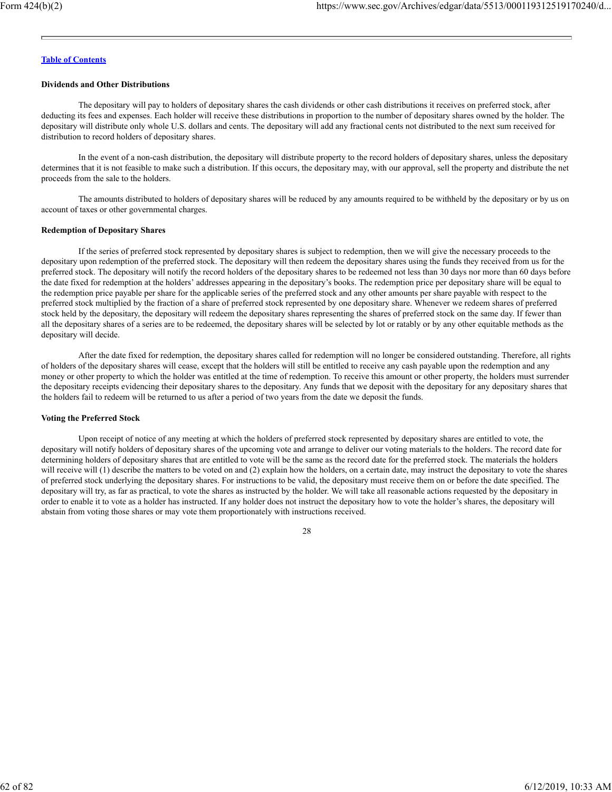### **Dividends and Other Distributions**

The depositary will pay to holders of depositary shares the cash dividends or other cash distributions it receives on preferred stock, after deducting its fees and expenses. Each holder will receive these distributions in proportion to the number of depositary shares owned by the holder. The depositary will distribute only whole U.S. dollars and cents. The depositary will add any fractional cents not distributed to the next sum received for distribution to record holders of depositary shares.

In the event of a non-cash distribution, the depositary will distribute property to the record holders of depositary shares, unless the depositary determines that it is not feasible to make such a distribution. If this occurs, the depositary may, with our approval, sell the property and distribute the net proceeds from the sale to the holders.

The amounts distributed to holders of depositary shares will be reduced by any amounts required to be withheld by the depositary or by us on account of taxes or other governmental charges.

### **Redemption of Depositary Shares**

If the series of preferred stock represented by depositary shares is subject to redemption, then we will give the necessary proceeds to the depositary upon redemption of the preferred stock. The depositary will then redeem the depositary shares using the funds they received from us for the preferred stock. The depositary will notify the record holders of the depositary shares to be redeemed not less than 30 days nor more than 60 days before the date fixed for redemption at the holders' addresses appearing in the depositary's books. The redemption price per depositary share will be equal to the redemption price payable per share for the applicable series of the preferred stock and any other amounts per share payable with respect to the preferred stock multiplied by the fraction of a share of preferred stock represented by one depositary share. Whenever we redeem shares of preferred stock held by the depositary, the depositary will redeem the depositary shares representing the shares of preferred stock on the same day. If fewer than all the depositary shares of a series are to be redeemed, the depositary shares will be selected by lot or ratably or by any other equitable methods as the depositary will decide.

After the date fixed for redemption, the depositary shares called for redemption will no longer be considered outstanding. Therefore, all rights of holders of the depositary shares will cease, except that the holders will still be entitled to receive any cash payable upon the redemption and any money or other property to which the holder was entitled at the time of redemption. To receive this amount or other property, the holders must surrender the depositary receipts evidencing their depositary shares to the depositary. Any funds that we deposit with the depositary for any depositary shares that the holders fail to redeem will be returned to us after a period of two years from the date we deposit the funds.

# **Voting the Preferred Stock**

Upon receipt of notice of any meeting at which the holders of preferred stock represented by depositary shares are entitled to vote, the depositary will notify holders of depositary shares of the upcoming vote and arrange to deliver our voting materials to the holders. The record date for determining holders of depositary shares that are entitled to vote will be the same as the record date for the preferred stock. The materials the holders will receive will (1) describe the matters to be voted on and (2) explain how the holders, on a certain date, may instruct the depositary to vote the shares of preferred stock underlying the depositary shares. For instructions to be valid, the depositary must receive them on or before the date specified. The depositary will try, as far as practical, to vote the shares as instructed by the holder. We will take all reasonable actions requested by the depositary in order to enable it to vote as a holder has instructed. If any holder does not instruct the depositary how to vote the holder's shares, the depositary will abstain from voting those shares or may vote them proportionately with instructions received.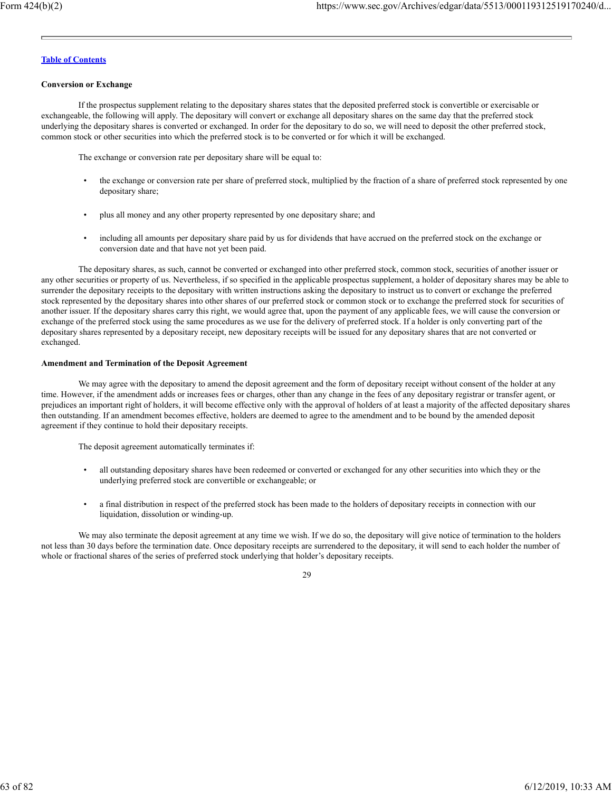### **Conversion or Exchange**

If the prospectus supplement relating to the depositary shares states that the deposited preferred stock is convertible or exercisable or exchangeable, the following will apply. The depositary will convert or exchange all depositary shares on the same day that the preferred stock underlying the depositary shares is converted or exchanged. In order for the depositary to do so, we will need to deposit the other preferred stock, common stock or other securities into which the preferred stock is to be converted or for which it will be exchanged.

The exchange or conversion rate per depositary share will be equal to:

- the exchange or conversion rate per share of preferred stock, multiplied by the fraction of a share of preferred stock represented by one depositary share;
- plus all money and any other property represented by one depositary share; and
- including all amounts per depositary share paid by us for dividends that have accrued on the preferred stock on the exchange or conversion date and that have not yet been paid.

The depositary shares, as such, cannot be converted or exchanged into other preferred stock, common stock, securities of another issuer or any other securities or property of us. Nevertheless, if so specified in the applicable prospectus supplement, a holder of depositary shares may be able to surrender the depositary receipts to the depositary with written instructions asking the depositary to instruct us to convert or exchange the preferred stock represented by the depositary shares into other shares of our preferred stock or common stock or to exchange the preferred stock for securities of another issuer. If the depositary shares carry this right, we would agree that, upon the payment of any applicable fees, we will cause the conversion or exchange of the preferred stock using the same procedures as we use for the delivery of preferred stock. If a holder is only converting part of the depositary shares represented by a depositary receipt, new depositary receipts will be issued for any depositary shares that are not converted or exchanged.

# **Amendment and Termination of the Deposit Agreement**

We may agree with the depositary to amend the deposit agreement and the form of depositary receipt without consent of the holder at any time. However, if the amendment adds or increases fees or charges, other than any change in the fees of any depositary registrar or transfer agent, or prejudices an important right of holders, it will become effective only with the approval of holders of at least a majority of the affected depositary shares then outstanding. If an amendment becomes effective, holders are deemed to agree to the amendment and to be bound by the amended deposit agreement if they continue to hold their depositary receipts.

The deposit agreement automatically terminates if:

- all outstanding depositary shares have been redeemed or converted or exchanged for any other securities into which they or the underlying preferred stock are convertible or exchangeable; or
- a final distribution in respect of the preferred stock has been made to the holders of depositary receipts in connection with our liquidation, dissolution or winding-up.

We may also terminate the deposit agreement at any time we wish. If we do so, the depositary will give notice of termination to the holders not less than 30 days before the termination date. Once depositary receipts are surrendered to the depositary, it will send to each holder the number of whole or fractional shares of the series of preferred stock underlying that holder's depositary receipts.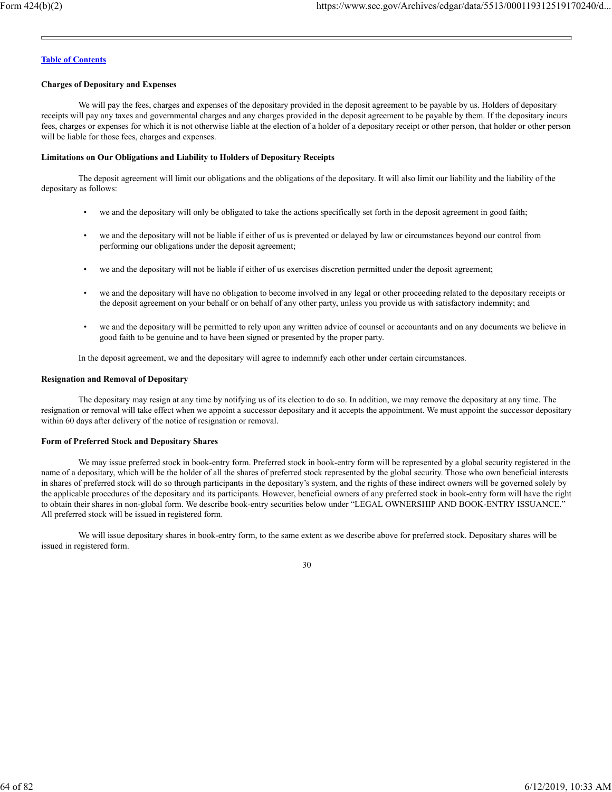## **Charges of Depositary and Expenses**

We will pay the fees, charges and expenses of the depositary provided in the deposit agreement to be payable by us. Holders of depositary receipts will pay any taxes and governmental charges and any charges provided in the deposit agreement to be payable by them. If the depositary incurs fees, charges or expenses for which it is not otherwise liable at the election of a holder of a depositary receipt or other person, that holder or other person will be liable for those fees, charges and expenses.

## **Limitations on Our Obligations and Liability to Holders of Depositary Receipts**

The deposit agreement will limit our obligations and the obligations of the depositary. It will also limit our liability and the liability of the depositary as follows:

- we and the depositary will only be obligated to take the actions specifically set forth in the deposit agreement in good faith;
- we and the depositary will not be liable if either of us is prevented or delayed by law or circumstances beyond our control from performing our obligations under the deposit agreement;
- we and the depositary will not be liable if either of us exercises discretion permitted under the deposit agreement;
- we and the depositary will have no obligation to become involved in any legal or other proceeding related to the depositary receipts or the deposit agreement on your behalf or on behalf of any other party, unless you provide us with satisfactory indemnity; and
- we and the depositary will be permitted to rely upon any written advice of counsel or accountants and on any documents we believe in good faith to be genuine and to have been signed or presented by the proper party.

In the deposit agreement, we and the depositary will agree to indemnify each other under certain circumstances.

### **Resignation and Removal of Depositary**

The depositary may resign at any time by notifying us of its election to do so. In addition, we may remove the depositary at any time. The resignation or removal will take effect when we appoint a successor depositary and it accepts the appointment. We must appoint the successor depositary within 60 days after delivery of the notice of resignation or removal.

# **Form of Preferred Stock and Depositary Shares**

We may issue preferred stock in book-entry form. Preferred stock in book-entry form will be represented by a global security registered in the name of a depositary, which will be the holder of all the shares of preferred stock represented by the global security. Those who own beneficial interests in shares of preferred stock will do so through participants in the depositary's system, and the rights of these indirect owners will be governed solely by the applicable procedures of the depositary and its participants. However, beneficial owners of any preferred stock in book-entry form will have the right to obtain their shares in non-global form. We describe book-entry securities below under "LEGAL OWNERSHIP AND BOOK-ENTRY ISSUANCE." All preferred stock will be issued in registered form.

We will issue depositary shares in book-entry form, to the same extent as we describe above for preferred stock. Depositary shares will be issued in registered form.

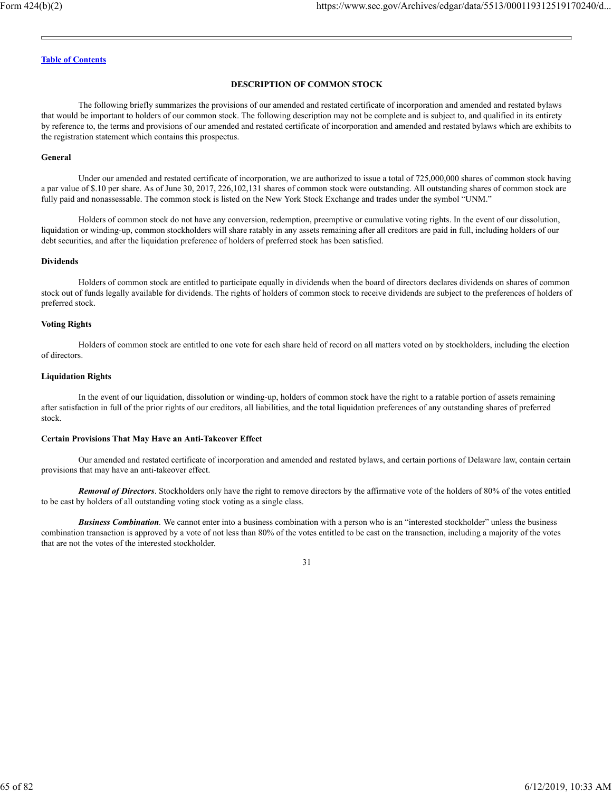# **DESCRIPTION OF COMMON STOCK**

The following briefly summarizes the provisions of our amended and restated certificate of incorporation and amended and restated bylaws that would be important to holders of our common stock. The following description may not be complete and is subject to, and qualified in its entirety by reference to, the terms and provisions of our amended and restated certificate of incorporation and amended and restated bylaws which are exhibits to the registration statement which contains this prospectus.

#### **General**

Under our amended and restated certificate of incorporation, we are authorized to issue a total of 725,000,000 shares of common stock having a par value of \$.10 per share. As of June 30, 2017, 226,102,131 shares of common stock were outstanding. All outstanding shares of common stock are fully paid and nonassessable. The common stock is listed on the New York Stock Exchange and trades under the symbol "UNM."

Holders of common stock do not have any conversion, redemption, preemptive or cumulative voting rights. In the event of our dissolution, liquidation or winding-up, common stockholders will share ratably in any assets remaining after all creditors are paid in full, including holders of our debt securities, and after the liquidation preference of holders of preferred stock has been satisfied.

### **Dividends**

Holders of common stock are entitled to participate equally in dividends when the board of directors declares dividends on shares of common stock out of funds legally available for dividends. The rights of holders of common stock to receive dividends are subject to the preferences of holders of preferred stock.

### **Voting Rights**

Holders of common stock are entitled to one vote for each share held of record on all matters voted on by stockholders, including the election of directors.

### **Liquidation Rights**

In the event of our liquidation, dissolution or winding-up, holders of common stock have the right to a ratable portion of assets remaining after satisfaction in full of the prior rights of our creditors, all liabilities, and the total liquidation preferences of any outstanding shares of preferred stock.

### **Certain Provisions That May Have an Anti-Takeover Effect**

Our amended and restated certificate of incorporation and amended and restated bylaws, and certain portions of Delaware law, contain certain provisions that may have an anti-takeover effect.

*Removal of Directors*. Stockholders only have the right to remove directors by the affirmative vote of the holders of 80% of the votes entitled to be cast by holders of all outstanding voting stock voting as a single class.

*Business Combination.* We cannot enter into a business combination with a person who is an "interested stockholder" unless the business combination transaction is approved by a vote of not less than 80% of the votes entitled to be cast on the transaction, including a majority of the votes that are not the votes of the interested stockholder.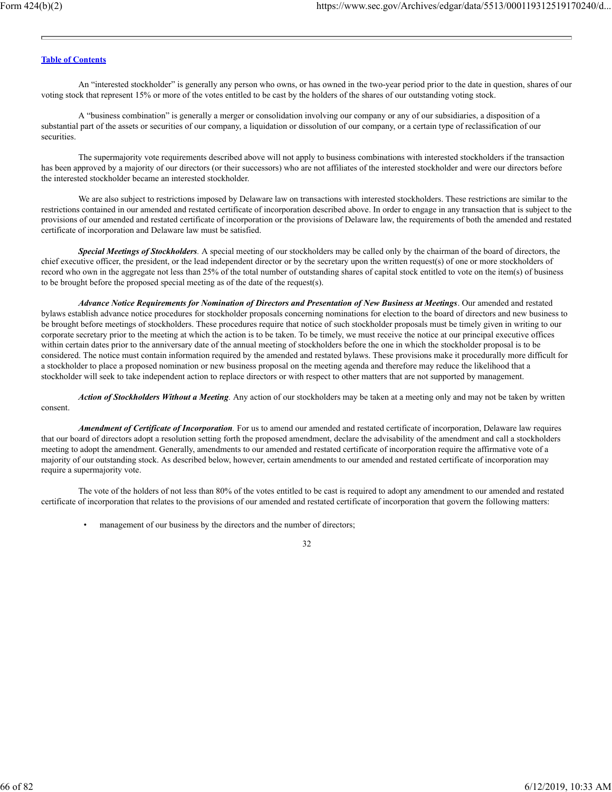An "interested stockholder" is generally any person who owns, or has owned in the two-year period prior to the date in question, shares of our voting stock that represent 15% or more of the votes entitled to be cast by the holders of the shares of our outstanding voting stock.

A "business combination" is generally a merger or consolidation involving our company or any of our subsidiaries, a disposition of a substantial part of the assets or securities of our company, a liquidation or dissolution of our company, or a certain type of reclassification of our securities.

The supermajority vote requirements described above will not apply to business combinations with interested stockholders if the transaction has been approved by a majority of our directors (or their successors) who are not affiliates of the interested stockholder and were our directors before the interested stockholder became an interested stockholder.

We are also subject to restrictions imposed by Delaware law on transactions with interested stockholders. These restrictions are similar to the restrictions contained in our amended and restated certificate of incorporation described above. In order to engage in any transaction that is subject to the provisions of our amended and restated certificate of incorporation or the provisions of Delaware law, the requirements of both the amended and restated certificate of incorporation and Delaware law must be satisfied.

*Special Meetings of Stockholders.* A special meeting of our stockholders may be called only by the chairman of the board of directors, the chief executive officer, the president, or the lead independent director or by the secretary upon the written request(s) of one or more stockholders of record who own in the aggregate not less than 25% of the total number of outstanding shares of capital stock entitled to vote on the item(s) of business to be brought before the proposed special meeting as of the date of the request(s).

*Advance Notice Requirements for Nomination of Directors and Presentation of New Business at Meetings*. Our amended and restated bylaws establish advance notice procedures for stockholder proposals concerning nominations for election to the board of directors and new business to be brought before meetings of stockholders. These procedures require that notice of such stockholder proposals must be timely given in writing to our corporate secretary prior to the meeting at which the action is to be taken. To be timely, we must receive the notice at our principal executive offices within certain dates prior to the anniversary date of the annual meeting of stockholders before the one in which the stockholder proposal is to be considered. The notice must contain information required by the amended and restated bylaws. These provisions make it procedurally more difficult for a stockholder to place a proposed nomination or new business proposal on the meeting agenda and therefore may reduce the likelihood that a stockholder will seek to take independent action to replace directors or with respect to other matters that are not supported by management.

*Action of Stockholders Without a Meeting.* Any action of our stockholders may be taken at a meeting only and may not be taken by written consent.

*Amendment of Certificate of Incorporation.* For us to amend our amended and restated certificate of incorporation, Delaware law requires that our board of directors adopt a resolution setting forth the proposed amendment, declare the advisability of the amendment and call a stockholders meeting to adopt the amendment. Generally, amendments to our amended and restated certificate of incorporation require the affirmative vote of a majority of our outstanding stock. As described below, however, certain amendments to our amended and restated certificate of incorporation may require a supermajority vote.

The vote of the holders of not less than 80% of the votes entitled to be cast is required to adopt any amendment to our amended and restated certificate of incorporation that relates to the provisions of our amended and restated certificate of incorporation that govern the following matters:

management of our business by the directors and the number of directors;

| ۰.<br>×<br>v |  |
|--------------|--|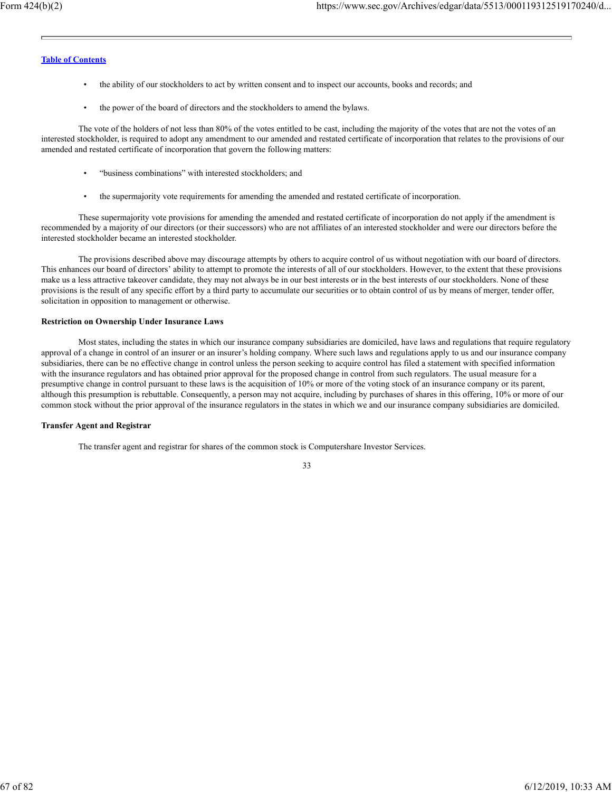- the ability of our stockholders to act by written consent and to inspect our accounts, books and records; and
- the power of the board of directors and the stockholders to amend the bylaws.

The vote of the holders of not less than 80% of the votes entitled to be cast, including the majority of the votes that are not the votes of an interested stockholder, is required to adopt any amendment to our amended and restated certificate of incorporation that relates to the provisions of our amended and restated certificate of incorporation that govern the following matters:

- "business combinations" with interested stockholders; and
- the supermajority vote requirements for amending the amended and restated certificate of incorporation.

These supermajority vote provisions for amending the amended and restated certificate of incorporation do not apply if the amendment is recommended by a majority of our directors (or their successors) who are not affiliates of an interested stockholder and were our directors before the interested stockholder became an interested stockholder.

The provisions described above may discourage attempts by others to acquire control of us without negotiation with our board of directors. This enhances our board of directors' ability to attempt to promote the interests of all of our stockholders. However, to the extent that these provisions make us a less attractive takeover candidate, they may not always be in our best interests or in the best interests of our stockholders. None of these provisions is the result of any specific effort by a third party to accumulate our securities or to obtain control of us by means of merger, tender offer, solicitation in opposition to management or otherwise.

#### **Restriction on Ownership Under Insurance Laws**

Most states, including the states in which our insurance company subsidiaries are domiciled, have laws and regulations that require regulatory approval of a change in control of an insurer or an insurer's holding company. Where such laws and regulations apply to us and our insurance company subsidiaries, there can be no effective change in control unless the person seeking to acquire control has filed a statement with specified information with the insurance regulators and has obtained prior approval for the proposed change in control from such regulators. The usual measure for a presumptive change in control pursuant to these laws is the acquisition of 10% or more of the voting stock of an insurance company or its parent, although this presumption is rebuttable. Consequently, a person may not acquire, including by purchases of shares in this offering, 10% or more of our common stock without the prior approval of the insurance regulators in the states in which we and our insurance company subsidiaries are domiciled.

#### **Transfer Agent and Registrar**

The transfer agent and registrar for shares of the common stock is Computershare Investor Services.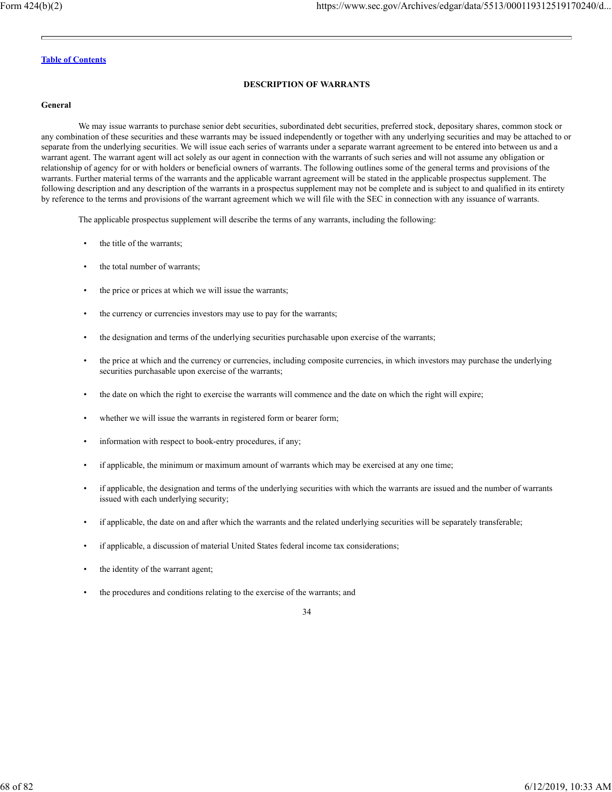## **DESCRIPTION OF WARRANTS**

#### **General**

We may issue warrants to purchase senior debt securities, subordinated debt securities, preferred stock, depositary shares, common stock or any combination of these securities and these warrants may be issued independently or together with any underlying securities and may be attached to or separate from the underlying securities. We will issue each series of warrants under a separate warrant agreement to be entered into between us and a warrant agent. The warrant agent will act solely as our agent in connection with the warrants of such series and will not assume any obligation or relationship of agency for or with holders or beneficial owners of warrants. The following outlines some of the general terms and provisions of the warrants. Further material terms of the warrants and the applicable warrant agreement will be stated in the applicable prospectus supplement. The following description and any description of the warrants in a prospectus supplement may not be complete and is subject to and qualified in its entirety by reference to the terms and provisions of the warrant agreement which we will file with the SEC in connection with any issuance of warrants.

The applicable prospectus supplement will describe the terms of any warrants, including the following:

- the title of the warrants;
- the total number of warrants;
- the price or prices at which we will issue the warrants;
- the currency or currencies investors may use to pay for the warrants;
- the designation and terms of the underlying securities purchasable upon exercise of the warrants;
- the price at which and the currency or currencies, including composite currencies, in which investors may purchase the underlying securities purchasable upon exercise of the warrants;
- the date on which the right to exercise the warrants will commence and the date on which the right will expire;
- whether we will issue the warrants in registered form or bearer form;
- information with respect to book-entry procedures, if any;
- if applicable, the minimum or maximum amount of warrants which may be exercised at any one time;
- if applicable, the designation and terms of the underlying securities with which the warrants are issued and the number of warrants issued with each underlying security;
- if applicable, the date on and after which the warrants and the related underlying securities will be separately transferable;
- if applicable, a discussion of material United States federal income tax considerations;
- the identity of the warrant agent;
- the procedures and conditions relating to the exercise of the warrants; and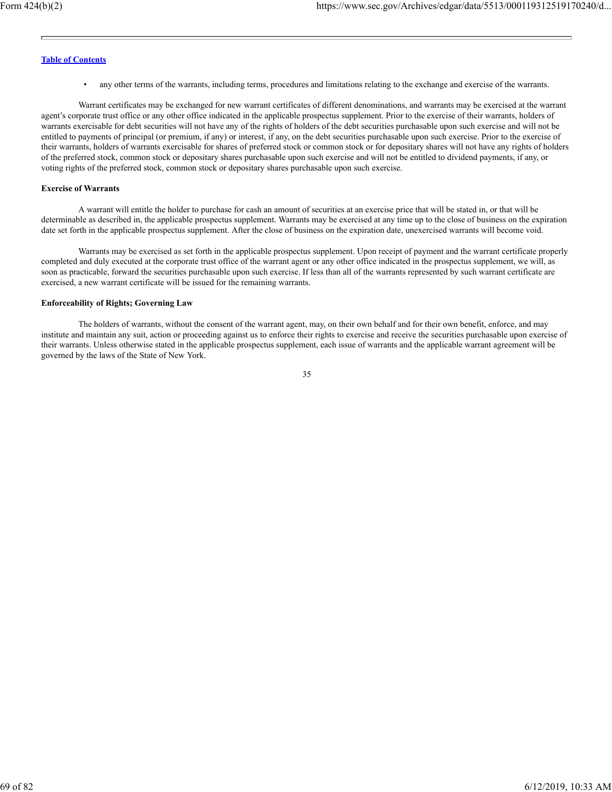• any other terms of the warrants, including terms, procedures and limitations relating to the exchange and exercise of the warrants.

Warrant certificates may be exchanged for new warrant certificates of different denominations, and warrants may be exercised at the warrant agent's corporate trust office or any other office indicated in the applicable prospectus supplement. Prior to the exercise of their warrants, holders of warrants exercisable for debt securities will not have any of the rights of holders of the debt securities purchasable upon such exercise and will not be entitled to payments of principal (or premium, if any) or interest, if any, on the debt securities purchasable upon such exercise. Prior to the exercise of their warrants, holders of warrants exercisable for shares of preferred stock or common stock or for depositary shares will not have any rights of holders of the preferred stock, common stock or depositary shares purchasable upon such exercise and will not be entitled to dividend payments, if any, or voting rights of the preferred stock, common stock or depositary shares purchasable upon such exercise.

## **Exercise of Warrants**

A warrant will entitle the holder to purchase for cash an amount of securities at an exercise price that will be stated in, or that will be determinable as described in, the applicable prospectus supplement. Warrants may be exercised at any time up to the close of business on the expiration date set forth in the applicable prospectus supplement. After the close of business on the expiration date, unexercised warrants will become void.

Warrants may be exercised as set forth in the applicable prospectus supplement. Upon receipt of payment and the warrant certificate properly completed and duly executed at the corporate trust office of the warrant agent or any other office indicated in the prospectus supplement, we will, as soon as practicable, forward the securities purchasable upon such exercise. If less than all of the warrants represented by such warrant certificate are exercised, a new warrant certificate will be issued for the remaining warrants.

#### **Enforceability of Rights; Governing Law**

The holders of warrants, without the consent of the warrant agent, may, on their own behalf and for their own benefit, enforce, and may institute and maintain any suit, action or proceeding against us to enforce their rights to exercise and receive the securities purchasable upon exercise of their warrants. Unless otherwise stated in the applicable prospectus supplement, each issue of warrants and the applicable warrant agreement will be governed by the laws of the State of New York.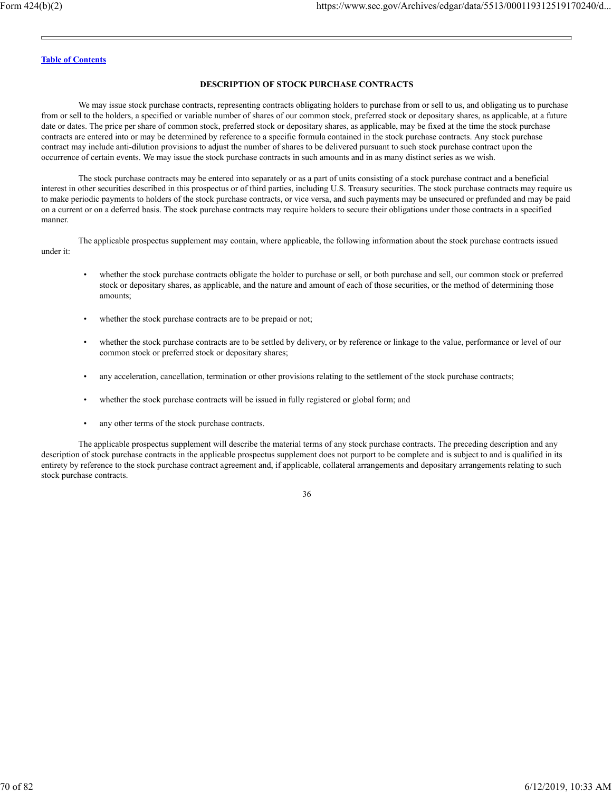### **DESCRIPTION OF STOCK PURCHASE CONTRACTS**

We may issue stock purchase contracts, representing contracts obligating holders to purchase from or sell to us, and obligating us to purchase from or sell to the holders, a specified or variable number of shares of our common stock, preferred stock or depositary shares, as applicable, at a future date or dates. The price per share of common stock, preferred stock or depositary shares, as applicable, may be fixed at the time the stock purchase contracts are entered into or may be determined by reference to a specific formula contained in the stock purchase contracts. Any stock purchase contract may include anti-dilution provisions to adjust the number of shares to be delivered pursuant to such stock purchase contract upon the occurrence of certain events. We may issue the stock purchase contracts in such amounts and in as many distinct series as we wish.

The stock purchase contracts may be entered into separately or as a part of units consisting of a stock purchase contract and a beneficial interest in other securities described in this prospectus or of third parties, including U.S. Treasury securities. The stock purchase contracts may require us to make periodic payments to holders of the stock purchase contracts, or vice versa, and such payments may be unsecured or prefunded and may be paid on a current or on a deferred basis. The stock purchase contracts may require holders to secure their obligations under those contracts in a specified manner.

The applicable prospectus supplement may contain, where applicable, the following information about the stock purchase contracts issued under it:

- whether the stock purchase contracts obligate the holder to purchase or sell, or both purchase and sell, our common stock or preferred stock or depositary shares, as applicable, and the nature and amount of each of those securities, or the method of determining those amounts;
- whether the stock purchase contracts are to be prepaid or not;
- whether the stock purchase contracts are to be settled by delivery, or by reference or linkage to the value, performance or level of our common stock or preferred stock or depositary shares;
- any acceleration, cancellation, termination or other provisions relating to the settlement of the stock purchase contracts;
- whether the stock purchase contracts will be issued in fully registered or global form; and
- any other terms of the stock purchase contracts.

The applicable prospectus supplement will describe the material terms of any stock purchase contracts. The preceding description and any description of stock purchase contracts in the applicable prospectus supplement does not purport to be complete and is subject to and is qualified in its entirety by reference to the stock purchase contract agreement and, if applicable, collateral arrangements and depositary arrangements relating to such stock purchase contracts.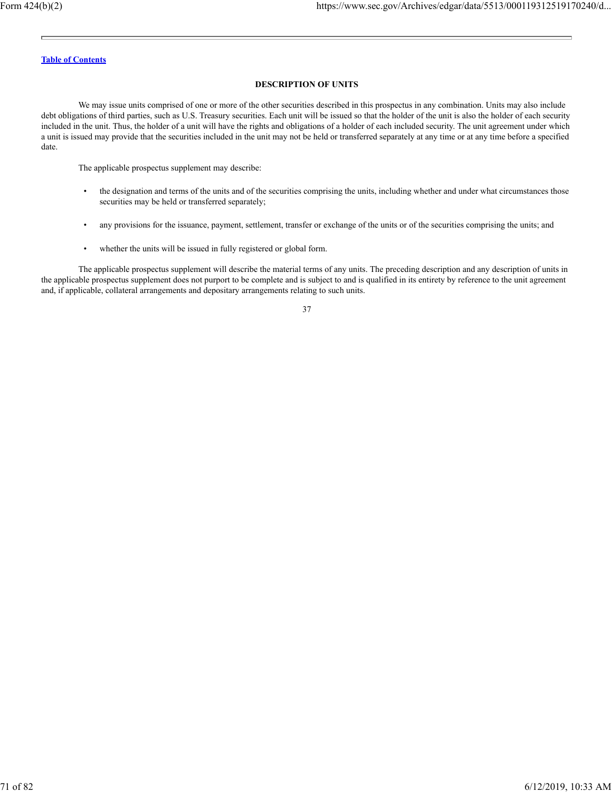# **DESCRIPTION OF UNITS**

We may issue units comprised of one or more of the other securities described in this prospectus in any combination. Units may also include debt obligations of third parties, such as U.S. Treasury securities. Each unit will be issued so that the holder of the unit is also the holder of each security included in the unit. Thus, the holder of a unit will have the rights and obligations of a holder of each included security. The unit agreement under which a unit is issued may provide that the securities included in the unit may not be held or transferred separately at any time or at any time before a specified date.

The applicable prospectus supplement may describe:

- the designation and terms of the units and of the securities comprising the units, including whether and under what circumstances those securities may be held or transferred separately;
- any provisions for the issuance, payment, settlement, transfer or exchange of the units or of the securities comprising the units; and
- whether the units will be issued in fully registered or global form.

The applicable prospectus supplement will describe the material terms of any units. The preceding description and any description of units in the applicable prospectus supplement does not purport to be complete and is subject to and is qualified in its entirety by reference to the unit agreement and, if applicable, collateral arrangements and depositary arrangements relating to such units.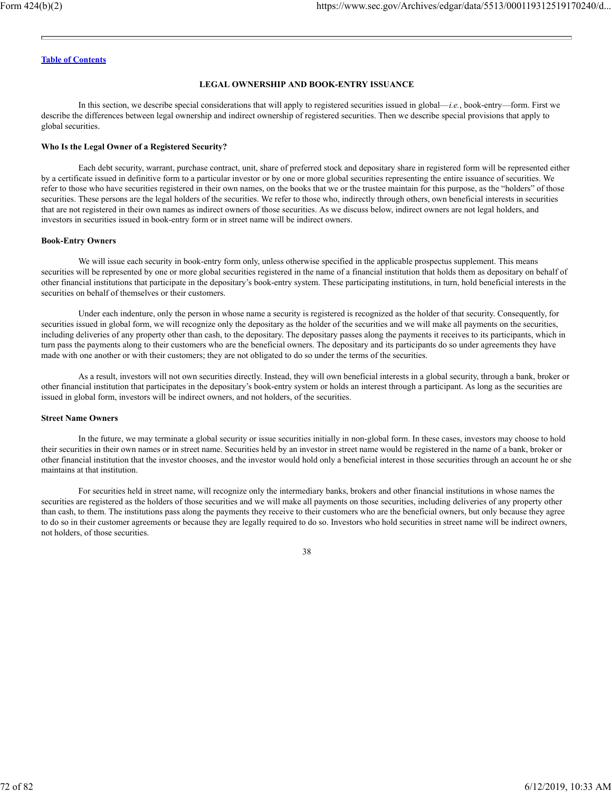#### **LEGAL OWNERSHIP AND BOOK-ENTRY ISSUANCE**

In this section, we describe special considerations that will apply to registered securities issued in global—*i.e.*, book-entry—form. First we describe the differences between legal ownership and indirect ownership of registered securities. Then we describe special provisions that apply to global securities.

#### **Who Is the Legal Owner of a Registered Security?**

Each debt security, warrant, purchase contract, unit, share of preferred stock and depositary share in registered form will be represented either by a certificate issued in definitive form to a particular investor or by one or more global securities representing the entire issuance of securities. We refer to those who have securities registered in their own names, on the books that we or the trustee maintain for this purpose, as the "holders" of those securities. These persons are the legal holders of the securities. We refer to those who, indirectly through others, own beneficial interests in securities that are not registered in their own names as indirect owners of those securities. As we discuss below, indirect owners are not legal holders, and investors in securities issued in book-entry form or in street name will be indirect owners.

#### **Book-Entry Owners**

We will issue each security in book-entry form only, unless otherwise specified in the applicable prospectus supplement. This means securities will be represented by one or more global securities registered in the name of a financial institution that holds them as depositary on behalf of other financial institutions that participate in the depositary's book-entry system. These participating institutions, in turn, hold beneficial interests in the securities on behalf of themselves or their customers.

Under each indenture, only the person in whose name a security is registered is recognized as the holder of that security. Consequently, for securities issued in global form, we will recognize only the depositary as the holder of the securities and we will make all payments on the securities, including deliveries of any property other than cash, to the depositary. The depositary passes along the payments it receives to its participants, which in turn pass the payments along to their customers who are the beneficial owners. The depositary and its participants do so under agreements they have made with one another or with their customers; they are not obligated to do so under the terms of the securities.

As a result, investors will not own securities directly. Instead, they will own beneficial interests in a global security, through a bank, broker or other financial institution that participates in the depositary's book-entry system or holds an interest through a participant. As long as the securities are issued in global form, investors will be indirect owners, and not holders, of the securities.

## **Street Name Owners**

In the future, we may terminate a global security or issue securities initially in non-global form. In these cases, investors may choose to hold their securities in their own names or in street name. Securities held by an investor in street name would be registered in the name of a bank, broker or other financial institution that the investor chooses, and the investor would hold only a beneficial interest in those securities through an account he or she maintains at that institution.

For securities held in street name, will recognize only the intermediary banks, brokers and other financial institutions in whose names the securities are registered as the holders of those securities and we will make all payments on those securities, including deliveries of any property other than cash, to them. The institutions pass along the payments they receive to their customers who are the beneficial owners, but only because they agree to do so in their customer agreements or because they are legally required to do so. Investors who hold securities in street name will be indirect owners, not holders, of those securities.

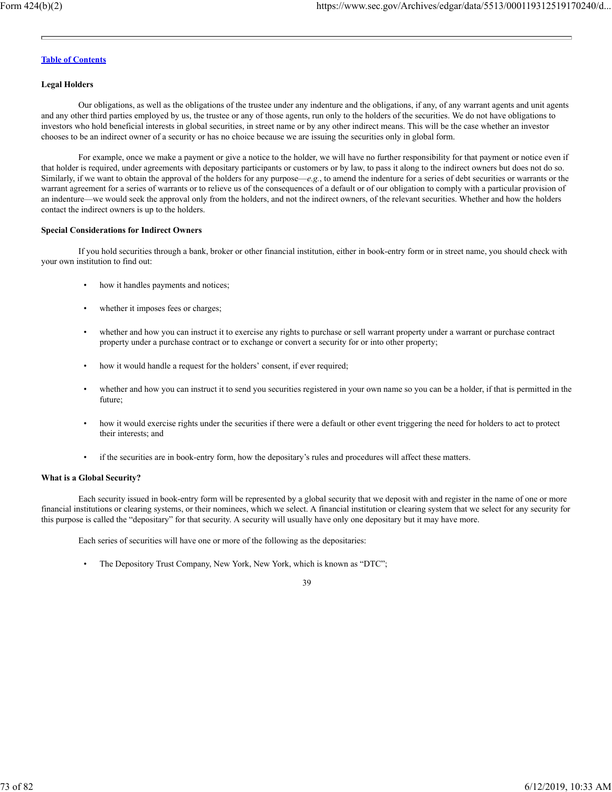### **Legal Holders**

Our obligations, as well as the obligations of the trustee under any indenture and the obligations, if any, of any warrant agents and unit agents and any other third parties employed by us, the trustee or any of those agents, run only to the holders of the securities. We do not have obligations to investors who hold beneficial interests in global securities, in street name or by any other indirect means. This will be the case whether an investor chooses to be an indirect owner of a security or has no choice because we are issuing the securities only in global form.

For example, once we make a payment or give a notice to the holder, we will have no further responsibility for that payment or notice even if that holder is required, under agreements with depositary participants or customers or by law, to pass it along to the indirect owners but does not do so. Similarly, if we want to obtain the approval of the holders for any purpose—e.g., to amend the indenture for a series of debt securities or warrants or the warrant agreement for a series of warrants or to relieve us of the consequences of a default or of our obligation to comply with a particular provision of an indenture—we would seek the approval only from the holders, and not the indirect owners, of the relevant securities. Whether and how the holders contact the indirect owners is up to the holders.

#### **Special Considerations for Indirect Owners**

If you hold securities through a bank, broker or other financial institution, either in book-entry form or in street name, you should check with your own institution to find out:

- how it handles payments and notices;
- whether it imposes fees or charges;
- whether and how you can instruct it to exercise any rights to purchase or sell warrant property under a warrant or purchase contract property under a purchase contract or to exchange or convert a security for or into other property;
- how it would handle a request for the holders' consent, if ever required;
- whether and how you can instruct it to send you securities registered in your own name so you can be a holder, if that is permitted in the future;
- how it would exercise rights under the securities if there were a default or other event triggering the need for holders to act to protect their interests; and
- if the securities are in book-entry form, how the depositary's rules and procedures will affect these matters.

#### **What is a Global Security?**

Each security issued in book-entry form will be represented by a global security that we deposit with and register in the name of one or more financial institutions or clearing systems, or their nominees, which we select. A financial institution or clearing system that we select for any security for this purpose is called the "depositary" for that security. A security will usually have only one depositary but it may have more.

Each series of securities will have one or more of the following as the depositaries:

• The Depository Trust Company, New York, New York, which is known as "DTC";

<sup>39</sup>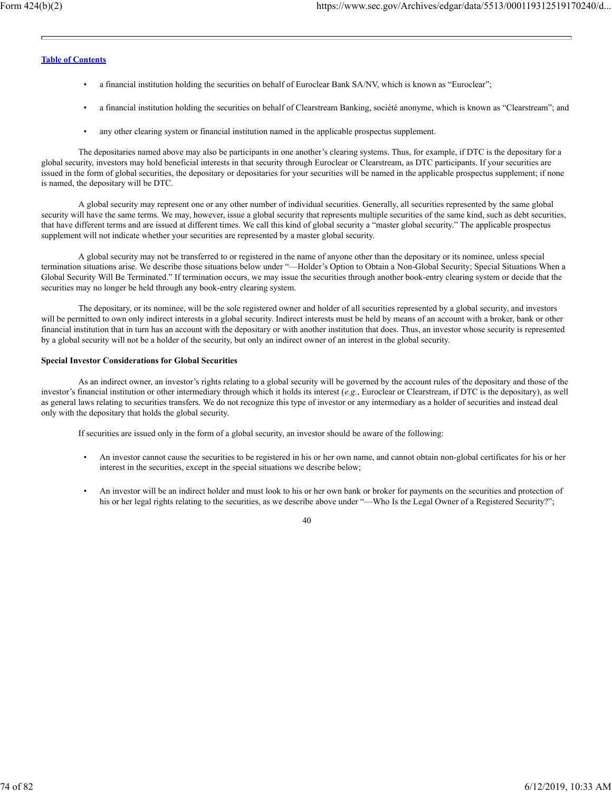- a financial institution holding the securities on behalf of Euroclear Bank SA/NV, which is known as "Euroclear";
- a financial institution holding the securities on behalf of Clearstream Banking, société anonyme, which is known as "Clearstream"; and
- any other clearing system or financial institution named in the applicable prospectus supplement.

The depositaries named above may also be participants in one another's clearing systems. Thus, for example, if DTC is the depositary for a global security, investors may hold beneficial interests in that security through Euroclear or Clearstream, as DTC participants. If your securities are issued in the form of global securities, the depositary or depositaries for your securities will be named in the applicable prospectus supplement; if none is named, the depositary will be DTC.

A global security may represent one or any other number of individual securities. Generally, all securities represented by the same global security will have the same terms. We may, however, issue a global security that represents multiple securities of the same kind, such as debt securities, that have different terms and are issued at different times. We call this kind of global security a "master global security." The applicable prospectus supplement will not indicate whether your securities are represented by a master global security.

A global security may not be transferred to or registered in the name of anyone other than the depositary or its nominee, unless special termination situations arise. We describe those situations below under "—Holder's Option to Obtain a Non-Global Security; Special Situations When a Global Security Will Be Terminated." If termination occurs, we may issue the securities through another book-entry clearing system or decide that the securities may no longer be held through any book-entry clearing system.

The depositary, or its nominee, will be the sole registered owner and holder of all securities represented by a global security, and investors will be permitted to own only indirect interests in a global security. Indirect interests must be held by means of an account with a broker, bank or other financial institution that in turn has an account with the depositary or with another institution that does. Thus, an investor whose security is represented by a global security will not be a holder of the security, but only an indirect owner of an interest in the global security.

#### **Special Investor Considerations for Global Securities**

As an indirect owner, an investor's rights relating to a global security will be governed by the account rules of the depositary and those of the investor's financial institution or other intermediary through which it holds its interest (*e.g.*, Euroclear or Clearstream, if DTC is the depositary), as well as general laws relating to securities transfers. We do not recognize this type of investor or any intermediary as a holder of securities and instead deal only with the depositary that holds the global security.

If securities are issued only in the form of a global security, an investor should be aware of the following:

- An investor cannot cause the securities to be registered in his or her own name, and cannot obtain non-global certificates for his or her interest in the securities, except in the special situations we describe below;
- An investor will be an indirect holder and must look to his or her own bank or broker for payments on the securities and protection of his or her legal rights relating to the securities, as we describe above under "—Who Is the Legal Owner of a Registered Security?";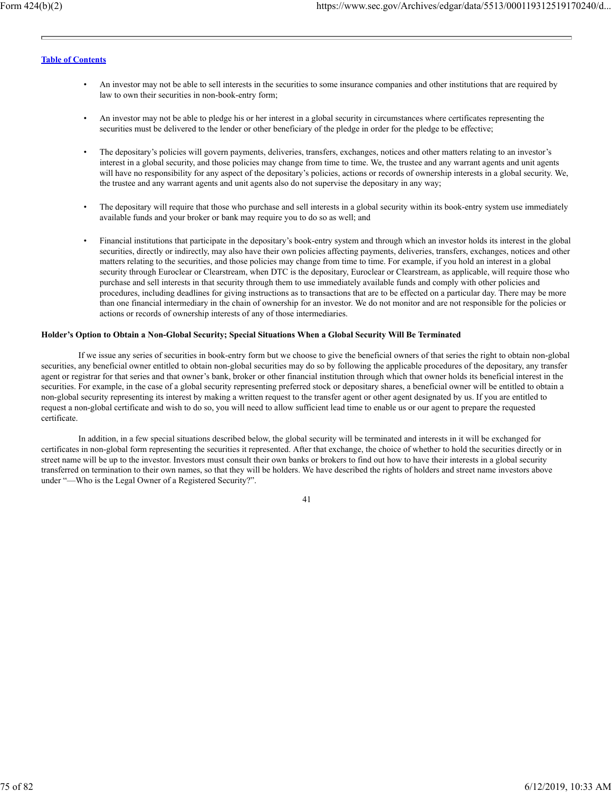- An investor may not be able to sell interests in the securities to some insurance companies and other institutions that are required by law to own their securities in non-book-entry form;
- An investor may not be able to pledge his or her interest in a global security in circumstances where certificates representing the securities must be delivered to the lender or other beneficiary of the pledge in order for the pledge to be effective;
- The depositary's policies will govern payments, deliveries, transfers, exchanges, notices and other matters relating to an investor's interest in a global security, and those policies may change from time to time. We, the trustee and any warrant agents and unit agents will have no responsibility for any aspect of the depositary's policies, actions or records of ownership interests in a global security. We, the trustee and any warrant agents and unit agents also do not supervise the depositary in any way;
- The depositary will require that those who purchase and sell interests in a global security within its book-entry system use immediately available funds and your broker or bank may require you to do so as well; and
- Financial institutions that participate in the depositary's book-entry system and through which an investor holds its interest in the global securities, directly or indirectly, may also have their own policies affecting payments, deliveries, transfers, exchanges, notices and other matters relating to the securities, and those policies may change from time to time. For example, if you hold an interest in a global security through Euroclear or Clearstream, when DTC is the depositary, Euroclear or Clearstream, as applicable, will require those who purchase and sell interests in that security through them to use immediately available funds and comply with other policies and procedures, including deadlines for giving instructions as to transactions that are to be effected on a particular day. There may be more than one financial intermediary in the chain of ownership for an investor. We do not monitor and are not responsible for the policies or actions or records of ownership interests of any of those intermediaries.

### **Holder's Option to Obtain a Non-Global Security; Special Situations When a Global Security Will Be Terminated**

If we issue any series of securities in book-entry form but we choose to give the beneficial owners of that series the right to obtain non-global securities, any beneficial owner entitled to obtain non-global securities may do so by following the applicable procedures of the depositary, any transfer agent or registrar for that series and that owner's bank, broker or other financial institution through which that owner holds its beneficial interest in the securities. For example, in the case of a global security representing preferred stock or depositary shares, a beneficial owner will be entitled to obtain a non-global security representing its interest by making a written request to the transfer agent or other agent designated by us. If you are entitled to request a non-global certificate and wish to do so, you will need to allow sufficient lead time to enable us or our agent to prepare the requested certificate.

In addition, in a few special situations described below, the global security will be terminated and interests in it will be exchanged for certificates in non-global form representing the securities it represented. After that exchange, the choice of whether to hold the securities directly or in street name will be up to the investor. Investors must consult their own banks or brokers to find out how to have their interests in a global security transferred on termination to their own names, so that they will be holders. We have described the rights of holders and street name investors above under "—Who is the Legal Owner of a Registered Security?".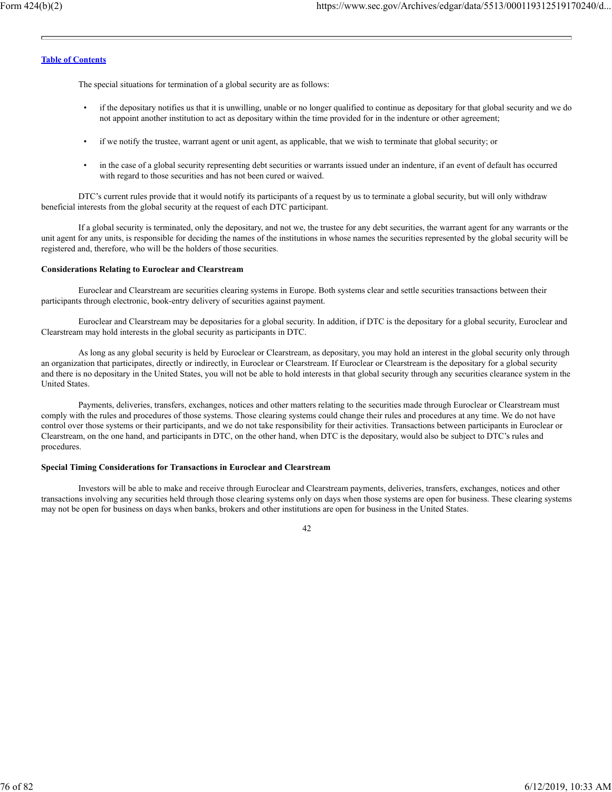The special situations for termination of a global security are as follows:

- if the depositary notifies us that it is unwilling, unable or no longer qualified to continue as depositary for that global security and we do not appoint another institution to act as depositary within the time provided for in the indenture or other agreement;
- if we notify the trustee, warrant agent or unit agent, as applicable, that we wish to terminate that global security; or
- in the case of a global security representing debt securities or warrants issued under an indenture, if an event of default has occurred with regard to those securities and has not been cured or waived.

DTC's current rules provide that it would notify its participants of a request by us to terminate a global security, but will only withdraw beneficial interests from the global security at the request of each DTC participant.

If a global security is terminated, only the depositary, and not we, the trustee for any debt securities, the warrant agent for any warrants or the unit agent for any units, is responsible for deciding the names of the institutions in whose names the securities represented by the global security will be registered and, therefore, who will be the holders of those securities.

#### **Considerations Relating to Euroclear and Clearstream**

Euroclear and Clearstream are securities clearing systems in Europe. Both systems clear and settle securities transactions between their participants through electronic, book-entry delivery of securities against payment.

Euroclear and Clearstream may be depositaries for a global security. In addition, if DTC is the depositary for a global security, Euroclear and Clearstream may hold interests in the global security as participants in DTC.

As long as any global security is held by Euroclear or Clearstream, as depositary, you may hold an interest in the global security only through an organization that participates, directly or indirectly, in Euroclear or Clearstream. If Euroclear or Clearstream is the depositary for a global security and there is no depositary in the United States, you will not be able to hold interests in that global security through any securities clearance system in the United States.

Payments, deliveries, transfers, exchanges, notices and other matters relating to the securities made through Euroclear or Clearstream must comply with the rules and procedures of those systems. Those clearing systems could change their rules and procedures at any time. We do not have control over those systems or their participants, and we do not take responsibility for their activities. Transactions between participants in Euroclear or Clearstream, on the one hand, and participants in DTC, on the other hand, when DTC is the depositary, would also be subject to DTC's rules and procedures.

### **Special Timing Considerations for Transactions in Euroclear and Clearstream**

Investors will be able to make and receive through Euroclear and Clearstream payments, deliveries, transfers, exchanges, notices and other transactions involving any securities held through those clearing systems only on days when those systems are open for business. These clearing systems may not be open for business on days when banks, brokers and other institutions are open for business in the United States.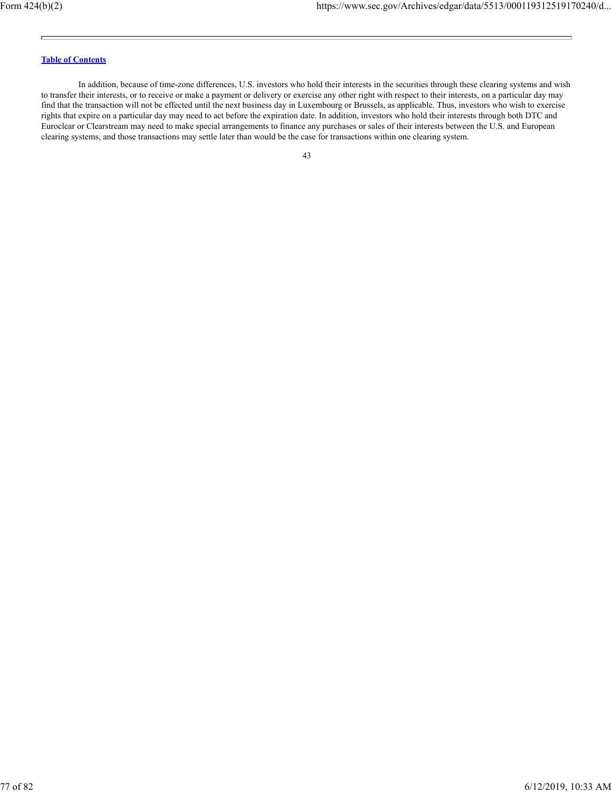In addition, because of time-zone differences, U.S. investors who hold their interests in the securities through these clearing systems and wish to transfer their interests, or to receive or make a payment or delivery or exercise any other right with respect to their interests, on a particular day may find that the transaction will not be effected until the next business day in Luxembourg or Brussels, as applicable. Thus, investors who wish to exercise rights that expire on a particular day may need to act before the expiration date. In addition, investors who hold their interests through both DTC and Euroclear or Clearstream may need to make special arrangements to finance any purchases or sales of their interests between the U.S. and European clearing systems, and those transactions may settle later than would be the case for transactions within one clearing system.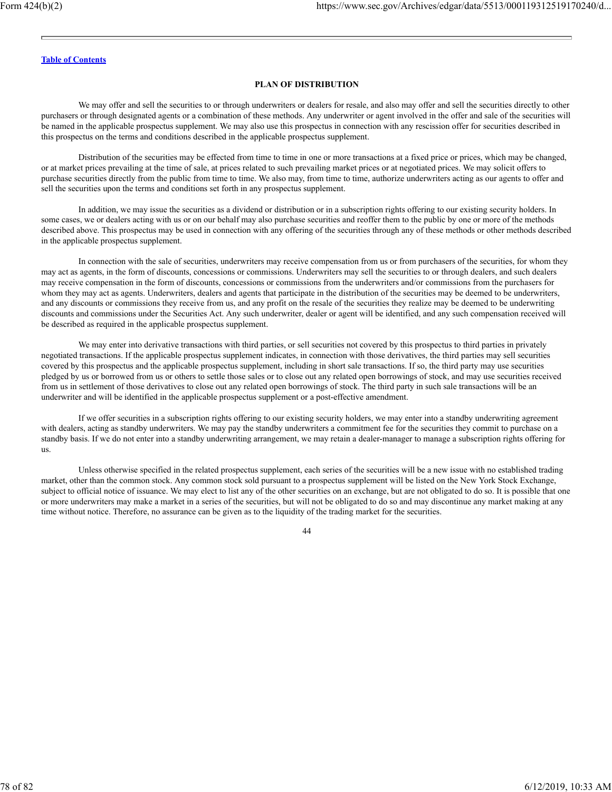### **PLAN OF DISTRIBUTION**

We may offer and sell the securities to or through underwriters or dealers for resale, and also may offer and sell the securities directly to other purchasers or through designated agents or a combination of these methods. Any underwriter or agent involved in the offer and sale of the securities will be named in the applicable prospectus supplement. We may also use this prospectus in connection with any rescission offer for securities described in this prospectus on the terms and conditions described in the applicable prospectus supplement.

Distribution of the securities may be effected from time to time in one or more transactions at a fixed price or prices, which may be changed, or at market prices prevailing at the time of sale, at prices related to such prevailing market prices or at negotiated prices. We may solicit offers to purchase securities directly from the public from time to time. We also may, from time to time, authorize underwriters acting as our agents to offer and sell the securities upon the terms and conditions set forth in any prospectus supplement.

In addition, we may issue the securities as a dividend or distribution or in a subscription rights offering to our existing security holders. In some cases, we or dealers acting with us or on our behalf may also purchase securities and reoffer them to the public by one or more of the methods described above. This prospectus may be used in connection with any offering of the securities through any of these methods or other methods described in the applicable prospectus supplement.

In connection with the sale of securities, underwriters may receive compensation from us or from purchasers of the securities, for whom they may act as agents, in the form of discounts, concessions or commissions. Underwriters may sell the securities to or through dealers, and such dealers may receive compensation in the form of discounts, concessions or commissions from the underwriters and/or commissions from the purchasers for whom they may act as agents. Underwriters, dealers and agents that participate in the distribution of the securities may be deemed to be underwriters, and any discounts or commissions they receive from us, and any profit on the resale of the securities they realize may be deemed to be underwriting discounts and commissions under the Securities Act. Any such underwriter, dealer or agent will be identified, and any such compensation received will be described as required in the applicable prospectus supplement.

We may enter into derivative transactions with third parties, or sell securities not covered by this prospectus to third parties in privately negotiated transactions. If the applicable prospectus supplement indicates, in connection with those derivatives, the third parties may sell securities covered by this prospectus and the applicable prospectus supplement, including in short sale transactions. If so, the third party may use securities pledged by us or borrowed from us or others to settle those sales or to close out any related open borrowings of stock, and may use securities received from us in settlement of those derivatives to close out any related open borrowings of stock. The third party in such sale transactions will be an underwriter and will be identified in the applicable prospectus supplement or a post-effective amendment.

If we offer securities in a subscription rights offering to our existing security holders, we may enter into a standby underwriting agreement with dealers, acting as standby underwriters. We may pay the standby underwriters a commitment fee for the securities they commit to purchase on a standby basis. If we do not enter into a standby underwriting arrangement, we may retain a dealer-manager to manage a subscription rights offering for us.

Unless otherwise specified in the related prospectus supplement, each series of the securities will be a new issue with no established trading market, other than the common stock. Any common stock sold pursuant to a prospectus supplement will be listed on the New York Stock Exchange, subject to official notice of issuance. We may elect to list any of the other securities on an exchange, but are not obligated to do so. It is possible that one or more underwriters may make a market in a series of the securities, but will not be obligated to do so and may discontinue any market making at any time without notice. Therefore, no assurance can be given as to the liquidity of the trading market for the securities.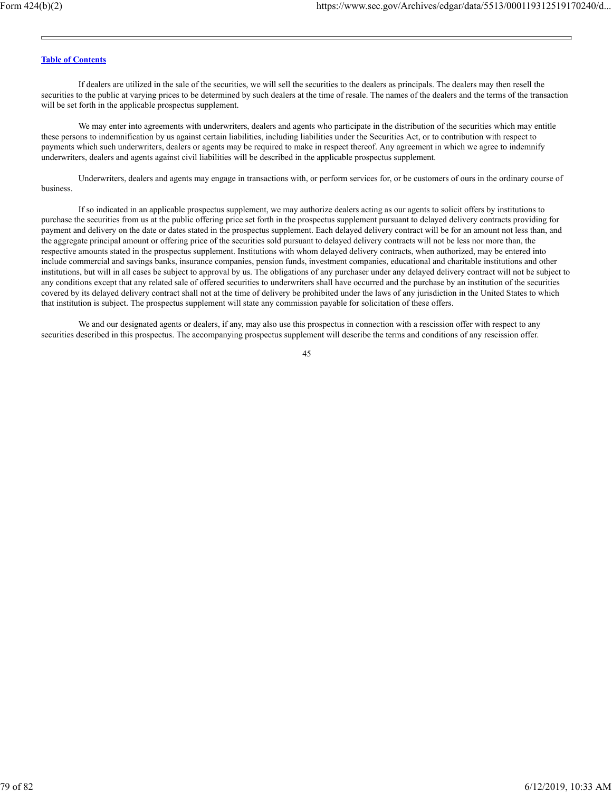If dealers are utilized in the sale of the securities, we will sell the securities to the dealers as principals. The dealers may then resell the securities to the public at varying prices to be determined by such dealers at the time of resale. The names of the dealers and the terms of the transaction will be set forth in the applicable prospectus supplement.

We may enter into agreements with underwriters, dealers and agents who participate in the distribution of the securities which may entitle these persons to indemnification by us against certain liabilities, including liabilities under the Securities Act, or to contribution with respect to payments which such underwriters, dealers or agents may be required to make in respect thereof. Any agreement in which we agree to indemnify underwriters, dealers and agents against civil liabilities will be described in the applicable prospectus supplement.

Underwriters, dealers and agents may engage in transactions with, or perform services for, or be customers of ours in the ordinary course of business.

If so indicated in an applicable prospectus supplement, we may authorize dealers acting as our agents to solicit offers by institutions to purchase the securities from us at the public offering price set forth in the prospectus supplement pursuant to delayed delivery contracts providing for payment and delivery on the date or dates stated in the prospectus supplement. Each delayed delivery contract will be for an amount not less than, and the aggregate principal amount or offering price of the securities sold pursuant to delayed delivery contracts will not be less nor more than, the respective amounts stated in the prospectus supplement. Institutions with whom delayed delivery contracts, when authorized, may be entered into include commercial and savings banks, insurance companies, pension funds, investment companies, educational and charitable institutions and other institutions, but will in all cases be subject to approval by us. The obligations of any purchaser under any delayed delivery contract will not be subject to any conditions except that any related sale of offered securities to underwriters shall have occurred and the purchase by an institution of the securities covered by its delayed delivery contract shall not at the time of delivery be prohibited under the laws of any jurisdiction in the United States to which that institution is subject. The prospectus supplement will state any commission payable for solicitation of these offers.

We and our designated agents or dealers, if any, may also use this prospectus in connection with a rescission offer with respect to any securities described in this prospectus. The accompanying prospectus supplement will describe the terms and conditions of any rescission offer.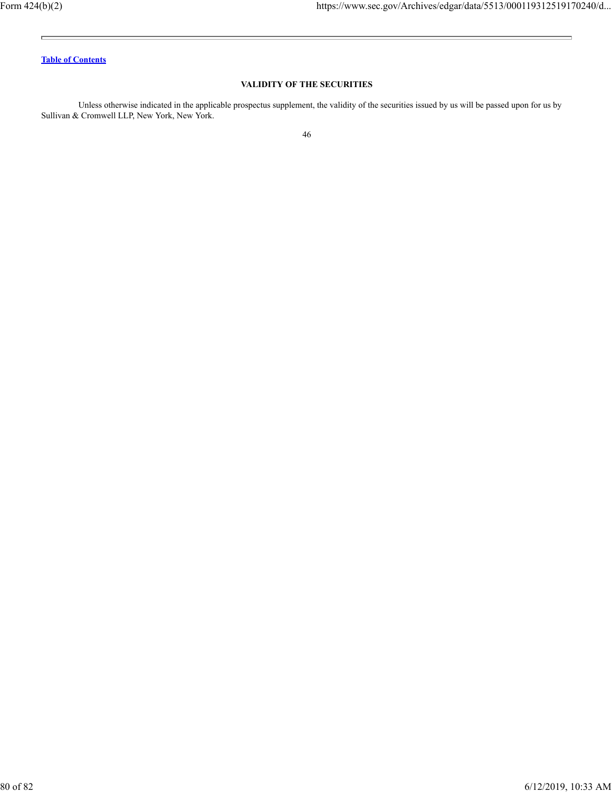$\blacksquare$ 

 $\equiv$ 

# **Table of Contents**

# **VALIDITY OF THE SECURITIES**

Unless otherwise indicated in the applicable prospectus supplement, the validity of the securities issued by us will be passed upon for us by Sullivan & Cromwell LLP, New York, New York.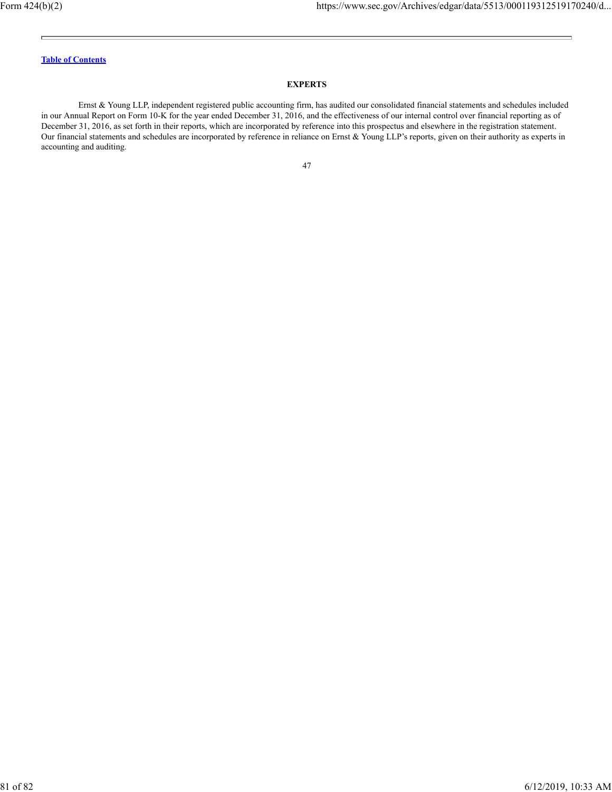### **EXPERTS**

Ernst & Young LLP, independent registered public accounting firm, has audited our consolidated financial statements and schedules included in our Annual Report on Form 10-K for the year ended December 31, 2016, and the effectiveness of our internal control over financial reporting as of December 31, 2016, as set forth in their reports, which are incorporated by reference into this prospectus and elsewhere in the registration statement. Our financial statements and schedules are incorporated by reference in reliance on Ernst & Young LLP's reports, given on their authority as experts in accounting and auditing.